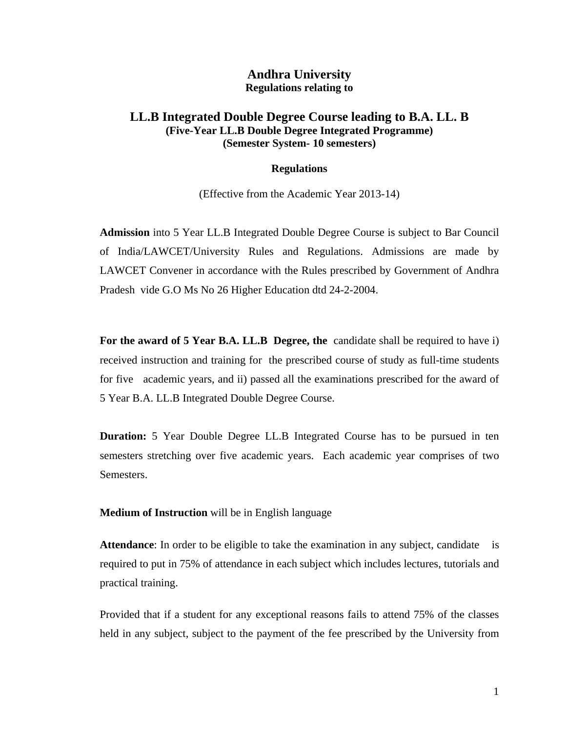### **Andhra University Regulations relating to**

### **LL.B Integrated Double Degree Course leading to B.A. LL. B (Five-Year LL.B Double Degree Integrated Programme) (Semester System- 10 semesters)**

#### **Regulations**

(Effective from the Academic Year 2013-14)

**Admission** into 5 Year LL.B Integrated Double Degree Course is subject to Bar Council of India/LAWCET/University Rules and Regulations. Admissions are made by LAWCET Convener in accordance with the Rules prescribed by Government of Andhra Pradesh vide G.O Ms No 26 Higher Education dtd 24-2-2004.

**For the award of 5 Year B.A. LL.B Degree, the** candidate shall be required to have i) received instruction and training for the prescribed course of study as full-time students for five academic years, and ii) passed all the examinations prescribed for the award of 5 Year B.A. LL.B Integrated Double Degree Course.

**Duration:** 5 Year Double Degree LL.B Integrated Course has to be pursued in ten semesters stretching over five academic years. Each academic year comprises of two Semesters.

**Medium of Instruction** will be in English language

**Attendance**: In order to be eligible to take the examination in any subject, candidate is required to put in 75% of attendance in each subject which includes lectures, tutorials and practical training.

Provided that if a student for any exceptional reasons fails to attend 75% of the classes held in any subject, subject to the payment of the fee prescribed by the University from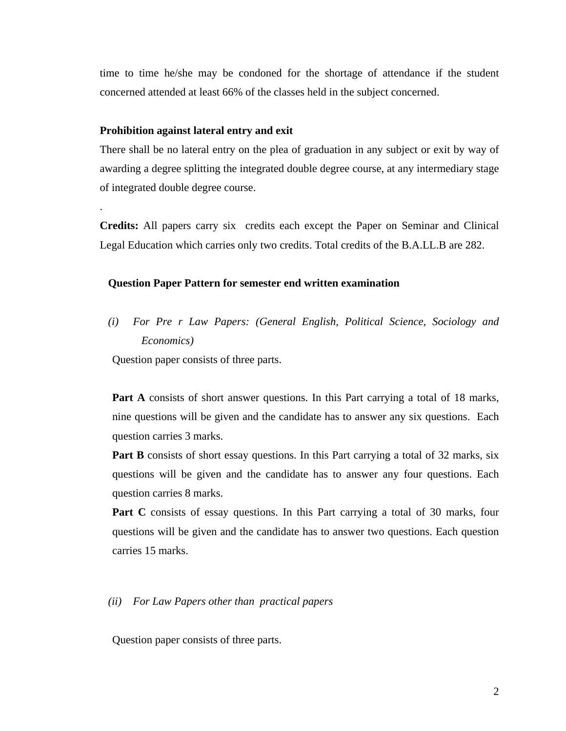time to time he/she may be condoned for the shortage of attendance if the student concerned attended at least 66% of the classes held in the subject concerned.

#### **Prohibition against lateral entry and exit**

.

There shall be no lateral entry on the plea of graduation in any subject or exit by way of awarding a degree splitting the integrated double degree course, at any intermediary stage of integrated double degree course.

**Credits:** All papers carry six credits each except the Paper on Seminar and Clinical Legal Education which carries only two credits. Total credits of the B.A.LL.B are 282.

#### **Question Paper Pattern for semester end written examination**

*(i) For Pre r Law Papers: (General English, Political Science, Sociology and Economics)*

Question paper consists of three parts.

Part A consists of short answer questions. In this Part carrying a total of 18 marks, nine questions will be given and the candidate has to answer any six questions. Each question carries 3 marks.

**Part B** consists of short essay questions. In this Part carrying a total of 32 marks, six questions will be given and the candidate has to answer any four questions. Each question carries 8 marks.

Part C consists of essay questions. In this Part carrying a total of 30 marks, four questions will be given and the candidate has to answer two questions. Each question carries 15 marks.

*(ii) For Law Papers other than practical papers* 

Question paper consists of three parts.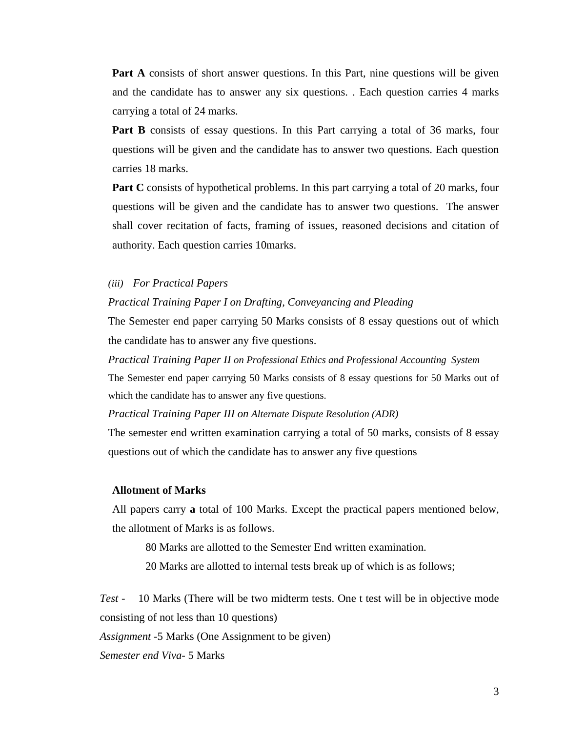**Part A** consists of short answer questions. In this Part, nine questions will be given and the candidate has to answer any six questions. . Each question carries 4 marks carrying a total of 24 marks.

**Part B** consists of essay questions. In this Part carrying a total of 36 marks, four questions will be given and the candidate has to answer two questions. Each question carries 18 marks.

**Part C** consists of hypothetical problems. In this part carrying a total of 20 marks, four questions will be given and the candidate has to answer two questions. The answer shall cover recitation of facts, framing of issues, reasoned decisions and citation of authority. Each question carries 10marks.

#### *(iii) For Practical Papers*

#### *Practical Training Paper I on Drafting, Conveyancing and Pleading*

The Semester end paper carrying 50 Marks consists of 8 essay questions out of which the candidate has to answer any five questions.

*Practical Training Paper II on Professional Ethics and Professional Accounting System*  The Semester end paper carrying 50 Marks consists of 8 essay questions for 50 Marks out of which the candidate has to answer any five questions.

*Practical Training Paper III on Alternate Dispute Resolution (ADR)* 

The semester end written examination carrying a total of 50 marks, consists of 8 essay questions out of which the candidate has to answer any five questions

#### **Allotment of Marks**

All papers carry **a** total of 100 Marks. Except the practical papers mentioned below, the allotment of Marks is as follows.

80 Marks are allotted to the Semester End written examination.

20 Marks are allotted to internal tests break up of which is as follows;

*Test* - 10 Marks (There will be two midterm tests. One t test will be in objective mode consisting of not less than 10 questions)

*Assignment* -5 Marks (One Assignment to be given)

*Semester end Viva*- 5 Marks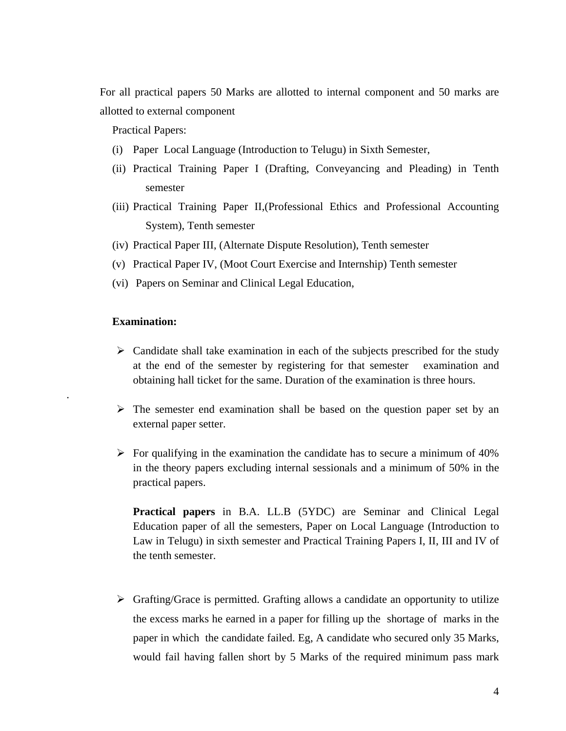For all practical papers 50 Marks are allotted to internal component and 50 marks are allotted to external component

Practical Papers:

- (i) Paper Local Language (Introduction to Telugu) in Sixth Semester,
- (ii) Practical Training Paper I (Drafting, Conveyancing and Pleading) in Tenth semester
- (iii) Practical Training Paper II,(Professional Ethics and Professional Accounting System), Tenth semester
- (iv) Practical Paper III, (Alternate Dispute Resolution), Tenth semester
- (v) Practical Paper IV, (Moot Court Exercise and Internship) Tenth semester
- (vi) Papers on Seminar and Clinical Legal Education,

#### **Examination:**

.

- $\triangleright$  Candidate shall take examination in each of the subjects prescribed for the study at the end of the semester by registering for that semester examination and obtaining hall ticket for the same. Duration of the examination is three hours.
- $\triangleright$  The semester end examination shall be based on the question paper set by an external paper setter.
- $\triangleright$  For qualifying in the examination the candidate has to secure a minimum of 40% in the theory papers excluding internal sessionals and a minimum of 50% in the practical papers.

**Practical papers** in B.A. LL.B (5YDC) are Seminar and Clinical Legal Education paper of all the semesters, Paper on Local Language (Introduction to Law in Telugu) in sixth semester and Practical Training Papers I, II, III and IV of the tenth semester.

 $\triangleright$  Grafting/Grace is permitted. Grafting allows a candidate an opportunity to utilize the excess marks he earned in a paper for filling up the shortage of marks in the paper in which the candidate failed. Eg, A candidate who secured only 35 Marks, would fail having fallen short by 5 Marks of the required minimum pass mark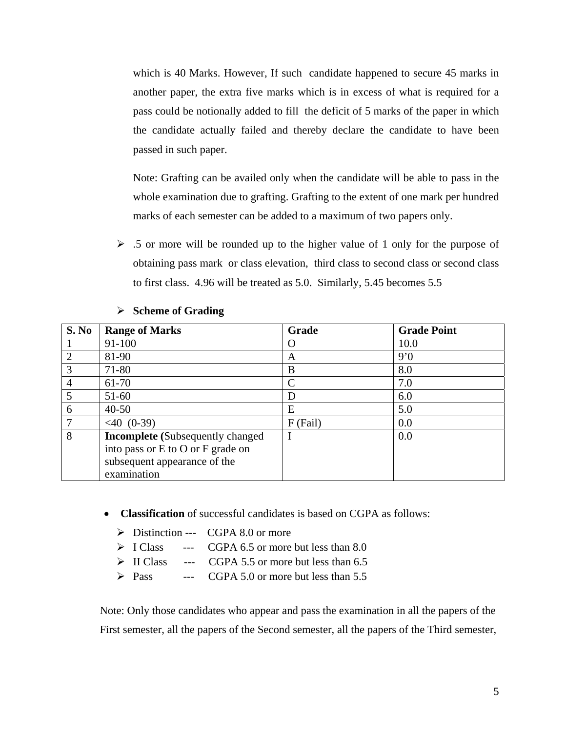which is 40 Marks. However, If such candidate happened to secure 45 marks in another paper, the extra five marks which is in excess of what is required for a pass could be notionally added to fill the deficit of 5 marks of the paper in which the candidate actually failed and thereby declare the candidate to have been passed in such paper.

Note: Grafting can be availed only when the candidate will be able to pass in the whole examination due to grafting. Grafting to the extent of one mark per hundred marks of each semester can be added to a maximum of two papers only.

 $\geq$  .5 or more will be rounded up to the higher value of 1 only for the purpose of obtaining pass mark or class elevation, third class to second class or second class to first class. 4.96 will be treated as 5.0. Similarly, 5.45 becomes 5.5

| S. No                       | <b>Range of Marks</b>                                                        | Grade      | <b>Grade Point</b> |
|-----------------------------|------------------------------------------------------------------------------|------------|--------------------|
|                             | 91-100                                                                       | $\left($ ) | 10.0               |
| $\mathcal{D}_{\mathcal{L}}$ | 81-90                                                                        | A          | 9'0                |
| 3                           | 71-80                                                                        | B          | 8.0                |
| 4                           | 61-70                                                                        |            | 7.0                |
| 5                           | $51-60$                                                                      | D          | 6.0                |
| 6                           | $40 - 50$                                                                    | Ε          | 5.0                |
|                             | $< 40$ (0-39)                                                                | $F$ (Fail) | 0.0                |
| 8                           | <b>Incomplete</b> (Subsequently changed<br>into pass or E to O or F grade on |            | 0.0                |
|                             | subsequent appearance of the<br>examination                                  |            |                    |

#### ¾ **Scheme of Grading**

- **Classification** of successful candidates is based on CGPA as follows:
	- $\triangleright$  Distinction --- CGPA 8.0 or more
	- $\triangleright$  I Class --- CGPA 6.5 or more but less than 8.0
	- $\triangleright$  II Class --- CGPA 5.5 or more but less than 6.5
	- $\triangleright$  Pass --- CGPA 5.0 or more but less than 5.5

Note: Only those candidates who appear and pass the examination in all the papers of the First semester, all the papers of the Second semester, all the papers of the Third semester,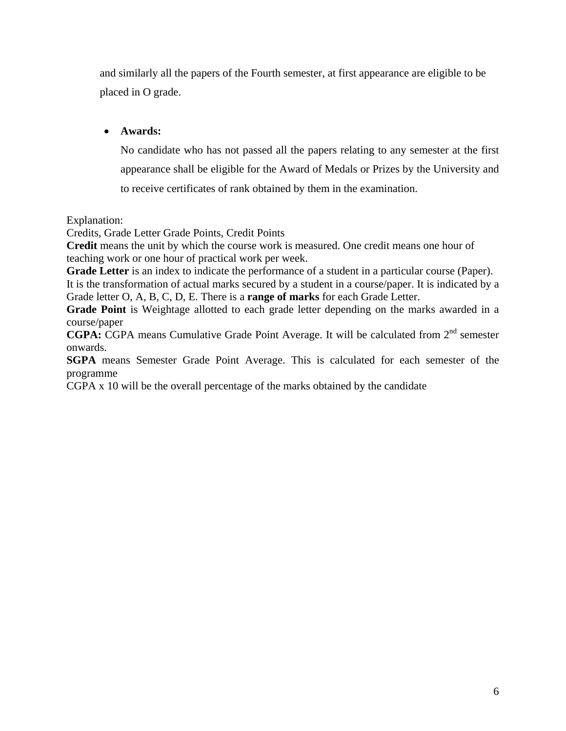and similarly all the papers of the Fourth semester, at first appearance are eligible to be placed in O grade.

### • **Awards:**

No candidate who has not passed all the papers relating to any semester at the first appearance shall be eligible for the Award of Medals or Prizes by the University and to receive certificates of rank obtained by them in the examination.

Explanation:

Credits, Grade Letter Grade Points, Credit Points

**Credit** means the unit by which the course work is measured. One credit means one hour of teaching work or one hour of practical work per week.

**Grade Letter** is an index to indicate the performance of a student in a particular course (Paper). It is the transformation of actual marks secured by a student in a course/paper. It is indicated by a Grade letter O, A, B, C, D, E. There is a **range of marks** for each Grade Letter.

**Grade Point** is Weightage allotted to each grade letter depending on the marks awarded in a course/paper

**CGPA:** CGPA means Cumulative Grade Point Average. It will be calculated from 2<sup>nd</sup> semester onwards.

**SGPA** means Semester Grade Point Average. This is calculated for each semester of the programme

CGPA x 10 will be the overall percentage of the marks obtained by the candidate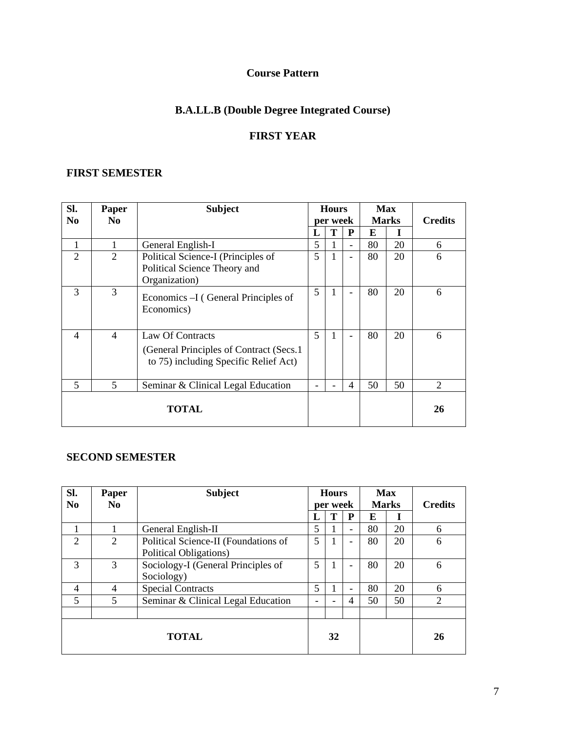# **Course Pattern**

# **B.A.LL.B (Double Degree Integrated Course)**

# **FIRST YEAR**

### **FIRST SEMESTER**

| Sl.                      | Paper          | <b>Subject</b>                                                                                        |   | <b>Hours</b> |                          | <b>Max</b> |              |                |
|--------------------------|----------------|-------------------------------------------------------------------------------------------------------|---|--------------|--------------------------|------------|--------------|----------------|
| N <sub>0</sub>           | N <sub>0</sub> |                                                                                                       |   | per week     |                          |            | <b>Marks</b> | <b>Credits</b> |
|                          |                |                                                                                                       | L | Т            | P                        | E          |              |                |
| 1                        |                | General English-I                                                                                     | 5 | 1            | $\overline{\phantom{a}}$ | 80         | 20           | 6              |
| $\overline{2}$           | $\overline{2}$ | Political Science-I (Principles of<br>Political Science Theory and<br>Organization)                   | 5 | 1            | $\overline{\phantom{a}}$ | 80         | 20           | 6              |
| 3                        | 3              | Economics –I (General Principles of<br>Economics)                                                     | 5 | 1            |                          | 80         | 20           | 6              |
| $\overline{\mathcal{A}}$ | $\overline{4}$ | Law Of Contracts<br>(General Principles of Contract (Secs.1)<br>to 75) including Specific Relief Act) | 5 | 1            | ۰                        | 80         | 20           | 6              |
| 5                        | 5              | Seminar & Clinical Legal Education                                                                    |   |              | $\overline{4}$           | 50         | 50           | $\overline{2}$ |
| <b>TOTAL</b>             |                |                                                                                                       |   |              |                          |            |              | 26             |

### **SECOND SEMESTER**

| SI.<br>N <sub>0</sub> | Paper<br>N <sub>0</sub> | <b>Subject</b>                                                 |    | <b>Hours</b><br>per week |                          | <b>Max</b><br><b>Marks</b> |    | <b>Credits</b> |
|-----------------------|-------------------------|----------------------------------------------------------------|----|--------------------------|--------------------------|----------------------------|----|----------------|
|                       |                         |                                                                | П, | Т                        | P                        | E                          |    |                |
|                       |                         | General English-II                                             | 5  |                          |                          | 80                         | 20 | 6              |
| $\overline{2}$        | 2                       | Political Science-II (Foundations of<br>Political Obligations) | 5  | 1                        | ۰                        | 80                         | 20 | 6              |
| 3                     | 3                       | Sociology-I (General Principles of<br>Sociology)               | 5  | 1                        | $\overline{\phantom{0}}$ | 80                         | 20 | 6              |
| 4                     | 4                       | <b>Special Contracts</b>                                       | 5  |                          | $\overline{\phantom{0}}$ | 80                         | 20 | 6              |
| 5                     | 5                       | Seminar & Clinical Legal Education                             |    | $\overline{\phantom{0}}$ | 4                        | 50                         | 50 | 2              |
|                       |                         |                                                                |    |                          |                          |                            |    |                |
|                       |                         | <b>TOTAL</b>                                                   |    | 32                       |                          |                            |    | 26             |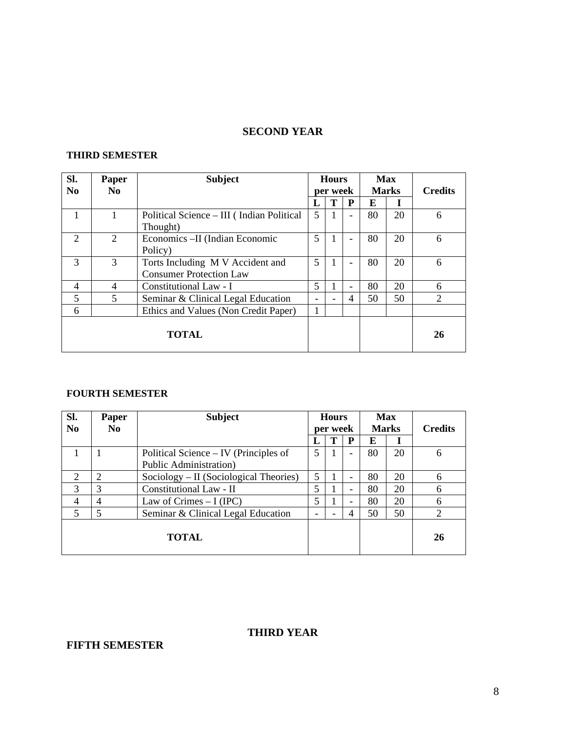### **SECOND YEAR**

### **THIRD SEMESTER**

| Sl.<br>N <sub>0</sub>       | Paper<br>No.   | <b>Subject</b>                                                     |              | <b>Hours</b><br>per week |                          |    | <b>Max</b><br><b>Marks</b> | <b>Credits</b>              |
|-----------------------------|----------------|--------------------------------------------------------------------|--------------|--------------------------|--------------------------|----|----------------------------|-----------------------------|
|                             |                |                                                                    |              | T                        | P                        | E  |                            |                             |
| 1                           | 1              | Political Science – III (Indian Political<br>Thought)              | 5            |                          | ۳                        | 80 | 20                         | 6                           |
| $\mathcal{D}_{\mathcal{L}}$ | $\overline{2}$ | Economics - II (Indian Economic<br>Policy)                         | 5            | 1                        | ۰                        | 80 | 20                         | 6                           |
| $\mathcal{R}$               | 3              | Torts Including M V Accident and<br><b>Consumer Protection Law</b> | 5            | 1                        | $\overline{\phantom{0}}$ | 80 | 20                         | 6                           |
| 4                           | 4              | Constitutional Law - I                                             | 5            |                          | ۰                        | 80 | 20                         | 6                           |
| 5                           | 5              | Seminar & Clinical Legal Education                                 |              |                          | 4                        | 50 | 50                         | $\mathcal{D}_{\mathcal{L}}$ |
| 6                           |                | Ethics and Values (Non Credit Paper)                               | $\mathbf{I}$ |                          |                          |    |                            |                             |
|                             |                | <b>TOTAL</b>                                                       |              |                          |                          |    |                            | 26                          |

#### **FOURTH SEMESTER**

| Sl.                         | Paper          | <b>Subject</b>                                                          |   | <b>Hours</b>             |   | <b>Max</b>        |    |                             |
|-----------------------------|----------------|-------------------------------------------------------------------------|---|--------------------------|---|-------------------|----|-----------------------------|
| N <sub>0</sub>              | N <sub>0</sub> |                                                                         |   | per week                 | P | <b>Marks</b><br>E |    | <b>Credits</b>              |
|                             |                | Political Science – IV (Principles of<br><b>Public Administration</b> ) | 5 |                          |   | 80                | 20 | 6                           |
| $\mathcal{D}_{\mathcal{A}}$ | っ              | Sociology - II (Sociological Theories)                                  | 5 |                          |   | 80                | 20 | 6                           |
| 3                           | 3              | Constitutional Law - II                                                 |   |                          | ۰ | 80                | 20 | 6                           |
| 4                           | 4              | Law of Crimes $-I (IPC)$                                                |   |                          | ۰ | 80                | 20 | 6                           |
| 5                           |                | Seminar & Clinical Legal Education                                      |   | $\overline{\phantom{a}}$ | 4 | 50                | 50 | $\mathcal{D}_{\mathcal{L}}$ |
|                             |                | <b>TOTAL</b>                                                            |   |                          |   |                   |    | 26                          |

### **THIRD YEAR**

# **FIFTH SEMESTER**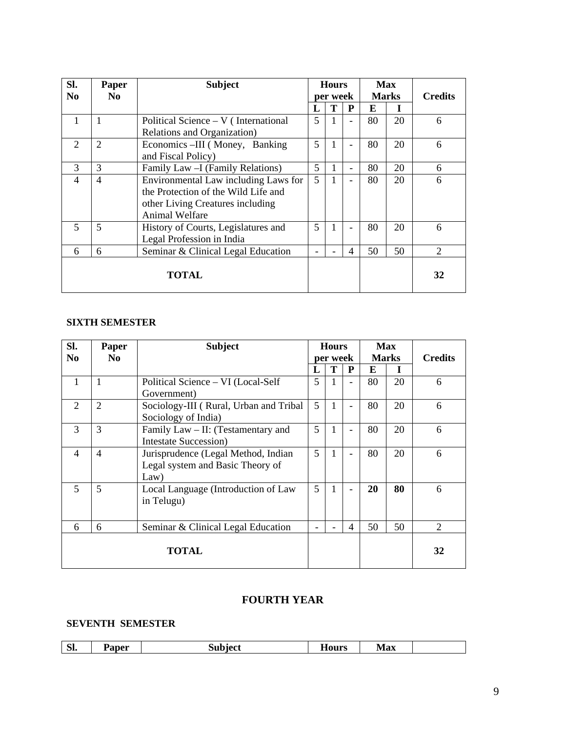| SI.                         | Paper          | <b>Subject</b>                        |   | <b>Hours</b> |                          |              | Max |                |
|-----------------------------|----------------|---------------------------------------|---|--------------|--------------------------|--------------|-----|----------------|
| N <sub>0</sub>              | N <sub>0</sub> |                                       |   | per week     |                          | <b>Marks</b> |     | <b>Credits</b> |
|                             |                |                                       |   | т            | P                        | E            |     |                |
|                             | 1              | Political Science $-V($ International | 5 | $\mathbf{1}$ | ۰                        | 80           | 20  | 6              |
|                             |                | Relations and Organization)           |   |              |                          |              |     |                |
| $\mathcal{D}_{\mathcal{L}}$ | $\overline{2}$ | Economics -III (Money, Banking        | 5 | 1            | ۰                        | 80           | 20  | 6              |
|                             |                | and Fiscal Policy)                    |   |              |                          |              |     |                |
| 3                           | 3              | Family Law - I (Family Relations)     | 5 | 1            | $\overline{\phantom{0}}$ | 80           | 20  | 6              |
| $\overline{\mathcal{A}}$    | $\overline{4}$ | Environmental Law including Laws for  | 5 | $\mathbf{1}$ | $\overline{\phantom{0}}$ | 80           | 20  | 6              |
|                             |                | the Protection of the Wild Life and   |   |              |                          |              |     |                |
|                             |                | other Living Creatures including      |   |              |                          |              |     |                |
|                             |                | <b>Animal Welfare</b>                 |   |              |                          |              |     |                |
| $\overline{\mathbf{z}}$     | 5              | History of Courts, Legislatures and   | 5 | $\mathbf{1}$ |                          | 80           | 20  | 6              |
|                             |                | Legal Profession in India             |   |              |                          |              |     |                |
| 6                           | 6              | Seminar & Clinical Legal Education    |   |              | 4                        | 50           | 50  | 2              |
|                             |                |                                       |   |              |                          |              |     |                |
|                             |                | TOTAL                                 |   |              |                          |              |     | 32             |
|                             |                |                                       |   |              |                          |              |     |                |

### **SIXTH SEMESTER**

| SI.                      | Paper          | <b>Subject</b>                         |   | <b>Hours</b> |                |    | <b>Max</b>   |                |
|--------------------------|----------------|----------------------------------------|---|--------------|----------------|----|--------------|----------------|
| N <sub>0</sub>           | N <sub>0</sub> |                                        |   | per week     |                |    | <b>Marks</b> | <b>Credits</b> |
|                          |                |                                        |   | T            | P              | E  |              |                |
|                          | 1              | Political Science – VI (Local-Self     | 5 |              | ۰              | 80 | 20           | 6              |
|                          |                | Government)                            |   |              |                |    |              |                |
| 2                        | $\overline{2}$ | Sociology-III (Rural, Urban and Tribal | 5 | $\mathbf{1}$ | ۰              | 80 | 20           | 6              |
|                          |                | Sociology of India)                    |   |              |                |    |              |                |
| 3                        | 3              | Family Law – II: (Testamentary and     | 5 | 1            |                | 80 | 20           | 6              |
|                          |                | <b>Intestate Succession</b> )          |   |              |                |    |              |                |
| $\overline{\mathcal{A}}$ | $\overline{4}$ | Jurisprudence (Legal Method, Indian    | 5 | 1            |                | 80 | 20           | 6              |
|                          |                | Legal system and Basic Theory of       |   |              |                |    |              |                |
|                          |                | Law)                                   |   |              |                |    |              |                |
| $\overline{5}$           | 5              | Local Language (Introduction of Law    | 5 | $\mathbf{1}$ |                | 20 | 80           | 6              |
|                          |                | in Telugu)                             |   |              |                |    |              |                |
|                          |                |                                        |   |              |                |    |              |                |
| 6                        | 6              | Seminar & Clinical Legal Education     |   |              | $\overline{4}$ | 50 | 50           | $\overline{2}$ |
|                          |                |                                        |   |              |                |    |              |                |
|                          |                | <b>TOTAL</b>                           |   |              |                |    |              | 32             |
|                          |                |                                        |   |              |                |    |              |                |

# **FOURTH YEAR**

### **SEVENTH SEMESTER**

| $\sim$<br>--<br><b>Max</b><br>Paper<br>hiect<br>0.1110C<br>DI.<br>пошэ |
|------------------------------------------------------------------------|
|------------------------------------------------------------------------|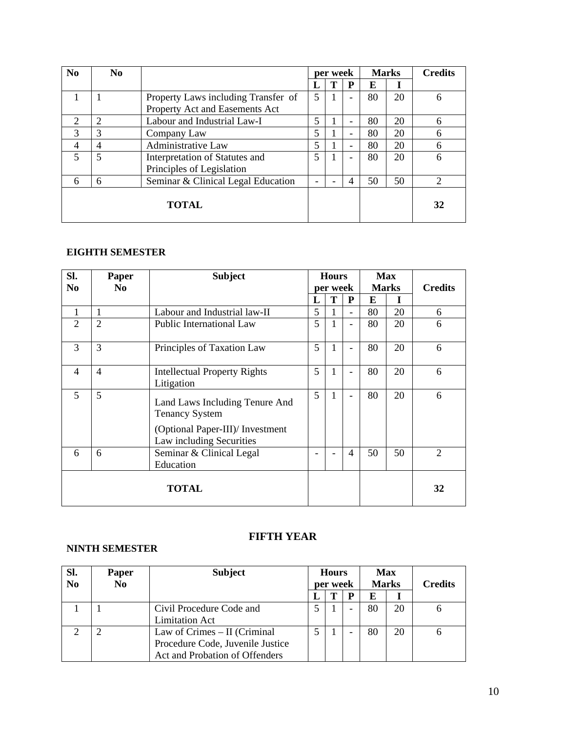| $\bf No$      | N <sub>0</sub> |                                     |   | per week                 |                          |    | <b>Marks</b> | <b>Credits</b> |
|---------------|----------------|-------------------------------------|---|--------------------------|--------------------------|----|--------------|----------------|
|               |                |                                     |   | Т                        | P                        | E  | I            |                |
|               |                | Property Laws including Transfer of | 5 |                          |                          | 80 | 20           | 6              |
|               |                | Property Act and Easements Act      |   |                          |                          |    |              |                |
| $\mathcal{D}$ | 2              | Labour and Industrial Law-I         | 5 |                          |                          | 80 | 20           | 6              |
| 3             | 3              | Company Law                         | 5 |                          |                          | 80 | 20           | 6              |
| 4             | 4              | Administrative Law                  | 5 |                          | $\overline{\phantom{a}}$ | 80 | 20           | 6              |
| 5             | 5              | Interpretation of Statutes and      | 5 |                          |                          | 80 | 20           | 6              |
|               |                | Principles of Legislation           |   |                          |                          |    |              |                |
| 6             | 6              | Seminar & Clinical Legal Education  |   | $\overline{\phantom{0}}$ | $\overline{4}$           | 50 | 50           | $\mathcal{D}$  |
|               |                | <b>TOTAL</b>                        |   |                          |                          |    |              | 32             |

#### **EIGHTH SEMESTER**

| Sl.<br>N <sub>0</sub>    | Paper<br>N <sub>0</sub> | <b>Subject</b>                                                                                                          |   | <b>Hours</b><br>per week |                          |    | <b>Max</b><br><b>Marks</b> | <b>Credits</b> |
|--------------------------|-------------------------|-------------------------------------------------------------------------------------------------------------------------|---|--------------------------|--------------------------|----|----------------------------|----------------|
|                          |                         |                                                                                                                         | L | Т                        | P                        | E  | T                          |                |
| 1                        |                         | Labour and Industrial law-II                                                                                            | 5 | 1                        |                          | 80 | 20                         | 6              |
| $\overline{2}$           | $\overline{2}$          | Public International Law                                                                                                | 5 | $\mathbf{1}$             |                          | 80 | 20                         | 6              |
| 3                        | 3                       | Principles of Taxation Law                                                                                              | 5 | $\mathbf{1}$             |                          | 80 | 20                         | 6              |
| $\overline{\mathcal{A}}$ | $\overline{4}$          | <b>Intellectual Property Rights</b><br>Litigation                                                                       | 5 | 1                        | $\overline{\phantom{0}}$ | 80 | 20                         | 6              |
| 5                        | 5                       | Land Laws Including Tenure And<br><b>Tenancy System</b><br>(Optional Paper-III)/ Investment<br>Law including Securities | 5 | 1                        |                          | 80 | 20                         | 6              |
| 6                        | 6                       | Seminar & Clinical Legal<br>Education                                                                                   |   |                          | $\overline{4}$           | 50 | 50                         | $\overline{2}$ |
|                          |                         | <b>TOTAL</b>                                                                                                            |   |                          |                          |    |                            | 32             |

### **NINTH SEMESTER**

### **FIFTH YEAR**

| Sl.<br>N <sub>0</sub> | Paper<br>N <sub>0</sub> | <b>Subject</b>                   | <b>Hours</b><br>per week |   |   |    | Max<br><b>Marks</b> | <b>Credits</b> |
|-----------------------|-------------------------|----------------------------------|--------------------------|---|---|----|---------------------|----------------|
|                       |                         |                                  |                          | Т | p | E  |                     |                |
|                       |                         | Civil Procedure Code and         |                          |   | ۰ | 80 | 20                  |                |
|                       |                         | <b>Limitation Act</b>            |                          |   |   |    |                     |                |
|                       |                         | Law of Crimes $-$ II (Criminal   |                          |   | ۰ | 80 | 20                  | 6              |
|                       |                         | Procedure Code, Juvenile Justice |                          |   |   |    |                     |                |
|                       |                         | Act and Probation of Offenders   |                          |   |   |    |                     |                |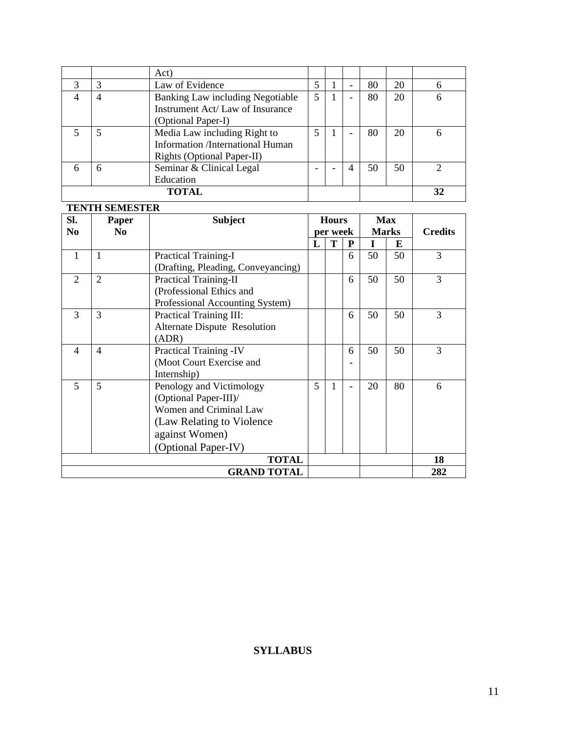|   |   | Act)                                                                                                  |   |                          |    |    |   |
|---|---|-------------------------------------------------------------------------------------------------------|---|--------------------------|----|----|---|
| 3 |   | Law of Evidence                                                                                       |   | $\overline{\phantom{0}}$ | 80 | 20 |   |
| Δ |   | Banking Law including Negotiable<br>Instrument Act/Law of Insurance<br>(Optional Paper-I)             | 5 | $\overline{\phantom{0}}$ | 80 | 20 | 6 |
|   |   | Media Law including Right to<br><b>Information</b> /International Human<br>Rights (Optional Paper-II) |   | ۰                        | 80 | 20 | 6 |
|   | h | Seminar & Clinical Legal<br>Education                                                                 |   | 4                        | 50 | 50 |   |
|   |   | TOTAL                                                                                                 |   |                          |    |    |   |

# **TENTH SEMESTER**

| SI.<br>N <sub>0</sub>    | Paper<br>N <sub>0</sub> | <b>Subject</b>                      | <b>Hours</b><br>per week |   |   | <b>Max</b><br><b>Marks</b> |    | <b>Credits</b> |
|--------------------------|-------------------------|-------------------------------------|--------------------------|---|---|----------------------------|----|----------------|
|                          |                         |                                     | L                        | T | P | T                          | E  |                |
| 1                        | 1                       | <b>Practical Training-I</b>         |                          |   | 6 | 50                         | 50 | 3              |
|                          |                         | (Drafting, Pleading, Conveyancing)  |                          |   |   |                            |    |                |
| $\overline{2}$           | $\overline{2}$          | <b>Practical Training-II</b>        |                          |   | 6 | 50                         | 50 | 3              |
|                          |                         | (Professional Ethics and            |                          |   |   |                            |    |                |
|                          |                         | Professional Accounting System)     |                          |   |   |                            |    |                |
| 3                        | 3                       | Practical Training III:             |                          |   | 6 | 50                         | 50 | 3              |
|                          |                         | <b>Alternate Dispute Resolution</b> |                          |   |   |                            |    |                |
|                          |                         | (ADR)                               |                          |   |   |                            |    |                |
| $\overline{\mathcal{A}}$ | $\overline{4}$          | Practical Training -IV              |                          |   | 6 | 50                         | 50 | 3              |
|                          |                         | (Moot Court Exercise and            |                          |   |   |                            |    |                |
|                          |                         | Internship)                         |                          |   |   |                            |    |                |
| 5                        | 5                       | Penology and Victimology            | 5                        | 1 |   | 20                         | 80 | 6              |
|                          |                         | (Optional Paper-III)/               |                          |   |   |                            |    |                |
|                          |                         | Women and Criminal Law              |                          |   |   |                            |    |                |
|                          |                         | (Law Relating to Violence)          |                          |   |   |                            |    |                |
|                          |                         | against Women)                      |                          |   |   |                            |    |                |
|                          |                         | (Optional Paper-IV)                 |                          |   |   |                            |    |                |
| <b>TOTAL</b>             |                         |                                     |                          |   |   |                            |    | 18             |
| <b>GRAND TOTAL</b>       |                         |                                     |                          |   |   |                            |    | 282            |

### **SYLLABUS**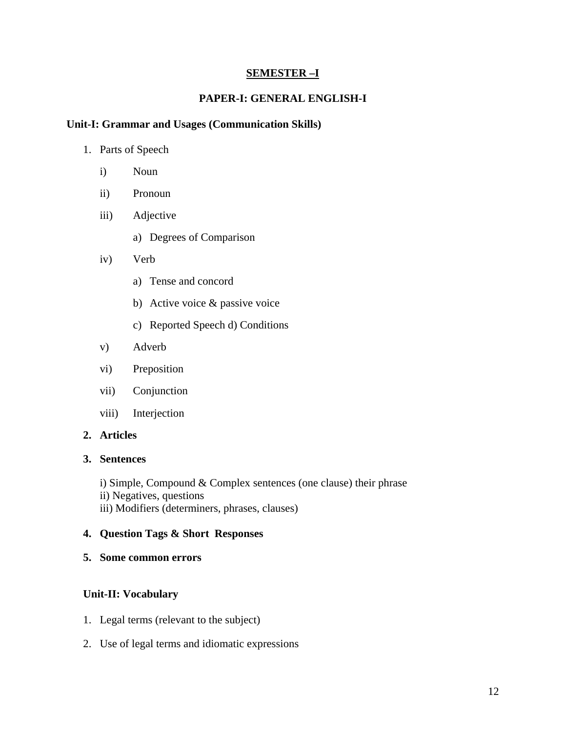### **SEMESTER –I**

### **PAPER-I: GENERAL ENGLISH-I**

#### **Unit-I: Grammar and Usages (Communication Skills)**

- 1. Parts of Speech
	- i) Noun
	- ii) Pronoun
	- iii) Adjective
		- a) Degrees of Comparison
	- iv) Verb
		- a) Tense and concord
		- b) Active voice & passive voice
		- c) Reported Speech d) Conditions
	- v) Adverb
	- vi) Preposition
	- vii) Conjunction
	- viii) Interjection

#### **2. Articles**

#### **3. Sentences**

- i) Simple, Compound & Complex sentences (one clause) their phrase ii) Negatives, questions
- iii) Modifiers (determiners, phrases, clauses)

#### **4. Question Tags & Short Responses**

**5. Some common errors** 

### **Unit-II: Vocabulary**

- 1. Legal terms (relevant to the subject)
- 2. Use of legal terms and idiomatic expressions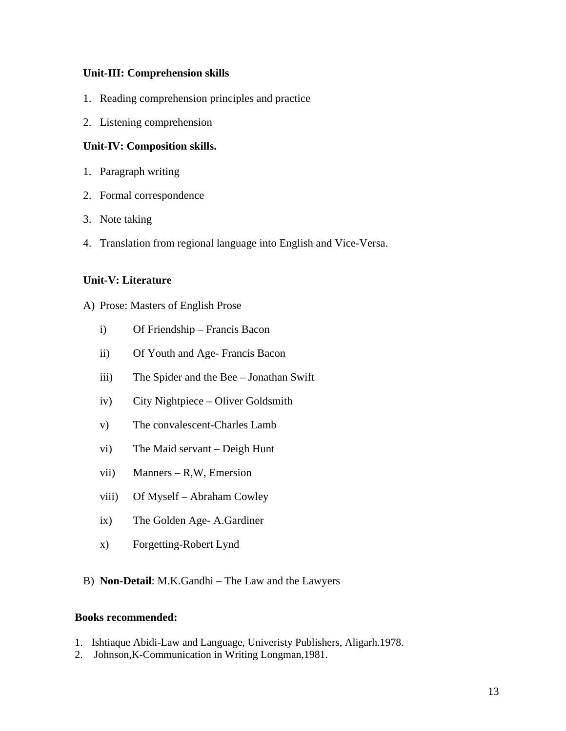### **Unit-III: Comprehension skills**

- 1. Reading comprehension principles and practice
- 2. Listening comprehension

### **Unit-IV: Composition skills.**

- 1. Paragraph writing
- 2. Formal correspondence
- 3. Note taking
- 4. Translation from regional language into English and Vice-Versa.

### **Unit-V: Literature**

- A) Prose: Masters of English Prose
	- i) Of Friendship Francis Bacon
	- ii) Of Youth and Age- Francis Bacon
	- iii) The Spider and the Bee Jonathan Swift
	- iv) City Nightpiece Oliver Goldsmith
	- v) The convalescent-Charles Lamb
	- vi) The Maid servant Deigh Hunt
	- vii) Manners R,W, Emersion
	- viii) Of Myself Abraham Cowley
	- ix) The Golden Age- A.Gardiner
	- x) Forgetting-Robert Lynd
- B) **Non-Detail**: M.K.Gandhi The Law and the Lawyers

- 1. Ishtiaque Abidi-Law and Language, Univeristy Publishers, Aligarh.1978.
- 2. Johnson,K-Communication in Writing Longman,1981.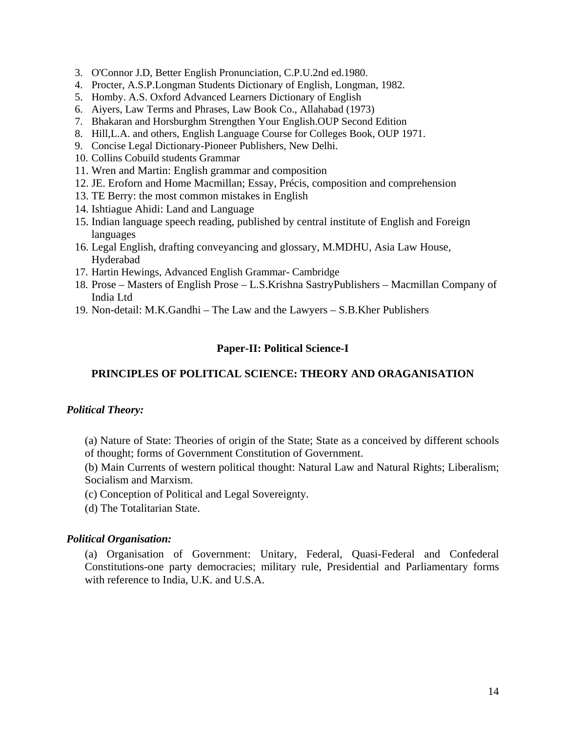- 3. O'Connor J.D, Better English Pronunciation, C.P.U.2nd ed.1980.
- 4. Procter, A.S.P.Longman Students Dictionary of English, Longman, 1982.
- 5. Homby. A.S. Oxford Advanced Learners Dictionary of English
- 6. Aiyers, Law Terms and Phrases, Law Book Co., Allahabad (1973)
- 7. Bhakaran and Horsburghm Strengthen Your English.OUP Second Edition
- 8. Hill,L.A. and others, English Language Course for Colleges Book, OUP 1971.
- 9. Concise Legal Dictionary-Pioneer Publishers, New Delhi.
- 10. Collins Cobuild students Grammar
- 11. Wren and Martin: English grammar and composition
- 12. JE. Eroforn and Home Macmillan; Essay, Précis, composition and comprehension
- 13. TE Berry: the most common mistakes in English
- 14. Ishtiague Ahidi: Land and Language
- 15. Indian language speech reading, published by central institute of English and Foreign languages
- 16. Legal English, drafting conveyancing and glossary, M.MDHU, Asia Law House, Hyderabad
- 17. Hartin Hewings, Advanced English Grammar- Cambridge
- 18. Prose Masters of English Prose L.S.Krishna SastryPublishers Macmillan Company of India Ltd
- 19. Non-detail: M.K.Gandhi The Law and the Lawyers S.B.Kher Publishers

### **Paper-II: Political Science-I**

### **PRINCIPLES OF POLITICAL SCIENCE: THEORY AND ORAGANISATION**

#### *Political Theory:*

(a) Nature of State: Theories of origin of the State; State as a conceived by different schools of thought; forms of Government Constitution of Government.

(b) Main Currents of western political thought: Natural Law and Natural Rights; Liberalism; Socialism and Marxism.

- (c) Conception of Political and Legal Sovereignty.
- (d) The Totalitarian State.

#### *Political Organisation:*

(a) Organisation of Government: Unitary, Federal, Quasi-Federal and Confederal Constitutions-one party democracies; military rule, Presidential and Parliamentary forms with reference to India, U.K. and U.S.A.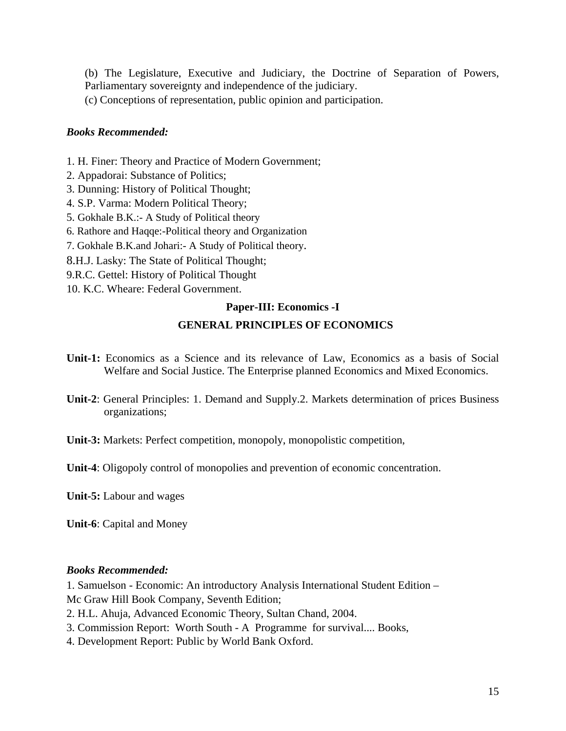(b) The Legislature, Executive and Judiciary, the Doctrine of Separation of Powers, Parliamentary sovereignty and independence of the judiciary.

(c) Conceptions of representation, public opinion and participation.

### *Books Recommended:*

- 1. H. Finer: Theory and Practice of Modern Government;
- 2. Appadorai: Substance of Politics;
- 3. Dunning: History of Political Thought;
- 4. S.P. Varma: Modern Political Theory;
- 5. Gokhale B.K.:- A Study of Political theory
- 6. Rathore and Haqqe:-Political theory and Organization
- 7. Gokhale B.K.and Johari:- A Study of Political theory.
- 8.H.J. Lasky: The State of Political Thought;
- 9.R.C. Gettel: History of Political Thought
- 10. K.C. Wheare: Federal Government.

### **Paper-III: Economics -I**

### **GENERAL PRINCIPLES OF ECONOMICS**

- **Unit-1:** Economics as a Science and its relevance of Law, Economics as a basis of Social Welfare and Social Justice. The Enterprise planned Economics and Mixed Economics.
- **Unit-2**: General Principles: 1. Demand and Supply.2. Markets determination of prices Business organizations;
- **Unit-3:** Markets: Perfect competition, monopoly, monopolistic competition,
- **Unit-4**: Oligopoly control of monopolies and prevention of economic concentration.

**Unit-5:** Labour and wages

**Unit-6**: Capital and Money

### *Books Recommended:*

1. Samuelson - Economic: An introductory Analysis International Student Edition – Mc Graw Hill Book Company, Seventh Edition;

- 2. H.L. Ahuja, Advanced Economic Theory, Sultan Chand, 2004.
- 3. Commission Report: Worth South A Programme for survival.... Books,
- 4. Development Report: Public by World Bank Oxford.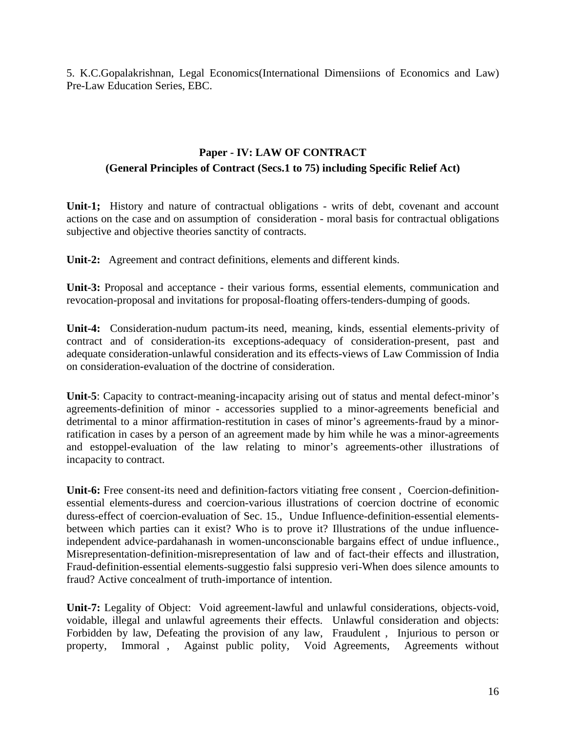5. K.C.Gopalakrishnan, Legal Economics(International Dimensiions of Economics and Law) Pre-Law Education Series, EBC.

### **Paper - IV: LAW OF CONTRACT (General Principles of Contract (Secs.1 to 75) including Specific Relief Act)**

**Unit-1;** History and nature of contractual obligations - writs of debt, covenant and account actions on the case and on assumption of consideration - moral basis for contractual obligations subjective and objective theories sanctity of contracts.

**Unit-2:** Agreement and contract definitions, elements and different kinds.

**Unit-3:** Proposal and acceptance - their various forms, essential elements, communication and revocation-proposal and invitations for proposal-floating offers-tenders-dumping of goods.

**Unit-4:** Consideration-nudum pactum-its need, meaning, kinds, essential elements-privity of contract and of consideration-its exceptions-adequacy of consideration-present, past and adequate consideration-unlawful consideration and its effects-views of Law Commission of India on consideration-evaluation of the doctrine of consideration.

**Unit-5**: Capacity to contract-meaning-incapacity arising out of status and mental defect-minor's agreements-definition of minor - accessories supplied to a minor-agreements beneficial and detrimental to a minor affirmation-restitution in cases of minor's agreements-fraud by a minorratification in cases by a person of an agreement made by him while he was a minor-agreements and estoppel-evaluation of the law relating to minor's agreements-other illustrations of incapacity to contract.

**Unit-6:** Free consent-its need and definition-factors vitiating free consent , Coercion-definitionessential elements-duress and coercion-various illustrations of coercion doctrine of economic duress-effect of coercion-evaluation of Sec. 15., Undue Influence-definition-essential elementsbetween which parties can it exist? Who is to prove it? Illustrations of the undue influenceindependent advice-pardahanash in women-unconscionable bargains effect of undue influence., Misrepresentation-definition-misrepresentation of law and of fact-their effects and illustration, Fraud-definition-essential elements-suggestio falsi suppresio veri-When does silence amounts to fraud? Active concealment of truth-importance of intention.

**Unit-7:** Legality of Object: Void agreement-lawful and unlawful considerations, objects-void, voidable, illegal and unlawful agreements their effects. Unlawful consideration and objects: Forbidden by law, Defeating the provision of any law, Fraudulent , Injurious to person or property, Immoral , Against public polity, Void Agreements, Agreements without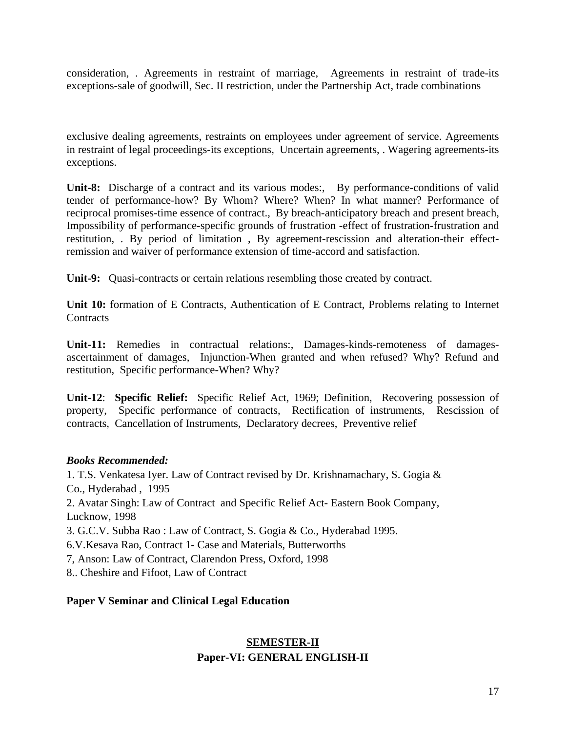consideration, . Agreements in restraint of marriage, Agreements in restraint of trade-its exceptions-sale of goodwill, Sec. II restriction, under the Partnership Act, trade combinations

exclusive dealing agreements, restraints on employees under agreement of service. Agreements in restraint of legal proceedings-its exceptions, Uncertain agreements, . Wagering agreements-its exceptions.

**Unit-8:** Discharge of a contract and its various modes:, By performance-conditions of valid tender of performance-how? By Whom? Where? When? In what manner? Performance of reciprocal promises-time essence of contract., By breach-anticipatory breach and present breach, Impossibility of performance-specific grounds of frustration -effect of frustration-frustration and restitution, . By period of limitation , By agreement-rescission and alteration-their effectremission and waiver of performance extension of time-accord and satisfaction.

**Unit-9:** Quasi-contracts or certain relations resembling those created by contract.

**Unit 10:** formation of E Contracts, Authentication of E Contract, Problems relating to Internet **Contracts** 

**Unit-11:** Remedies in contractual relations:, Damages-kinds-remoteness of damagesascertainment of damages, Injunction-When granted and when refused? Why? Refund and restitution, Specific performance-When? Why?

**Unit-12**: **Specific Relief:** Specific Relief Act, 1969; Definition, Recovering possession of property, Specific performance of contracts, Rectification of instruments, Rescission of contracts, Cancellation of Instruments, Declaratory decrees, Preventive relief

#### *Books Recommended:*

1. T.S. Venkatesa Iyer. Law of Contract revised by Dr. Krishnamachary, S. Gogia & Co., Hyderabad , 1995 2. Avatar Singh: Law of Contract and Specific Relief Act- Eastern Book Company, Lucknow, 1998 3. G.C.V. Subba Rao : Law of Contract, S. Gogia & Co., Hyderabad 1995. 6.V.Kesava Rao, Contract 1- Case and Materials, Butterworths 7, Anson: Law of Contract, Clarendon Press, Oxford, 1998

8.. Cheshire and Fifoot, Law of Contract

### **Paper V Seminar and Clinical Legal Education**

# **SEMESTER-II Paper-VI: GENERAL ENGLISH-II**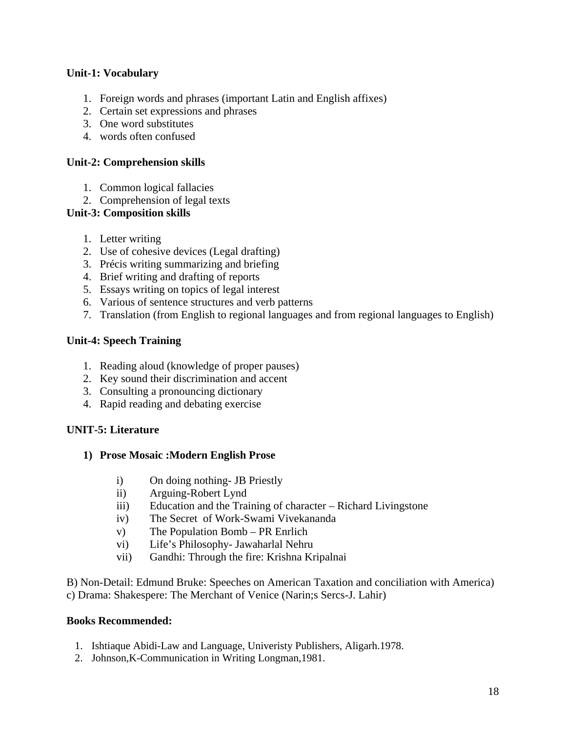### **Unit-1: Vocabulary**

- 1. Foreign words and phrases (important Latin and English affixes)
- 2. Certain set expressions and phrases
- 3. One word substitutes
- 4. words often confused

# **Unit-2: Comprehension skills**

- 1. Common logical fallacies
- 2. Comprehension of legal texts

# **Unit-3: Composition skills**

- 1. Letter writing
- 2. Use of cohesive devices (Legal drafting)
- 3. Précis writing summarizing and briefing
- 4. Brief writing and drafting of reports
- 5. Essays writing on topics of legal interest
- 6. Various of sentence structures and verb patterns
- 7. Translation (from English to regional languages and from regional languages to English)

# **Unit-4: Speech Training**

- 1. Reading aloud (knowledge of proper pauses)
- 2. Key sound their discrimination and accent
- 3. Consulting a pronouncing dictionary
- 4. Rapid reading and debating exercise

# **UNIT-5: Literature**

### **1) Prose Mosaic :Modern English Prose**

- i) On doing nothing- JB Priestly
- ii) Arguing-Robert Lynd
- iii) Education and the Training of character Richard Livingstone
- iv) The Secret of Work-Swami Vivekananda
- v) The Population Bomb PR Enrlich
- vi) Life's Philosophy- Jawaharlal Nehru
- vii) Gandhi: Through the fire: Krishna Kripalnai

B) Non-Detail: Edmund Bruke: Speeches on American Taxation and conciliation with America) c) Drama: Shakespere: The Merchant of Venice (Narin;s Sercs-J. Lahir)

- 1. Ishtiaque Abidi-Law and Language, Univeristy Publishers, Aligarh.1978.
- 2. Johnson,K-Communication in Writing Longman,1981.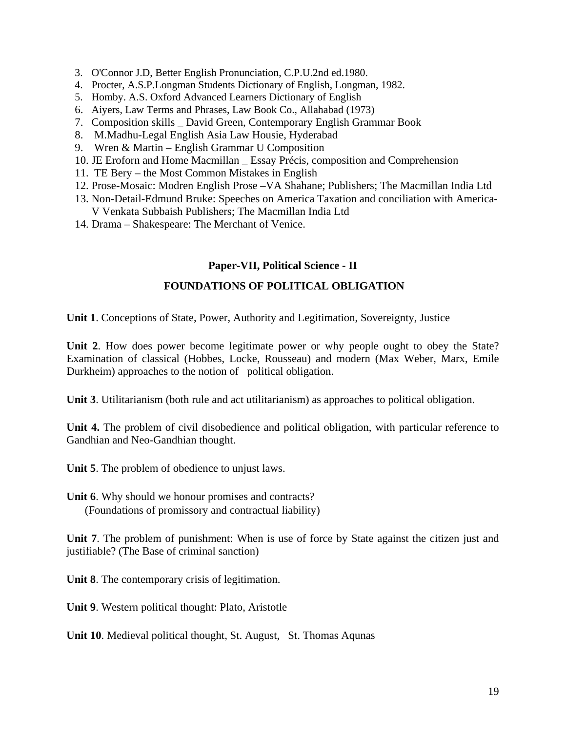- 3. O'Connor J.D, Better English Pronunciation, C.P.U.2nd ed.1980.
- 4. Procter, A.S.P.Longman Students Dictionary of English, Longman, 1982.
- 5. Homby. A.S. Oxford Advanced Learners Dictionary of English
- 6. Aiyers, Law Terms and Phrases, Law Book Co., Allahabad (1973)
- 7. Composition skills \_ David Green, Contemporary English Grammar Book
- 8. M.Madhu-Legal English Asia Law Housie, Hyderabad
- 9. Wren & Martin English Grammar U Composition
- 10. JE Eroforn and Home Macmillan \_ Essay Précis, composition and Comprehension
- 11. TE Bery the Most Common Mistakes in English
- 12. Prose-Mosaic: Modren English Prose –VA Shahane; Publishers; The Macmillan India Ltd
- 13. Non-Detail-Edmund Bruke: Speeches on America Taxation and conciliation with America-V Venkata Subbaish Publishers; The Macmillan India Ltd
- 14. Drama Shakespeare: The Merchant of Venice.

#### **Paper-VII, Political Science - II**

### **FOUNDATIONS OF POLITICAL OBLIGATION**

**Unit 1**. Conceptions of State, Power, Authority and Legitimation, Sovereignty, Justice

**Unit 2**. How does power become legitimate power or why people ought to obey the State? Examination of classical (Hobbes, Locke, Rousseau) and modern (Max Weber, Marx, Emile Durkheim) approaches to the notion of political obligation.

**Unit 3**. Utilitarianism (both rule and act utilitarianism) as approaches to political obligation.

**Unit 4.** The problem of civil disobedience and political obligation, with particular reference to Gandhian and Neo-Gandhian thought.

**Unit 5**. The problem of obedience to unjust laws.

**Unit 6**. Why should we honour promises and contracts? (Foundations of promissory and contractual liability)

**Unit 7**. The problem of punishment: When is use of force by State against the citizen just and justifiable? (The Base of criminal sanction)

**Unit 8**. The contemporary crisis of legitimation.

**Unit 9**. Western political thought: Plato, Aristotle

**Unit 10**. Medieval political thought, St. August, St. Thomas Aqunas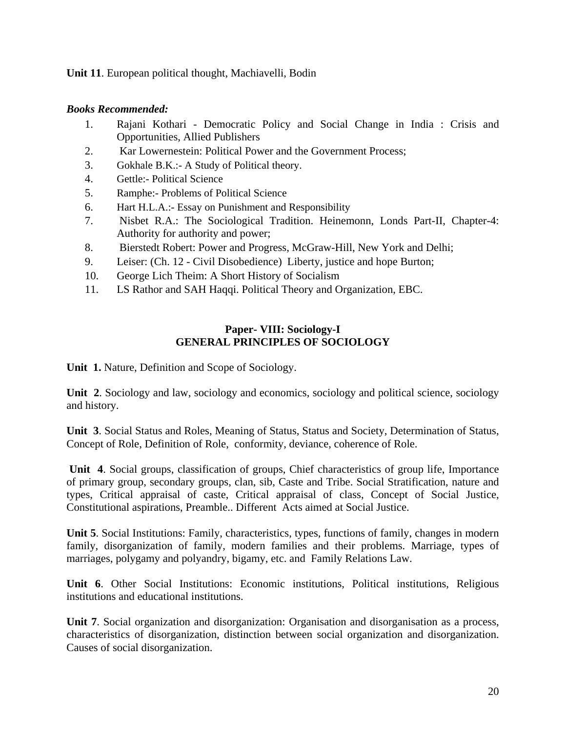**Unit 11**. European political thought, Machiavelli, Bodin

### *Books Recommended:*

- 1. Rajani Kothari Democratic Policy and Social Change in India : Crisis and Opportunities, Allied Publishers
- 2. Kar Lowernestein: Political Power and the Government Process;
- 3. Gokhale B.K.:- A Study of Political theory.
- 4. Gettle:- Political Science
- 5. Ramphe:- Problems of Political Science
- 6. Hart H.L.A.:- Essay on Punishment and Responsibility
- 7. Nisbet R.A.: The Sociological Tradition. Heinemonn, Londs Part-II, Chapter-4: Authority for authority and power;
- 8. Bierstedt Robert: Power and Progress, McGraw-Hill, New York and Delhi;
- 9. Leiser: (Ch. 12 Civil Disobedience) Liberty, justice and hope Burton;
- 10. George Lich Theim: A Short History of Socialism
- 11. LS Rathor and SAH Haqqi. Political Theory and Organization, EBC.

### **Paper- VIII: Sociology-I GENERAL PRINCIPLES OF SOCIOLOGY**

**Unit 1.** Nature, Definition and Scope of Sociology.

**Unit 2**. Sociology and law, sociology and economics, sociology and political science, sociology and history.

**Unit 3**. Social Status and Roles, Meaning of Status, Status and Society, Determination of Status, Concept of Role, Definition of Role, conformity, deviance, coherence of Role.

**Unit 4**. Social groups, classification of groups, Chief characteristics of group life, Importance of primary group, secondary groups, clan, sib, Caste and Tribe. Social Stratification, nature and types, Critical appraisal of caste, Critical appraisal of class, Concept of Social Justice, Constitutional aspirations, Preamble.. Different Acts aimed at Social Justice.

**Unit 5**. Social Institutions: Family, characteristics, types, functions of family, changes in modern family, disorganization of family, modern families and their problems. Marriage, types of marriages, polygamy and polyandry, bigamy, etc. and Family Relations Law.

**Unit 6**. Other Social Institutions: Economic institutions, Political institutions, Religious institutions and educational institutions.

**Unit 7**. Social organization and disorganization: Organisation and disorganisation as a process, characteristics of disorganization, distinction between social organization and disorganization. Causes of social disorganization.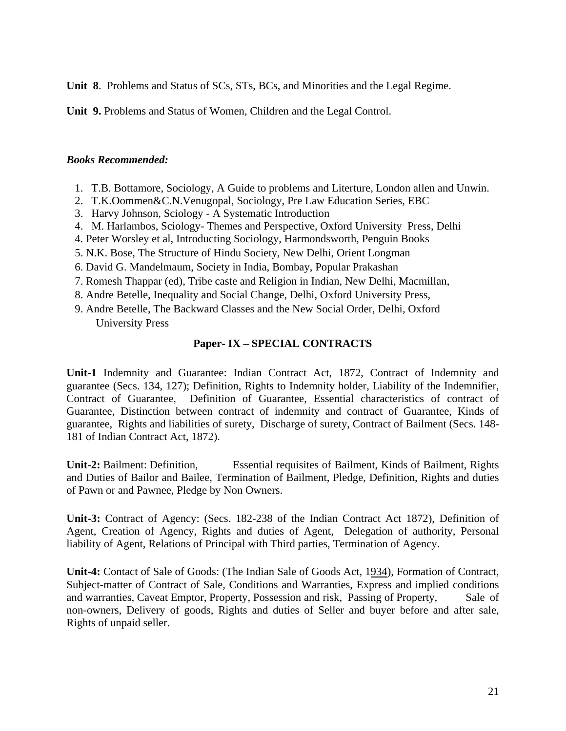**Unit 8**. Problems and Status of SCs, STs, BCs, and Minorities and the Legal Regime.

**Unit 9.** Problems and Status of Women, Children and the Legal Control.

#### *Books Recommended:*

- 1. T.B. Bottamore, Sociology, A Guide to problems and Literture, London allen and Unwin.
- 2. T.K.Oommen&C.N.Venugopal, Sociology, Pre Law Education Series, EBC
- 3. Harvy Johnson, Sciology A Systematic Introduction
- 4. M. Harlambos, Sciology- Themes and Perspective, Oxford University Press, Delhi
- 4. Peter Worsley et al, Introducting Sociology, Harmondsworth, Penguin Books
- 5. N.K. Bose, The Structure of Hindu Society, New Delhi, Orient Longman
- 6. David G. Mandelmaum, Society in India, Bombay, Popular Prakashan
- 7. Romesh Thappar (ed), Tribe caste and Religion in Indian, New Delhi, Macmillan,
- 8. Andre Betelle, Inequality and Social Change, Delhi, Oxford University Press,
- 9. Andre Betelle, The Backward Classes and the New Social Order, Delhi, Oxford University Press

### **Paper- IX – SPECIAL CONTRACTS**

**Unit-1** Indemnity and Guarantee: Indian Contract Act, 1872, Contract of Indemnity and guarantee (Secs. 134, 127); Definition, Rights to Indemnity holder, Liability of the Indemnifier, Contract of Guarantee, Definition of Guarantee, Essential characteristics of contract of Guarantee, Distinction between contract of indemnity and contract of Guarantee, Kinds of guarantee, Rights and liabilities of surety, Discharge of surety, Contract of Bailment (Secs. 148- 181 of Indian Contract Act, 1872).

**Unit-2:** Bailment: Definition, Essential requisites of Bailment, Kinds of Bailment, Rights and Duties of Bailor and Bailee, Termination of Bailment, Pledge, Definition, Rights and duties of Pawn or and Pawnee, Pledge by Non Owners.

**Unit-3:** Contract of Agency: (Secs. 182-238 of the Indian Contract Act 1872), Definition of Agent, Creation of Agency, Rights and duties of Agent, Delegation of authority, Personal liability of Agent, Relations of Principal with Third parties, Termination of Agency.

**Unit-4:** Contact of Sale of Goods: (The Indian Sale of Goods Act, 1934), Formation of Contract, Subject-matter of Contract of Sale, Conditions and Warranties, Express and implied conditions and warranties, Caveat Emptor, Property, Possession and risk, Passing of Property, Sale of non-owners, Delivery of goods, Rights and duties of Seller and buyer before and after sale, Rights of unpaid seller.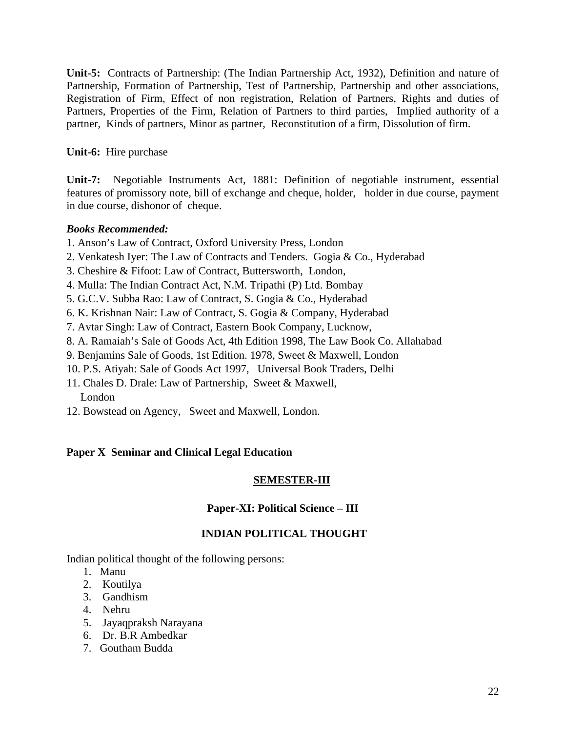**Unit-5:** Contracts of Partnership: (The Indian Partnership Act, 1932), Definition and nature of Partnership, Formation of Partnership, Test of Partnership, Partnership and other associations, Registration of Firm, Effect of non registration, Relation of Partners, Rights and duties of Partners, Properties of the Firm, Relation of Partners to third parties, Implied authority of a partner, Kinds of partners, Minor as partner, Reconstitution of a firm, Dissolution of firm.

### **Unit-6:** Hire purchase

**Unit-7:** Negotiable Instruments Act, 1881: Definition of negotiable instrument, essential features of promissory note, bill of exchange and cheque, holder, holder in due course, payment in due course, dishonor of cheque.

### *Books Recommended:*

- 1. Anson's Law of Contract, Oxford University Press, London
- 2. Venkatesh Iyer: The Law of Contracts and Tenders. Gogia & Co., Hyderabad
- 3. Cheshire & Fifoot: Law of Contract, Buttersworth, London,
- 4. Mulla: The Indian Contract Act, N.M. Tripathi (P) Ltd. Bombay
- 5. G.C.V. Subba Rao: Law of Contract, S. Gogia & Co., Hyderabad
- 6. K. Krishnan Nair: Law of Contract, S. Gogia & Company, Hyderabad
- 7. Avtar Singh: Law of Contract, Eastern Book Company, Lucknow,
- 8. A. Ramaiah's Sale of Goods Act, 4th Edition 1998, The Law Book Co. Allahabad
- 9. Benjamins Sale of Goods, 1st Edition. 1978, Sweet & Maxwell, London
- 10. P.S. Atiyah: Sale of Goods Act 1997, Universal Book Traders, Delhi
- 11. Chales D. Drale: Law of Partnership, Sweet & Maxwell, London
- 12. Bowstead on Agency, Sweet and Maxwell, London.

### **Paper X Seminar and Clinical Legal Education**

### **SEMESTER-III**

### **Paper-XI: Political Science – III**

### **INDIAN POLITICAL THOUGHT**

Indian political thought of the following persons:

- 1. Manu
- 2. Koutilya
- 3. Gandhism
- 4. Nehru
- 5. Jayaqpraksh Narayana
- 6. Dr. B.R Ambedkar
- 7. Goutham Budda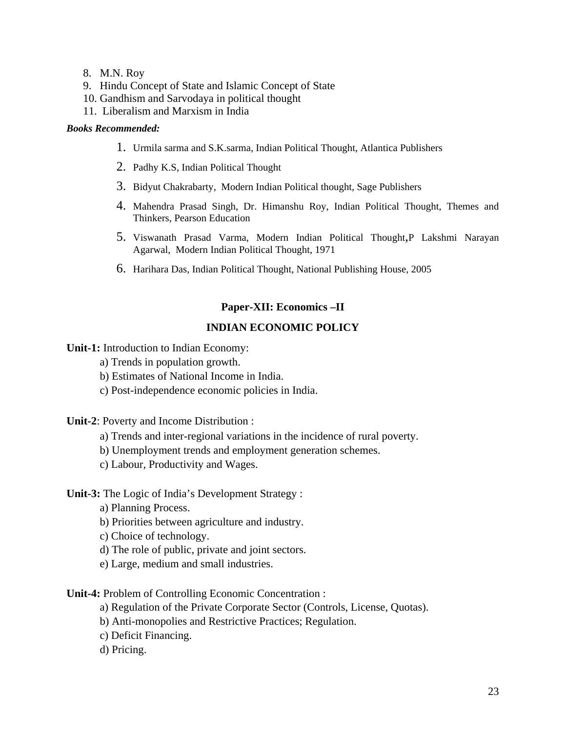- 8. M.N. Roy
- 9. Hindu Concept of State and Islamic Concept of State
- 10. Gandhism and Sarvodaya in political thought
- 11. Liberalism and Marxism in India

#### *Books Recommended:*

- 1. Urmila sarma and S.K.sarma, Indian Political Thought, Atlantica Publishers
- 2. Padhy K.S, Indian Political Thought
- 3. Bidyut Chakrabarty, Modern Indian Political thought, Sage Publishers
- 4. Mahendra Prasad Singh, Dr. Himanshu Roy, Indian Political Thought, Themes and Thinkers, Pearson Education
- 5. Viswanath Prasad Varma, Modern Indian Political Thought,P Lakshmi Narayan Agarwal, Modern Indian Political Thought, 1971
- 6. Harihara Das, Indian Political Thought, National Publishing House, 2005

### **Paper-XII: Economics –II**

### **INDIAN ECONOMIC POLICY**

**Unit-1:** Introduction to Indian Economy:

a) Trends in population growth.

- b) Estimates of National Income in India.
- c) Post-independence economic policies in India.

**Unit-2**: Poverty and Income Distribution :

- a) Trends and inter-regional variations in the incidence of rural poverty.
- b) Unemployment trends and employment generation schemes.
- c) Labour, Productivity and Wages.

#### **Unit-3:** The Logic of India's Development Strategy :

- a) Planning Process.
- b) Priorities between agriculture and industry.
- c) Choice of technology.
- d) The role of public, private and joint sectors.
- e) Large, medium and small industries.

#### **Unit-4:** Problem of Controlling Economic Concentration :

- a) Regulation of the Private Corporate Sector (Controls, License, Quotas).
- b) Anti-monopolies and Restrictive Practices; Regulation.
- c) Deficit Financing.
- d) Pricing.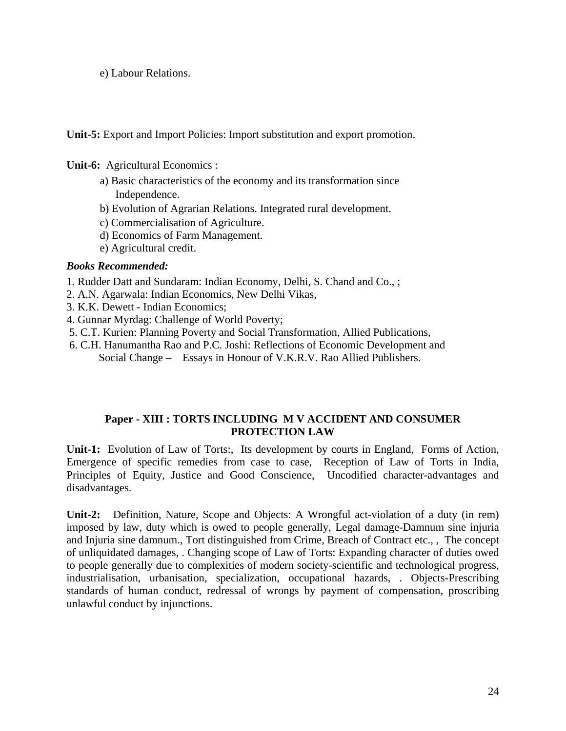e) Labour Relations.

**Unit-5:** Export and Import Policies: Import substitution and export promotion.

**Unit-6:** Agricultural Economics :

- a) Basic characteristics of the economy and its transformation since Independence.
- b) Evolution of Agrarian Relations. Integrated rural development.
- c) Commercialisation of Agriculture.
- d) Economics of Farm Management.
- e) Agricultural credit.

### *Books Recommended:*

- 1. Rudder Datt and Sundaram: Indian Economy, Delhi, S. Chand and Co., ;
- 2. A.N. Agarwala: Indian Economics, New Delhi Vikas,
- 3. K.K. Dewett Indian Economics;
- 4. Gunnar Myrdag: Challenge of World Poverty;
- 5. C.T. Kurien: Planning Poverty and Social Transformation, Allied Publications,
- 6. C.H. Hanumantha Rao and P.C. Joshi: Reflections of Economic Development and Social Change – Essays in Honour of V.K.R.V. Rao Allied Publishers.

### **Paper - XIII : TORTS INCLUDING M V ACCIDENT AND CONSUMER PROTECTION LAW**

**Unit-1:** Evolution of Law of Torts:, Its development by courts in England, Forms of Action, Emergence of specific remedies from case to case, Reception of Law of Torts in India, Principles of Equity, Justice and Good Conscience, Uncodified character-advantages and disadvantages.

**Unit-2:** Definition, Nature, Scope and Objects: A Wrongful act-violation of a duty (in rem) imposed by law, duty which is owed to people generally, Legal damage-Damnum sine injuria and Injuria sine damnum., Tort distinguished from Crime, Breach of Contract etc., , The concept of unliquidated damages, . Changing scope of Law of Torts: Expanding character of duties owed to people generally due to complexities of modern society-scientific and technological progress, industrialisation, urbanisation, specialization, occupational hazards, . Objects-Prescribing standards of human conduct, redressal of wrongs by payment of compensation, proscribing unlawful conduct by injunctions.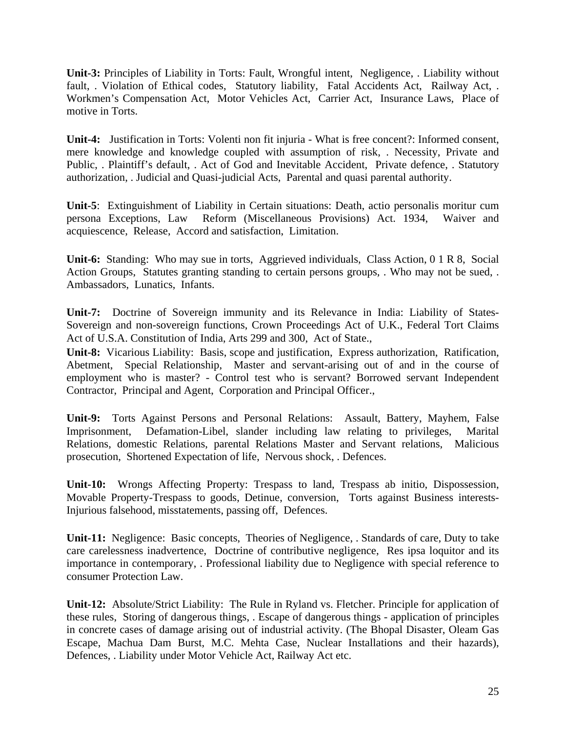**Unit-3:** Principles of Liability in Torts: Fault, Wrongful intent, Negligence, . Liability without fault, . Violation of Ethical codes, Statutory liability, Fatal Accidents Act, Railway Act, . Workmen's Compensation Act, Motor Vehicles Act, Carrier Act, Insurance Laws, Place of motive in Torts.

**Unit-4:** Justification in Torts: Volenti non fit injuria - What is free concent?: Informed consent, mere knowledge and knowledge coupled with assumption of risk, . Necessity, Private and Public, . Plaintiff's default, . Act of God and Inevitable Accident, Private defence, . Statutory authorization, . Judicial and Quasi-judicial Acts, Parental and quasi parental authority.

**Unit-5**: Extinguishment of Liability in Certain situations: Death, actio personalis moritur cum persona Exceptions, Law Reform (Miscellaneous Provisions) Act. 1934, Waiver and acquiescence, Release, Accord and satisfaction, Limitation.

**Unit-6:** Standing: Who may sue in torts, Aggrieved individuals, Class Action, 0 1 R 8, Social Action Groups, Statutes granting standing to certain persons groups, . Who may not be sued, . Ambassadors, Lunatics, Infants.

**Unit-7:** Doctrine of Sovereign immunity and its Relevance in India: Liability of States-Sovereign and non-sovereign functions, Crown Proceedings Act of U.K., Federal Tort Claims Act of U.S.A. Constitution of India, Arts 299 and 300, Act of State.,

**Unit-8:** Vicarious Liability: Basis, scope and justification, Express authorization, Ratification, Abetment, Special Relationship, Master and servant-arising out of and in the course of employment who is master? - Control test who is servant? Borrowed servant Independent Contractor, Principal and Agent, Corporation and Principal Officer.,

**Unit-9:** Torts Against Persons and Personal Relations: Assault, Battery, Mayhem, False Imprisonment, Defamation-Libel, slander including law relating to privileges, Marital Relations, domestic Relations, parental Relations Master and Servant relations, Malicious prosecution, Shortened Expectation of life, Nervous shock, . Defences.

**Unit-10:** Wrongs Affecting Property: Trespass to land, Trespass ab initio, Dispossession, Movable Property-Trespass to goods, Detinue, conversion, Torts against Business interests-Injurious falsehood, misstatements, passing off, Defences.

**Unit-11:** Negligence: Basic concepts, Theories of Negligence, . Standards of care, Duty to take care carelessness inadvertence, Doctrine of contributive negligence, Res ipsa loquitor and its importance in contemporary, . Professional liability due to Negligence with special reference to consumer Protection Law.

**Unit-12:** Absolute/Strict Liability: The Rule in Ryland vs. Fletcher. Principle for application of these rules, Storing of dangerous things, . Escape of dangerous things - application of principles in concrete cases of damage arising out of industrial activity. (The Bhopal Disaster, Oleam Gas Escape, Machua Dam Burst, M.C. Mehta Case, Nuclear Installations and their hazards), Defences, . Liability under Motor Vehicle Act, Railway Act etc.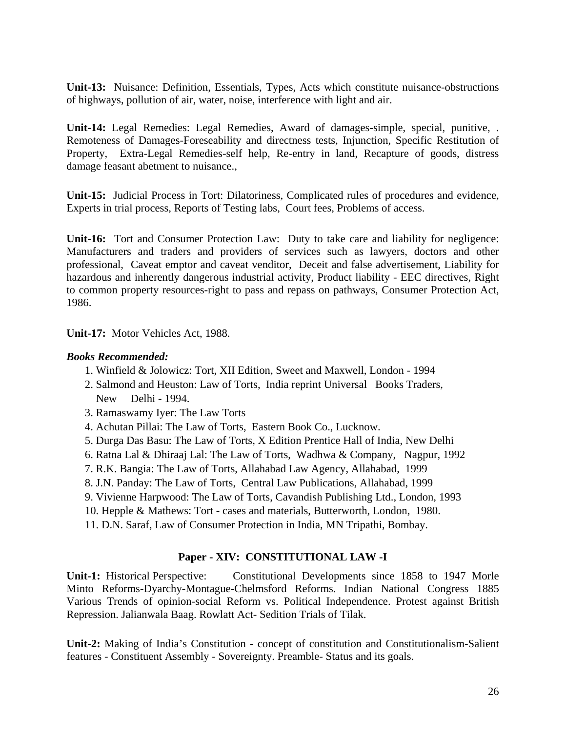**Unit-13:** Nuisance: Definition, Essentials, Types, Acts which constitute nuisance-obstructions of highways, pollution of air, water, noise, interference with light and air.

**Unit-14:** Legal Remedies: Legal Remedies, Award of damages-simple, special, punitive, . Remoteness of Damages-Foreseability and directness tests, Injunction, Specific Restitution of Property, Extra-Legal Remedies-self help, Re-entry in land, Recapture of goods, distress damage feasant abetment to nuisance.,

**Unit-15:** Judicial Process in Tort: Dilatoriness, Complicated rules of procedures and evidence, Experts in trial process, Reports of Testing labs, Court fees, Problems of access.

**Unit-16:** Tort and Consumer Protection Law: Duty to take care and liability for negligence: Manufacturers and traders and providers of services such as lawyers, doctors and other professional, Caveat emptor and caveat venditor, Deceit and false advertisement, Liability for hazardous and inherently dangerous industrial activity, Product liability - EEC directives, Right to common property resources-right to pass and repass on pathways, Consumer Protection Act, 1986.

**Unit-17:** Motor Vehicles Act, 1988.

### *Books Recommended:*

- 1. Winfield & Jolowicz: Tort, XII Edition, Sweet and Maxwell, London 1994
- 2. Salmond and Heuston: Law of Torts, India reprint Universal Books Traders, New Delhi - 1994.
- 3. Ramaswamy Iyer: The Law Torts
- 4. Achutan Pillai: The Law of Torts, Eastern Book Co., Lucknow.
- 5. Durga Das Basu: The Law of Torts, X Edition Prentice Hall of India, New Delhi
- 6. Ratna Lal & Dhiraaj Lal: The Law of Torts, Wadhwa & Company, Nagpur, 1992
- 7. R.K. Bangia: The Law of Torts, Allahabad Law Agency, Allahabad, 1999
- 8. J.N. Panday: The Law of Torts, Central Law Publications, Allahabad, 1999
- 9. Vivienne Harpwood: The Law of Torts, Cavandish Publishing Ltd., London, 1993
- 10. Hepple & Mathews: Tort cases and materials, Butterworth, London, 1980.
- 11. D.N. Saraf, Law of Consumer Protection in India, MN Tripathi, Bombay.

### **Paper - XIV: CONSTITUTIONAL LAW -I**

**Unit-1:** Historical Perspective: Constitutional Developments since 1858 to 1947 Morle Minto Reforms-Dyarchy-Montague-Chelmsford Reforms. Indian National Congress 1885 Various Trends of opinion-social Reform vs. Political Independence. Protest against British Repression. Jalianwala Baag. Rowlatt Act- Sedition Trials of Tilak.

**Unit-2:** Making of India's Constitution - concept of constitution and Constitutionalism-Salient features - Constituent Assembly - Sovereignty. Preamble- Status and its goals.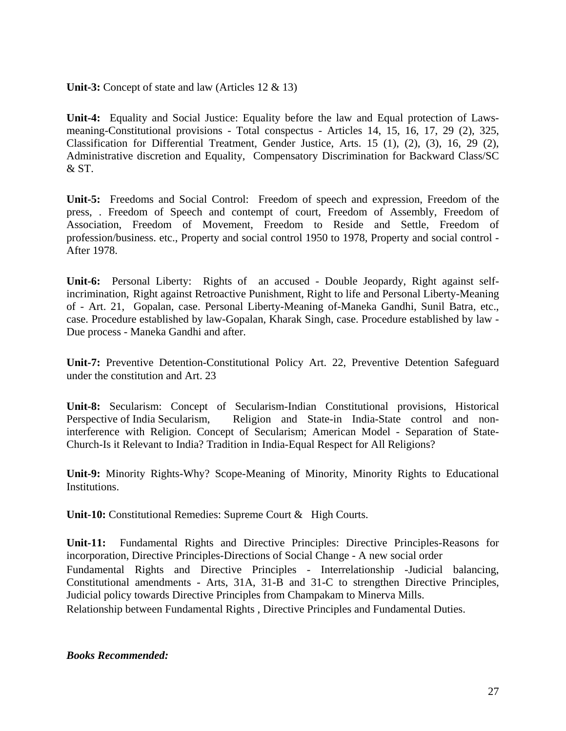**Unit-3:** Concept of state and law (Articles 12 & 13)

**Unit-4:** Equality and Social Justice: Equality before the law and Equal protection of Lawsmeaning-Constitutional provisions - Total conspectus - Articles 14, 15, 16, 17, 29 (2), 325, Classification for Differential Treatment, Gender Justice, Arts. 15 (1), (2), (3), 16, 29 (2), Administrative discretion and Equality, Compensatory Discrimination for Backward Class/SC & ST.

**Unit-5:** Freedoms and Social Control: Freedom of speech and expression, Freedom of the press, . Freedom of Speech and contempt of court, Freedom of Assembly, Freedom of Association, Freedom of Movement, Freedom to Reside and Settle, Freedom of profession/business. etc., Property and social control 1950 to 1978, Property and social control - After 1978.

**Unit-6:** Personal Liberty: Rights of an accused - Double Jeopardy, Right against selfincrimination, Right against Retroactive Punishment, Right to life and Personal Liberty-Meaning of - Art. 21, Gopalan, case. Personal Liberty-Meaning of-Maneka Gandhi, Sunil Batra, etc., case. Procedure established by law-Gopalan, Kharak Singh, case. Procedure established by law - Due process - Maneka Gandhi and after.

**Unit-7:** Preventive Detention-Constitutional Policy Art. 22, Preventive Detention Safeguard under the constitution and Art. 23

**Unit-8:** Secularism: Concept of Secularism-Indian Constitutional provisions, Historical Perspective of India Secularism, Religion and State-in India-State control and noninterference with Religion. Concept of Secularism; American Model - Separation of State-Church-Is it Relevant to India? Tradition in India-Equal Respect for All Religions?

**Unit-9:** Minority Rights-Why? Scope-Meaning of Minority, Minority Rights to Educational Institutions.

**Unit-10:** Constitutional Remedies: Supreme Court & High Courts.

**Unit-11:** Fundamental Rights and Directive Principles: Directive Principles-Reasons for incorporation, Directive Principles-Directions of Social Change - A new social order Fundamental Rights and Directive Principles - Interrelationship -Judicial balancing, Constitutional amendments - Arts, 31A, 31-B and 31-C to strengthen Directive Principles, Judicial policy towards Directive Principles from Champakam to Minerva Mills.

Relationship between Fundamental Rights , Directive Principles and Fundamental Duties.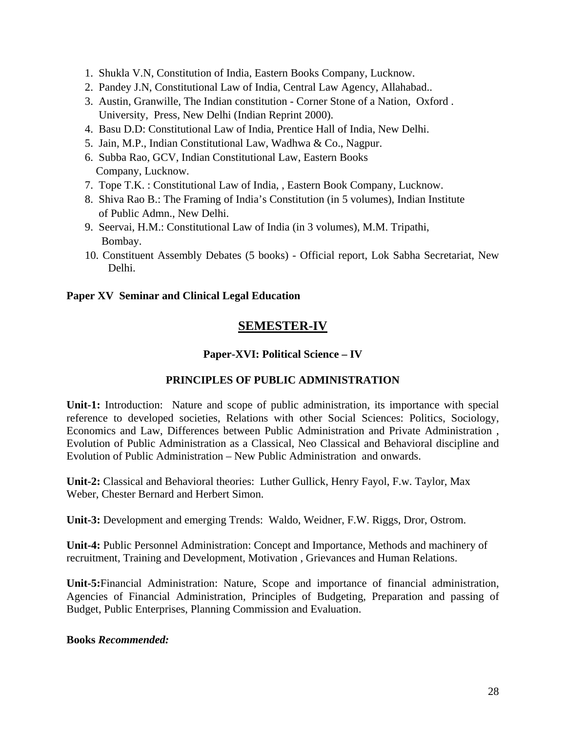- 1. Shukla V.N, Constitution of India, Eastern Books Company, Lucknow.
- 2. Pandey J.N, Constitutional Law of India, Central Law Agency, Allahabad..
- 3. Austin, Granwille, The Indian constitution Corner Stone of a Nation, Oxford . University, Press, New Delhi (Indian Reprint 2000).
- 4. Basu D.D: Constitutional Law of India, Prentice Hall of India, New Delhi.
- 5. Jain, M.P., Indian Constitutional Law, Wadhwa & Co., Nagpur.
- 6. Subba Rao, GCV, Indian Constitutional Law, Eastern Books Company, Lucknow.
- 7. Tope T.K. : Constitutional Law of India, , Eastern Book Company, Lucknow.
- 8. Shiva Rao B.: The Framing of India's Constitution (in 5 volumes), Indian Institute of Public Admn., New Delhi.
- 9. Seervai, H.M.: Constitutional Law of India (in 3 volumes), M.M. Tripathi, Bombay.
- 10. Constituent Assembly Debates (5 books) Official report, Lok Sabha Secretariat, New Delhi.

### **Paper XV Seminar and Clinical Legal Education**

# **SEMESTER-IV**

### **Paper-XVI: Political Science – IV**

### **PRINCIPLES OF PUBLIC ADMINISTRATION**

**Unit-1:** Introduction: Nature and scope of public administration, its importance with special reference to developed societies, Relations with other Social Sciences: Politics, Sociology, Economics and Law, Differences between Public Administration and Private Administration , Evolution of Public Administration as a Classical, Neo Classical and Behavioral discipline and Evolution of Public Administration – New Public Administration and onwards.

**Unit-2:** Classical and Behavioral theories:Luther Gullick, Henry Fayol, F.w. Taylor, Max Weber, Chester Bernard and Herbert Simon.

**Unit-3:** Development and emerging Trends: Waldo, Weidner, F.W. Riggs, Dror, Ostrom.

**Unit-4:** Public Personnel Administration: Concept and Importance, Methods and machinery of recruitment, Training and Development, Motivation , Grievances and Human Relations.

**Unit-5:**Financial Administration: Nature, Scope and importance of financial administration, Agencies of Financial Administration, Principles of Budgeting, Preparation and passing of Budget, Public Enterprises, Planning Commission and Evaluation.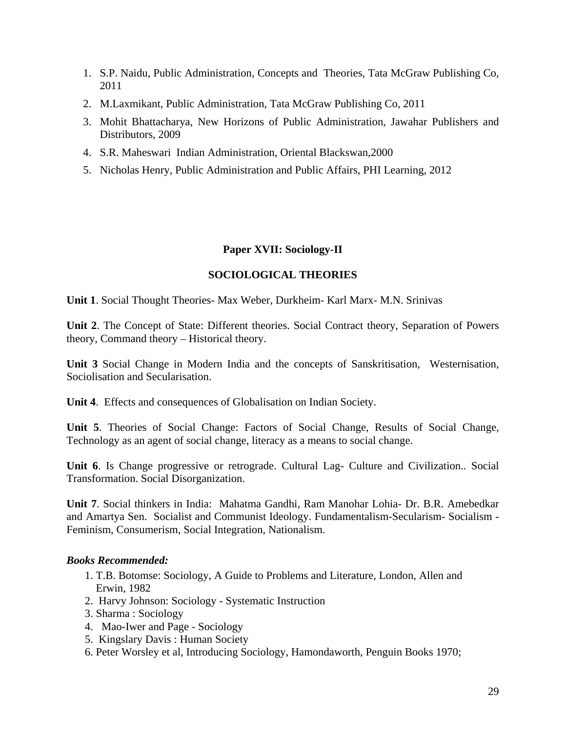- 1. S.P. Naidu, Public Administration, Concepts and Theories, Tata McGraw Publishing Co, 2011
- 2. M.Laxmikant, Public Administration, Tata McGraw Publishing Co, 2011
- 3. Mohit Bhattacharya, New Horizons of Public Administration, Jawahar Publishers and Distributors, 2009
- 4. S.R. Maheswari Indian Administration, Oriental Blackswan,2000
- 5. Nicholas Henry, Public Administration and Public Affairs, PHI Learning, 2012

### **Paper XVII: Sociology-II**

### **SOCIOLOGICAL THEORIES**

**Unit 1**. Social Thought Theories- Max Weber, Durkheim- Karl Marx- M.N. Srinivas

**Unit 2**. The Concept of State: Different theories. Social Contract theory, Separation of Powers theory, Command theory – Historical theory.

**Unit 3** Social Change in Modern India and the concepts of Sanskritisation, Westernisation, Sociolisation and Secularisation.

**Unit 4**. Effects and consequences of Globalisation on Indian Society.

**Unit 5**. Theories of Social Change: Factors of Social Change, Results of Social Change, Technology as an agent of social change, literacy as a means to social change.

**Unit 6**. Is Change progressive or retrograde. Cultural Lag- Culture and Civilization.. Social Transformation. Social Disorganization.

**Unit 7**. Social thinkers in India: Mahatma Gandhi, Ram Manohar Lohia- Dr. B.R. Amebedkar and Amartya Sen. Socialist and Communist Ideology. Fundamentalism-Secularism- Socialism - Feminism, Consumerism, Social Integration, Nationalism.

- 1. T.B. Botomse: Sociology, A Guide to Problems and Literature, London, Allen and Erwin, 1982
- 2. Harvy Johnson: Sociology Systematic Instruction
- 3. Sharma : Sociology
- 4. Mao-Iwer and Page Sociology
- 5. Kingslary Davis : Human Society
- 6. Peter Worsley et al, Introducing Sociology, Hamondaworth, Penguin Books 1970;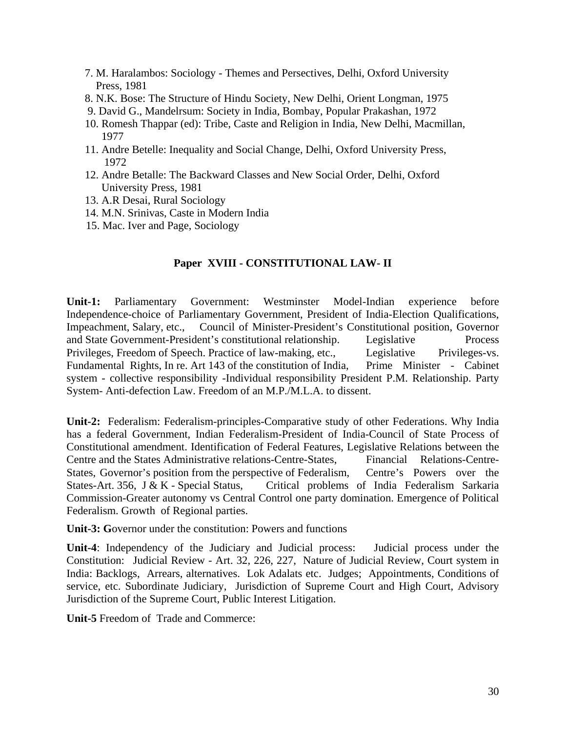- 7. M. Haralambos: Sociology Themes and Persectives, Delhi, Oxford University Press, 1981
- 8. N.K. Bose: The Structure of Hindu Society, New Delhi, Orient Longman, 1975
- 9. David G., Mandelrsum: Society in India, Bombay, Popular Prakashan, 1972
- 10. Romesh Thappar (ed): Tribe, Caste and Religion in India, New Delhi, Macmillan, 1977
- 11. Andre Betelle: Inequality and Social Change, Delhi, Oxford University Press, 1972
- 12. Andre Betalle: The Backward Classes and New Social Order, Delhi, Oxford University Press, 1981
- 13. A.R Desai, Rural Sociology
- 14. M.N. Srinivas, Caste in Modern India
- 15. Mac. Iver and Page, Sociology

#### **Paper XVIII - CONSTITUTIONAL LAW- II**

**Unit-1:** Parliamentary Government: Westminster Model-Indian experience before Independence-choice of Parliamentary Government, President of India-Election Qualifications, Impeachment, Salary, etc., Council of Minister-President's Constitutional position, Governor and State Government-President's constitutional relationship. Legislative Process Privileges, Freedom of Speech. Practice of law-making, etc., Legislative Privileges-vs. Fundamental Rights, In re. Art 143 of the constitution of India, Prime Minister - Cabinet system - collective responsibility -Individual responsibility President P.M. Relationship. Party System- Anti-defection Law. Freedom of an M.P./M.L.A. to dissent.

**Unit-2:** Federalism: Federalism-principles-Comparative study of other Federations. Why India has a federal Government, Indian Federalism-President of India-Council of State Process of Constitutional amendment. Identification of Federal Features, Legislative Relations between the Centre and the States Administrative relations-Centre-States, Financial Relations-Centre-States, Governor's position from the perspective of Federalism, Centre's Powers over the States-Art. 356, J & K - Special Status, Critical problems of India Federalism Sarkaria Commission-Greater autonomy vs Central Control one party domination. Emergence of Political Federalism. Growth of Regional parties.

**Unit-3: G**overnor under the constitution: Powers and functions

**Unit-4**: Independency of the Judiciary and Judicial process: Judicial process under the Constitution: Judicial Review - Art. 32, 226, 227, Nature of Judicial Review, Court system in India: Backlogs, Arrears, alternatives. Lok Adalats etc. Judges; Appointments, Conditions of service, etc. Subordinate Judiciary, Jurisdiction of Supreme Court and High Court, Advisory Jurisdiction of the Supreme Court, Public Interest Litigation.

**Unit-5** Freedom of Trade and Commerce: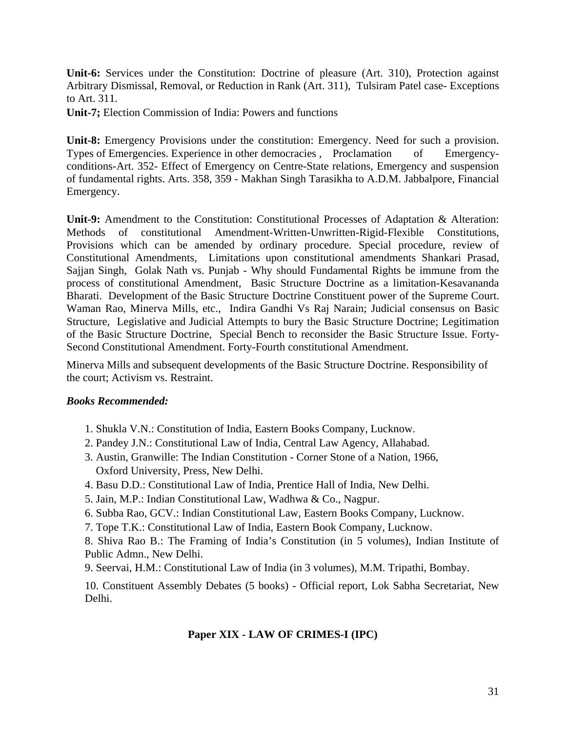**Unit-6:** Services under the Constitution: Doctrine of pleasure (Art. 310), Protection against Arbitrary Dismissal, Removal, or Reduction in Rank (Art. 311), Tulsiram Patel case- Exceptions to Art. 311.

**Unit-7;** Election Commission of India: Powers and functions

**Unit-8:** Emergency Provisions under the constitution: Emergency. Need for such a provision. Types of Emergencies. Experience in other democracies , Proclamation of Emergencyconditions-Art. 352- Effect of Emergency on Centre-State relations, Emergency and suspension of fundamental rights. Arts. 358, 359 - Makhan Singh Tarasikha to A.D.M. Jabbalpore, Financial Emergency.

**Unit-9:** Amendment to the Constitution: Constitutional Processes of Adaptation & Alteration: Methods of constitutional Amendment-Written-Unwritten-Rigid-Flexible Constitutions, Provisions which can be amended by ordinary procedure. Special procedure, review of Constitutional Amendments, Limitations upon constitutional amendments Shankari Prasad, Sajjan Singh, Golak Nath vs. Punjab - Why should Fundamental Rights be immune from the process of constitutional Amendment, Basic Structure Doctrine as a limitation-Kesavananda Bharati. Development of the Basic Structure Doctrine Constituent power of the Supreme Court. Waman Rao, Minerva Mills, etc., Indira Gandhi Vs Raj Narain; Judicial consensus on Basic Structure, Legislative and Judicial Attempts to bury the Basic Structure Doctrine; Legitimation of the Basic Structure Doctrine, Special Bench to reconsider the Basic Structure Issue. Forty-Second Constitutional Amendment. Forty-Fourth constitutional Amendment.

Minerva Mills and subsequent developments of the Basic Structure Doctrine. Responsibility of the court; Activism vs. Restraint.

#### *Books Recommended:*

- 1. Shukla V.N.: Constitution of India, Eastern Books Company, Lucknow.
- 2. Pandey J.N.: Constitutional Law of India, Central Law Agency, Allahabad.
- 3. Austin, Granwille: The Indian Constitution Corner Stone of a Nation, 1966, Oxford University, Press, New Delhi.
- 4. Basu D.D.: Constitutional Law of India, Prentice Hall of India, New Delhi.
- 5. Jain, M.P.: Indian Constitutional Law, Wadhwa & Co., Nagpur.
- 6. Subba Rao, GCV.: Indian Constitutional Law, Eastern Books Company, Lucknow.
- 7. Tope T.K.: Constitutional Law of India, Eastern Book Company, Lucknow.

8. Shiva Rao B.: The Framing of India's Constitution (in 5 volumes), Indian Institute of Public Admn., New Delhi.

9. Seervai, H.M.: Constitutional Law of India (in 3 volumes), M.M. Tripathi, Bombay.

10. Constituent Assembly Debates (5 books) - Official report, Lok Sabha Secretariat, New Delhi.

### **Paper XIX - LAW OF CRIMES-I (IPC)**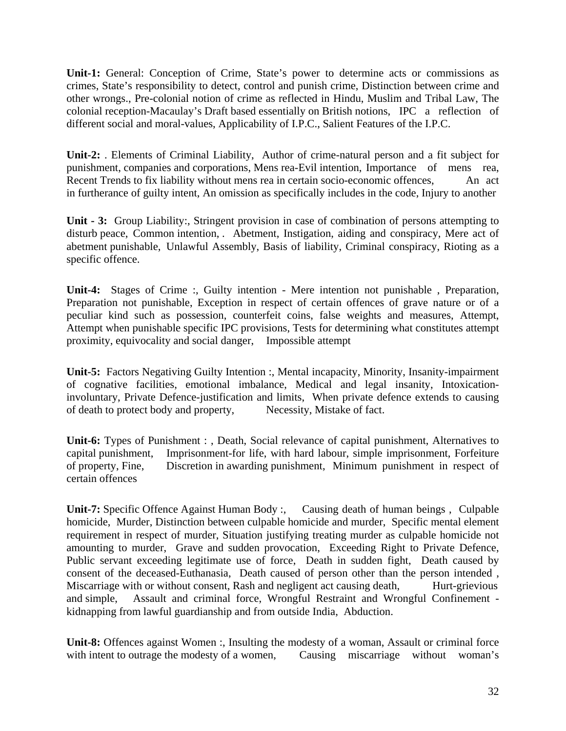**Unit-1:** General: Conception of Crime, State's power to determine acts or commissions as crimes, State's responsibility to detect, control and punish crime, Distinction between crime and other wrongs., Pre-colonial notion of crime as reflected in Hindu, Muslim and Tribal Law, The colonial reception-Macaulay's Draft based essentially on British notions, IPC a reflection of different social and moral-values, Applicability of I.P.C., Salient Features of the I.P.C.

**Unit-2:** . Elements of Criminal Liability, Author of crime-natural person and a fit subject for punishment, companies and corporations, Mens rea-Evil intention, Importance of mens rea, Recent Trends to fix liability without mens rea in certain socio-economic offences, An act in furtherance of guilty intent, An omission as specifically includes in the code, Injury to another

**Unit - 3:** Group Liability:, Stringent provision in case of combination of persons attempting to disturb peace, Common intention, . Abetment, Instigation, aiding and conspiracy, Mere act of abetment punishable, Unlawful Assembly, Basis of liability, Criminal conspiracy, Rioting as a specific offence.

**Unit-4:** Stages of Crime :, Guilty intention - Mere intention not punishable , Preparation, Preparation not punishable, Exception in respect of certain offences of grave nature or of a peculiar kind such as possession, counterfeit coins, false weights and measures, Attempt, Attempt when punishable specific IPC provisions, Tests for determining what constitutes attempt proximity, equivocality and social danger, Impossible attempt

**Unit-5:** Factors Negativing Guilty Intention :, Mental incapacity, Minority, Insanity-impairment of cognative facilities, emotional imbalance, Medical and legal insanity, Intoxicationinvoluntary, Private Defence-justification and limits, When private defence extends to causing of death to protect body and property, Necessity, Mistake of fact.

**Unit-6:** Types of Punishment : , Death, Social relevance of capital punishment, Alternatives to capital punishment, Imprisonment-for life, with hard labour, simple imprisonment, Forfeiture of property, Fine, Discretion in awarding punishment, Minimum punishment in respect of certain offences

**Unit-7:** Specific Offence Against Human Body :, Causing death of human beings , Culpable homicide, Murder, Distinction between culpable homicide and murder, Specific mental element requirement in respect of murder, Situation justifying treating murder as culpable homicide not amounting to murder, Grave and sudden provocation, Exceeding Right to Private Defence, Public servant exceeding legitimate use of force, Death in sudden fight, Death caused by consent of the deceased-Euthanasia, Death caused of person other than the person intended , Miscarriage with or without consent, Rash and negligent act causing death, Hurt-grievious and simple, Assault and criminal force, Wrongful Restraint and Wrongful Confinement kidnapping from lawful guardianship and from outside India, Abduction.

**Unit-8:** Offences against Women :, Insulting the modesty of a woman, Assault or criminal force with intent to outrage the modesty of a women, Causing miscarriage without woman's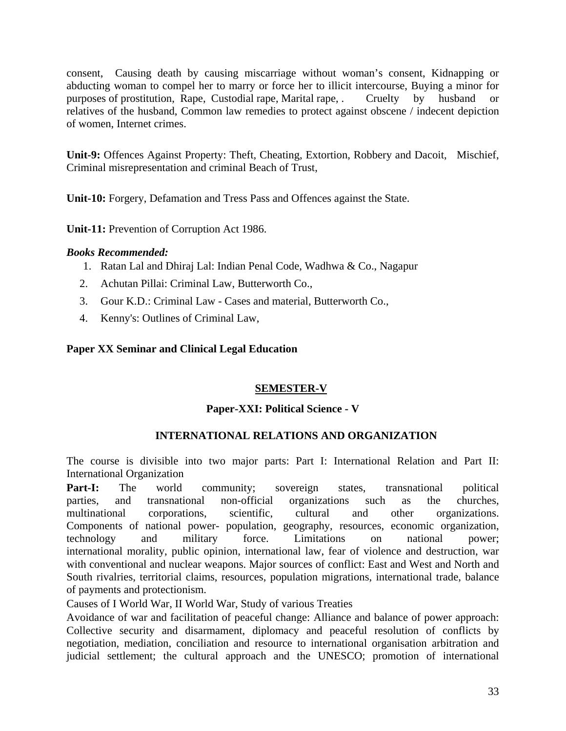consent, Causing death by causing miscarriage without woman's consent, Kidnapping or abducting woman to compel her to marry or force her to illicit intercourse, Buying a minor for purposes of prostitution, Rape, Custodial rape, Marital rape, . Cruelty by husband or relatives of the husband, Common law remedies to protect against obscene / indecent depiction of women, Internet crimes.

**Unit-9:** Offences Against Property: Theft, Cheating, Extortion, Robbery and Dacoit, Mischief, Criminal misrepresentation and criminal Beach of Trust,

**Unit-10:** Forgery, Defamation and Tress Pass and Offences against the State.

**Unit-11:** Prevention of Corruption Act 1986.

#### *Books Recommended:*

- 1. Ratan Lal and Dhiraj Lal: Indian Penal Code, Wadhwa & Co., Nagapur
- 2. Achutan Pillai: Criminal Law, Butterworth Co.,
- 3. Gour K.D.: Criminal Law Cases and material, Butterworth Co.,
- 4. Kenny's: Outlines of Criminal Law,

#### **Paper XX Seminar and Clinical Legal Education**

### **SEMESTER-V**

#### **Paper-XXI: Political Science - V**

### **INTERNATIONAL RELATIONS AND ORGANIZATION**

The course is divisible into two major parts: Part I: International Relation and Part II: International Organization

Part-I: The world community; sovereign states, transnational political parties, and transnational non-official organizations such as the churches, multinational corporations, scientific, cultural and other organizations. Components of national power- population, geography, resources, economic organization, technology and military force. Limitations on national power; international morality, public opinion, international law, fear of violence and destruction, war with conventional and nuclear weapons. Major sources of conflict: East and West and North and South rivalries, territorial claims, resources, population migrations, international trade, balance of payments and protectionism.

Causes of I World War, II World War, Study of various Treaties

Avoidance of war and facilitation of peaceful change: Alliance and balance of power approach: Collective security and disarmament, diplomacy and peaceful resolution of conflicts by negotiation, mediation, conciliation and resource to international organisation arbitration and judicial settlement; the cultural approach and the UNESCO; promotion of international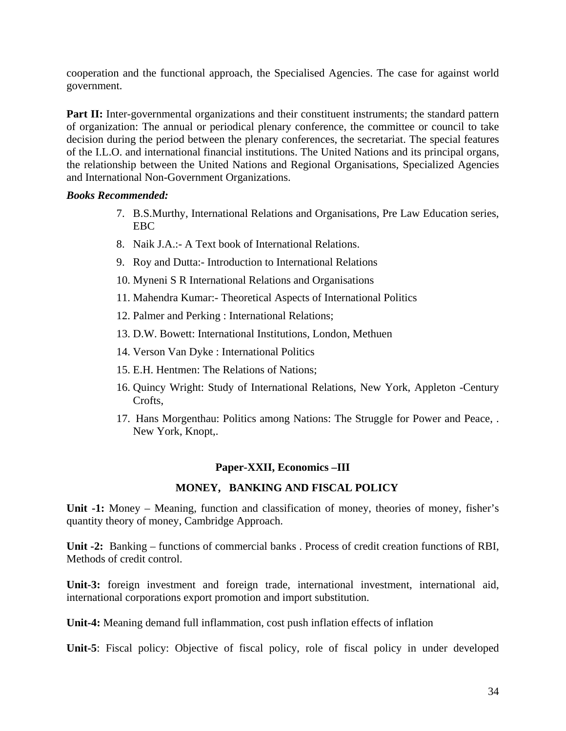cooperation and the functional approach, the Specialised Agencies. The case for against world government.

**Part II:** Inter-governmental organizations and their constituent instruments; the standard pattern of organization: The annual or periodical plenary conference, the committee or council to take decision during the period between the plenary conferences, the secretariat. The special features of the I.L.O. and international financial institutions. The United Nations and its principal organs, the relationship between the United Nations and Regional Organisations, Specialized Agencies and International Non-Government Organizations.

#### *Books Recommended:*

- 7. B.S.Murthy, International Relations and Organisations, Pre Law Education series, EBC
- 8. Naik J.A.:- A Text book of International Relations.
- 9. Roy and Dutta:- Introduction to International Relations
- 10. Myneni S R International Relations and Organisations
- 11. Mahendra Kumar:- Theoretical Aspects of International Politics
- 12. Palmer and Perking : International Relations;
- 13. D.W. Bowett: International Institutions, London, Methuen
- 14. Verson Van Dyke : International Politics
- 15. E.H. Hentmen: The Relations of Nations;
- 16. Quincy Wright: Study of International Relations, New York, Appleton -Century Crofts,
- 17. Hans Morgenthau: Politics among Nations: The Struggle for Power and Peace, . New York, Knopt,.

### **Paper-XXII, Economics –III**

### **MONEY, BANKING AND FISCAL POLICY**

**Unit -1:** Money – Meaning, function and classification of money, theories of money, fisher's quantity theory of money, Cambridge Approach.

**Unit -2:** Banking – functions of commercial banks . Process of credit creation functions of RBI, Methods of credit control.

**Unit-3:** foreign investment and foreign trade, international investment, international aid, international corporations export promotion and import substitution.

**Unit-4:** Meaning demand full inflammation, cost push inflation effects of inflation

**Unit-5**: Fiscal policy: Objective of fiscal policy, role of fiscal policy in under developed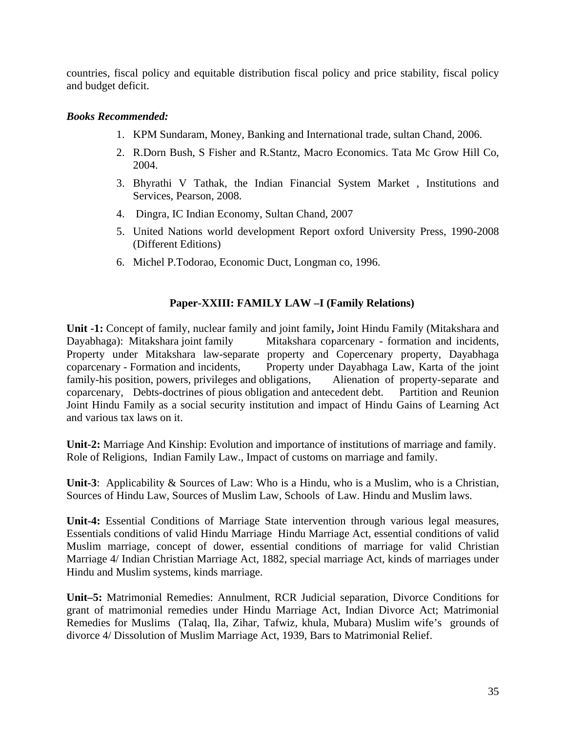countries, fiscal policy and equitable distribution fiscal policy and price stability, fiscal policy and budget deficit.

### *Books Recommended:*

- 1. KPM Sundaram, Money, Banking and International trade, sultan Chand, 2006.
- 2. R.Dorn Bush, S Fisher and R.Stantz, Macro Economics. Tata Mc Grow Hill Co, 2004.
- 3. Bhyrathi V Tathak, the Indian Financial System Market , Institutions and Services, Pearson, 2008.
- 4. Dingra, IC Indian Economy, Sultan Chand, 2007
- 5. United Nations world development Report oxford University Press, 1990-2008 (Different Editions)
- 6. Michel P.Todorao, Economic Duct, Longman co, 1996.

### **Paper-XXIII: FAMILY LAW –I (Family Relations)**

**Unit -1:** Concept of family, nuclear family and joint family**,** Joint Hindu Family (Mitakshara and Dayabhaga): Mitakshara joint family Mitakshara coparcenary - formation and incidents, Property under Mitakshara law-separate property and Copercenary property, Dayabhaga coparcenary - Formation and incidents, Property under Dayabhaga Law, Karta of the joint family-his position, powers, privileges and obligations, Alienation of property-separate and coparcenary, Debts-doctrines of pious obligation and antecedent debt. Partition and Reunion Joint Hindu Family as a social security institution and impact of Hindu Gains of Learning Act and various tax laws on it.

**Unit-2:** Marriage And Kinship: Evolution and importance of institutions of marriage and family. Role of Religions, Indian Family Law., Impact of customs on marriage and family.

**Unit-3**: Applicability & Sources of Law: Who is a Hindu, who is a Muslim, who is a Christian, Sources of Hindu Law, Sources of Muslim Law, Schools of Law. Hindu and Muslim laws.

**Unit-4:** Essential Conditions of Marriage State intervention through various legal measures, Essentials conditions of valid Hindu Marriage Hindu Marriage Act, essential conditions of valid Muslim marriage, concept of dower, essential conditions of marriage for valid Christian Marriage 4/ Indian Christian Marriage Act, 1882, special marriage Act, kinds of marriages under Hindu and Muslim systems, kinds marriage.

**Unit–5:** Matrimonial Remedies: Annulment, RCR Judicial separation, Divorce Conditions for grant of matrimonial remedies under Hindu Marriage Act, Indian Divorce Act; Matrimonial Remedies for Muslims (Talaq, Ila, Zihar, Tafwiz, khula, Mubara) Muslim wife's grounds of divorce 4/ Dissolution of Muslim Marriage Act, 1939, Bars to Matrimonial Relief.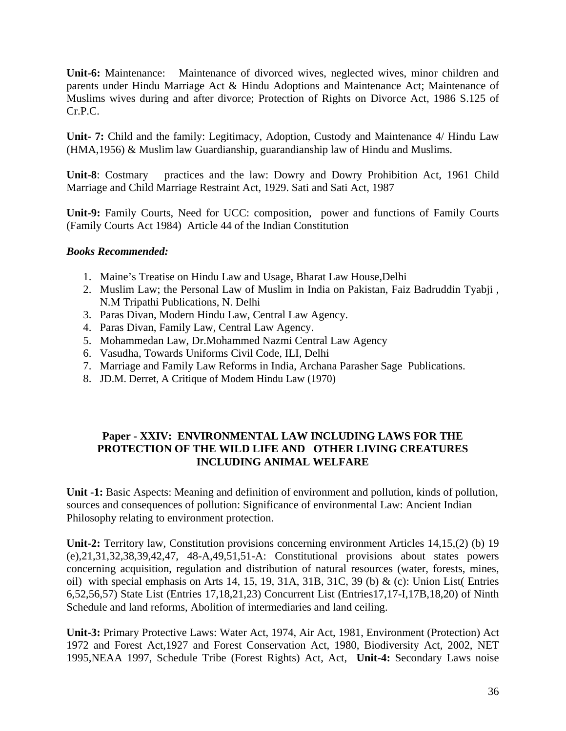**Unit-6:** Maintenance: Maintenance of divorced wives, neglected wives, minor children and parents under Hindu Marriage Act & Hindu Adoptions and Maintenance Act; Maintenance of Muslims wives during and after divorce; Protection of Rights on Divorce Act, 1986 S.125 of Cr.P.C.

**Unit- 7:** Child and the family: Legitimacy, Adoption, Custody and Maintenance 4/ Hindu Law (HMA,1956) & Muslim law Guardianship, guarandianship law of Hindu and Muslims.

**Unit-8**: Costmary practices and the law: Dowry and Dowry Prohibition Act, 1961 Child Marriage and Child Marriage Restraint Act, 1929. Sati and Sati Act, 1987

**Unit-9:** Family Courts, Need for UCC: composition, power and functions of Family Courts (Family Courts Act 1984) Article 44 of the Indian Constitution

### *Books Recommended:*

- 1. Maine's Treatise on Hindu Law and Usage, Bharat Law House,Delhi
- 2. Muslim Law; the Personal Law of Muslim in India on Pakistan, Faiz Badruddin Tyabji , N.M Tripathi Publications, N. Delhi
- 3. Paras Divan, Modern Hindu Law, Central Law Agency.
- 4. Paras Divan, Family Law, Central Law Agency.
- 5. Mohammedan Law, Dr.Mohammed Nazmi Central Law Agency
- 6. Vasudha, Towards Uniforms Civil Code, ILI, Delhi
- 7. Marriage and Family Law Reforms in India, Archana Parasher Sage Publications.
- 8. JD.M. Derret, A Critique of Modem Hindu Law (1970)

### **Paper - XXIV: ENVIRONMENTAL LAW INCLUDING LAWS FOR THE PROTECTION OF THE WILD LIFE AND OTHER LIVING CREATURES INCLUDING ANIMAL WELFARE**

**Unit -1:** Basic Aspects: Meaning and definition of environment and pollution, kinds of pollution, sources and consequences of pollution: Significance of environmental Law: Ancient Indian Philosophy relating to environment protection.

**Unit-2:** Territory law, Constitution provisions concerning environment Articles 14,15,(2) (b) 19 (e),21,31,32,38,39,42,47, 48-A,49,51,51-A: Constitutional provisions about states powers concerning acquisition, regulation and distribution of natural resources (water, forests, mines, oil) with special emphasis on Arts 14, 15, 19, 31A, 31B, 31C, 39 (b) & (c): Union List( Entries 6,52,56,57) State List (Entries 17,18,21,23) Concurrent List (Entries17,17-I,17B,18,20) of Ninth Schedule and land reforms, Abolition of intermediaries and land ceiling.

**Unit-3:** Primary Protective Laws: Water Act, 1974, Air Act, 1981, Environment (Protection) Act 1972 and Forest Act,1927 and Forest Conservation Act, 1980, Biodiversity Act, 2002, NET 1995,NEAA 1997, Schedule Tribe (Forest Rights) Act, Act, **Unit-4:** Secondary Laws noise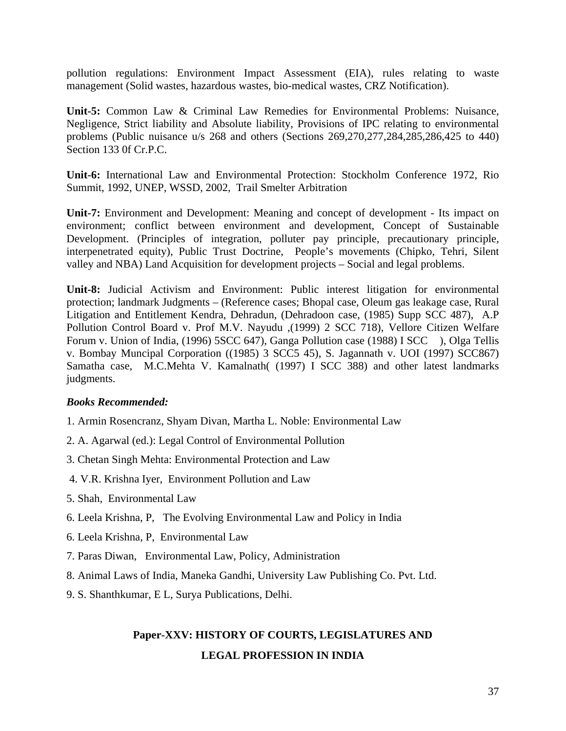pollution regulations: Environment Impact Assessment (EIA), rules relating to waste management (Solid wastes, hazardous wastes, bio-medical wastes, CRZ Notification).

**Unit-5:** Common Law & Criminal Law Remedies for Environmental Problems: Nuisance, Negligence, Strict liability and Absolute liability, Provisions of IPC relating to environmental problems (Public nuisance u/s 268 and others (Sections 269,270,277,284,285,286,425 to 440) Section 133 0f Cr.P.C.

**Unit-6:** International Law and Environmental Protection: Stockholm Conference 1972, Rio Summit, 1992, UNEP, WSSD, 2002, Trail Smelter Arbitration

**Unit-7:** Environment and Development: Meaning and concept of development - Its impact on environment; conflict between environment and development, Concept of Sustainable Development. (Principles of integration, polluter pay principle, precautionary principle, interpenetrated equity), Public Trust Doctrine, People's movements (Chipko, Tehri, Silent valley and NBA) Land Acquisition for development projects – Social and legal problems.

**Unit-8:** Judicial Activism and Environment: Public interest litigation for environmental protection; landmark Judgments – (Reference cases; Bhopal case, Oleum gas leakage case, Rural Litigation and Entitlement Kendra, Dehradun, (Dehradoon case, (1985) Supp SCC 487), A.P Pollution Control Board v. Prof M.V. Nayudu ,(1999) 2 SCC 718), Vellore Citizen Welfare Forum v. Union of India, (1996) 5SCC 647), Ganga Pollution case (1988) I SCC ), Olga Tellis v. Bombay Muncipal Corporation ((1985) 3 SCC5 45), S. Jagannath v. UOI (1997) SCC867) Samatha case, M.C.Mehta V. Kamalnath( (1997) I SCC 388) and other latest landmarks judgments.

#### *Books Recommended:*

- 1. Armin Rosencranz, Shyam Divan, Martha L. Noble: Environmental Law
- 2. A. Agarwal (ed.): Legal Control of Environmental Pollution
- 3. Chetan Singh Mehta: Environmental Protection and Law
- 4. V.R. Krishna Iyer, Environment Pollution and Law
- 5. Shah, Environmental Law
- 6. Leela Krishna, P, The Evolving Environmental Law and Policy in India
- 6. Leela Krishna, P, Environmental Law
- 7. Paras Diwan, Environmental Law, Policy, Administration
- 8. Animal Laws of India, Maneka Gandhi, University Law Publishing Co. Pvt. Ltd.
- 9. S. Shanthkumar, E L, Surya Publications, Delhi.

# **Paper-XXV: HISTORY OF COURTS, LEGISLATURES AND LEGAL PROFESSION IN INDIA**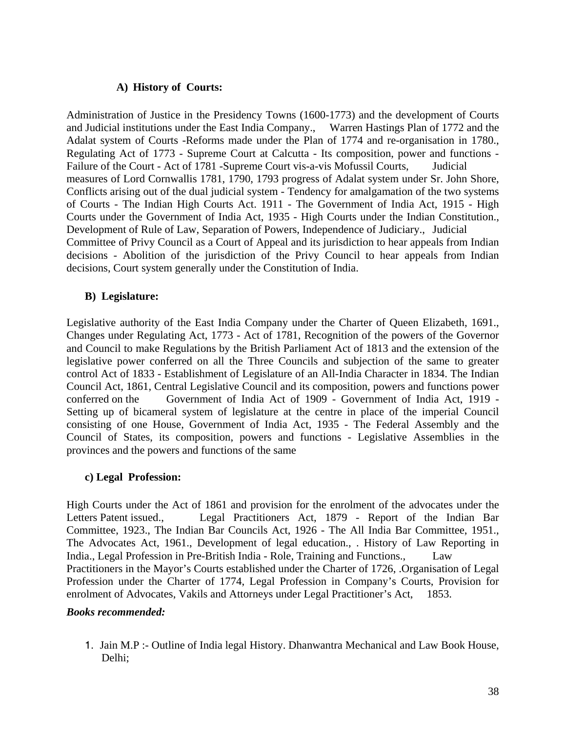### **A) History of Courts:**

Administration of Justice in the Presidency Towns (1600-1773) and the development of Courts and Judicial institutions under the East India Company., Warren Hastings Plan of 1772 and the Adalat system of Courts -Reforms made under the Plan of 1774 and re-organisation in 1780., Regulating Act of 1773 - Supreme Court at Calcutta - Its composition, power and functions - Failure of the Court - Act of 1781 -Supreme Court vis-a-vis Mofussil Courts, Judicial measures of Lord Cornwallis 1781, 1790, 1793 progress of Adalat system under Sr. John Shore, Conflicts arising out of the dual judicial system - Tendency for amalgamation of the two systems of Courts - The Indian High Courts Act. 1911 - The Government of India Act, 1915 - High Courts under the Government of India Act, 1935 - High Courts under the Indian Constitution., Development of Rule of Law, Separation of Powers, Independence of Judiciary., Judicial Committee of Privy Council as a Court of Appeal and its jurisdiction to hear appeals from Indian decisions - Abolition of the jurisdiction of the Privy Council to hear appeals from Indian decisions, Court system generally under the Constitution of India.

### **B) Legislature:**

Legislative authority of the East India Company under the Charter of Queen Elizabeth, 1691., Changes under Regulating Act, 1773 - Act of 1781, Recognition of the powers of the Governor and Council to make Regulations by the British Parliament Act of 1813 and the extension of the legislative power conferred on all the Three Councils and subjection of the same to greater control Act of 1833 - Establishment of Legislature of an All-India Character in 1834. The Indian Council Act, 1861, Central Legislative Council and its composition, powers and functions power conferred on the Government of India Act of 1909 - Government of India Act, 1919 - Setting up of bicameral system of legislature at the centre in place of the imperial Council consisting of one House, Government of India Act, 1935 - The Federal Assembly and the Council of States, its composition, powers and functions - Legislative Assemblies in the provinces and the powers and functions of the same

#### **c) Legal Profession:**

High Courts under the Act of 1861 and provision for the enrolment of the advocates under the Letters Patent issued., Legal Practitioners Act, 1879 - Report of the Indian Bar Committee, 1923., The Indian Bar Councils Act, 1926 - The All India Bar Committee, 1951., The Advocates Act, 1961., Development of legal education., . History of Law Reporting in India., Legal Profession in Pre-British India - Role, Training and Functions., Law Practitioners in the Mayor's Courts established under the Charter of 1726, .Organisation of Legal Profession under the Charter of 1774, Legal Profession in Company's Courts, Provision for enrolment of Advocates, Vakils and Attorneys under Legal Practitioner's Act, 1853.

#### *Books recommended:*

1. Jain M.P :- Outline of India legal History. Dhanwantra Mechanical and Law Book House, Delhi;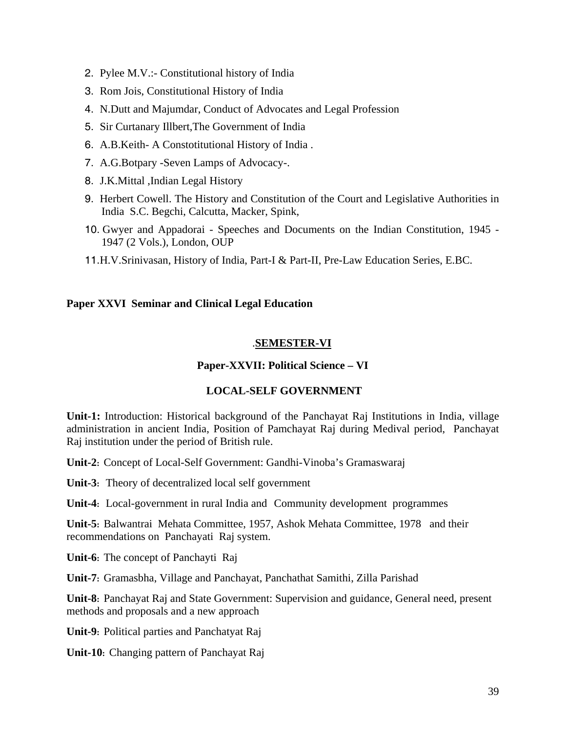- 2. Pylee M.V.:- Constitutional history of India
- 3. Rom Jois, Constitutional History of India
- 4. N.Dutt and Majumdar, Conduct of Advocates and Legal Profession
- 5. Sir Curtanary Illbert,The Government of India
- 6. A.B.Keith- A Constotitutional History of India .
- 7. A.G.Botpary -Seven Lamps of Advocacy-.
- 8. J.K.Mittal ,Indian Legal History
- 9. Herbert Cowell. The History and Constitution of the Court and Legislative Authorities in India S.C. Begchi, Calcutta, Macker, Spink,
- 10. Gwyer and Appadorai Speeches and Documents on the Indian Constitution, 1945 1947 (2 Vols.), London, OUP
- 11.H.V.Srinivasan, History of India, Part-I & Part-II, Pre-Law Education Series, E.BC.

#### **Paper XXVI Seminar and Clinical Legal Education**

### .**SEMESTER-VI**

### **Paper-XXVII: Political Science – VI**

#### **LOCAL-SELF GOVERNMENT**

**Unit-1:** Introduction: Historical background of the Panchayat Raj Institutions in India, village administration in ancient India, Position of Pamchayat Raj during Medival period, Panchayat Raj institution under the period of British rule.

**Unit-2:** Concept of Local-Self Government: Gandhi-Vinoba's Gramaswaraj

**Unit-3:** Theory of decentralized local self government

**Unit-4:** Local-government in rural India and Community development programmes

**Unit-5:** Balwantrai Mehata Committee, 1957, Ashok Mehata Committee, 1978 and their recommendations on Panchayati Raj system.

**Unit-6:** The concept of Panchayti Raj

**Unit-7:** Gramasbha, Village and Panchayat, Panchathat Samithi, Zilla Parishad

**Unit-8:** Panchayat Raj and State Government: Supervision and guidance, General need, present methods and proposals and a new approach

**Unit-9:** Political parties and Panchatyat Raj

**Unit-10:** Changing pattern of Panchayat Raj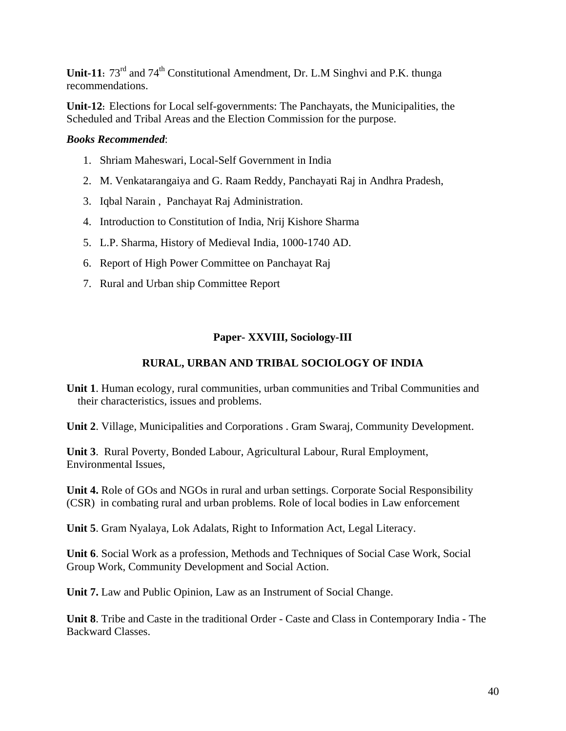**Unit-11:**  $73^{rd}$  and  $74^{th}$  Constitutional Amendment, Dr. L.M Singhvi and P.K. thunga recommendations.

**Unit-12:** Elections for Local self-governments: The Panchayats, the Municipalities, the Scheduled and Tribal Areas and the Election Commission for the purpose.

### *Books Recommended*:

- 1. Shriam Maheswari, Local-Self Government in India
- 2. M. Venkatarangaiya and G. Raam Reddy, Panchayati Raj in Andhra Pradesh,
- 3. Iqbal Narain , Panchayat Raj Administration.
- 4. Introduction to Constitution of India, Nrij Kishore Sharma
- 5. L.P. Sharma, History of Medieval India, 1000-1740 AD.
- 6. Report of High Power Committee on Panchayat Raj
- 7. Rural and Urban ship Committee Report

### **Paper- XXVIII, Sociology-III**

### **RURAL, URBAN AND TRIBAL SOCIOLOGY OF INDIA**

**Unit 1**. Human ecology, rural communities, urban communities and Tribal Communities and their characteristics, issues and problems.

**Unit 2**. Village, Municipalities and Corporations . Gram Swaraj, Community Development.

**Unit 3**. Rural Poverty, Bonded Labour, Agricultural Labour, Rural Employment, Environmental Issues,

**Unit 4.** Role of GOs and NGOs in rural and urban settings. Corporate Social Responsibility (CSR) in combating rural and urban problems. Role of local bodies in Law enforcement

**Unit 5**. Gram Nyalaya, Lok Adalats, Right to Information Act, Legal Literacy.

**Unit 6**. Social Work as a profession, Methods and Techniques of Social Case Work, Social Group Work, Community Development and Social Action.

**Unit 7.** Law and Public Opinion, Law as an Instrument of Social Change.

**Unit 8**. Tribe and Caste in the traditional Order - Caste and Class in Contemporary India - The Backward Classes.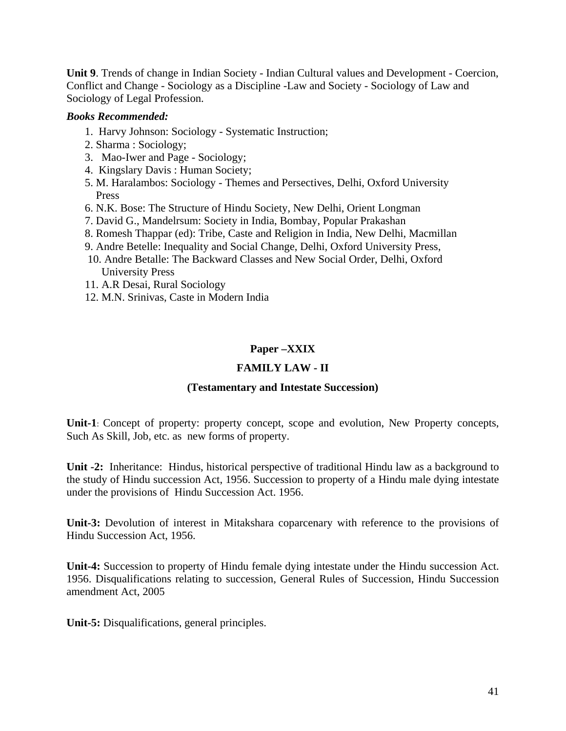**Unit 9**. Trends of change in Indian Society - Indian Cultural values and Development - Coercion, Conflict and Change - Sociology as a Discipline -Law and Society - Sociology of Law and Sociology of Legal Profession.

### *Books Recommended:*

- 1. Harvy Johnson: Sociology Systematic Instruction;
- 2. Sharma : Sociology;
- 3. Mao-Iwer and Page Sociology;
- 4. Kingslary Davis : Human Society;
- 5. M. Haralambos: Sociology Themes and Persectives, Delhi, Oxford University Press
- 6. N.K. Bose: The Structure of Hindu Society, New Delhi, Orient Longman
- 7. David G., Mandelrsum: Society in India, Bombay, Popular Prakashan
- 8. Romesh Thappar (ed): Tribe, Caste and Religion in India, New Delhi, Macmillan
- 9. Andre Betelle: Inequality and Social Change, Delhi, Oxford University Press,
- 10. Andre Betalle: The Backward Classes and New Social Order, Delhi, Oxford University Press
- 11. A.R Desai, Rural Sociology
- 12. M.N. Srinivas, Caste in Modern India

### **Paper –XXIX**

### **FAMILY LAW - II**

#### **(Testamentary and Intestate Succession)**

**Unit-1**: Concept of property: property concept, scope and evolution, New Property concepts, Such As Skill, Job, etc. as new forms of property.

**Unit -2:** Inheritance: Hindus, historical perspective of traditional Hindu law as a background to the study of Hindu succession Act, 1956. Succession to property of a Hindu male dying intestate under the provisions of Hindu Succession Act. 1956.

**Unit-3:** Devolution of interest in Mitakshara coparcenary with reference to the provisions of Hindu Succession Act, 1956.

**Unit-4:** Succession to property of Hindu female dying intestate under the Hindu succession Act. 1956. Disqualifications relating to succession, General Rules of Succession, Hindu Succession amendment Act, 2005

**Unit-5:** Disqualifications, general principles.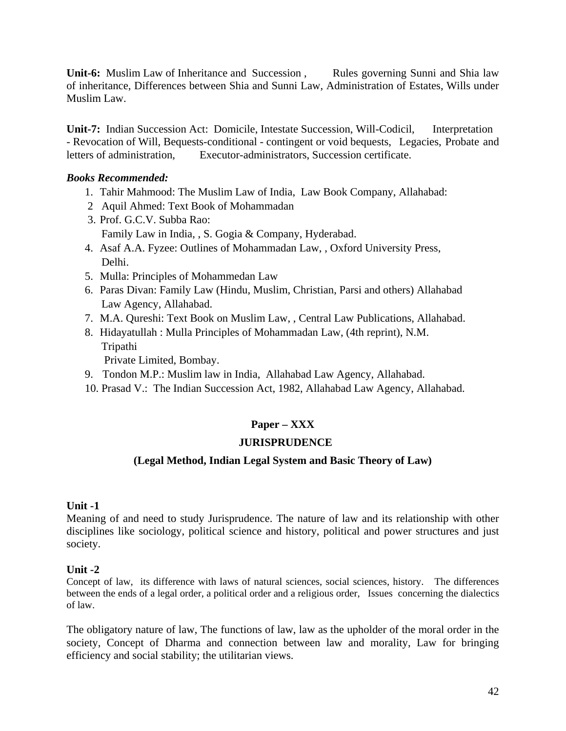**Unit-6:** Muslim Law of Inheritance and Succession, Rules governing Sunni and Shia law of inheritance, Differences between Shia and Sunni Law, Administration of Estates, Wills under Muslim Law.

**Unit-7:** Indian Succession Act: Domicile, Intestate Succession, Will-Codicil, Interpretation - Revocation of Will, Bequests-conditional - contingent or void bequests, Legacies, Probate and letters of administration, Executor-administrators, Succession certificate.

### *Books Recommended:*

- 1. Tahir Mahmood: The Muslim Law of India, Law Book Company, Allahabad:
- 2 Aquil Ahmed: Text Book of Mohammadan
- 3. Prof. G.C.V. Subba Rao: Family Law in India, , S. Gogia & Company, Hyderabad.
- 4. Asaf A.A. Fyzee: Outlines of Mohammadan Law, , Oxford University Press, Delhi.
- 5. Mulla: Principles of Mohammedan Law
- 6. Paras Divan: Family Law (Hindu, Muslim, Christian, Parsi and others) Allahabad Law Agency, Allahabad.
- 7. M.A. Qureshi: Text Book on Muslim Law, , Central Law Publications, Allahabad.
- 8. Hidayatullah : Mulla Principles of Mohammadan Law, (4th reprint), N.M. Tripathi

Private Limited, Bombay.

- 9. Tondon M.P.: Muslim law in India, Allahabad Law Agency, Allahabad.
- 10. Prasad V.: The Indian Succession Act, 1982, Allahabad Law Agency, Allahabad.

### **Paper – XXX**

### **JURISPRUDENCE**

### **(Legal Method, Indian Legal System and Basic Theory of Law)**

#### **Unit -1**

Meaning of and need to study Jurisprudence. The nature of law and its relationship with other disciplines like sociology, political science and history, political and power structures and just society.

#### **Unit -2**

Concept of law, its difference with laws of natural sciences, social sciences, history. The differences between the ends of a legal order, a political order and a religious order, Issues concerning the dialectics of law.

The obligatory nature of law, The functions of law, law as the upholder of the moral order in the society, Concept of Dharma and connection between law and morality, Law for bringing efficiency and social stability; the utilitarian views.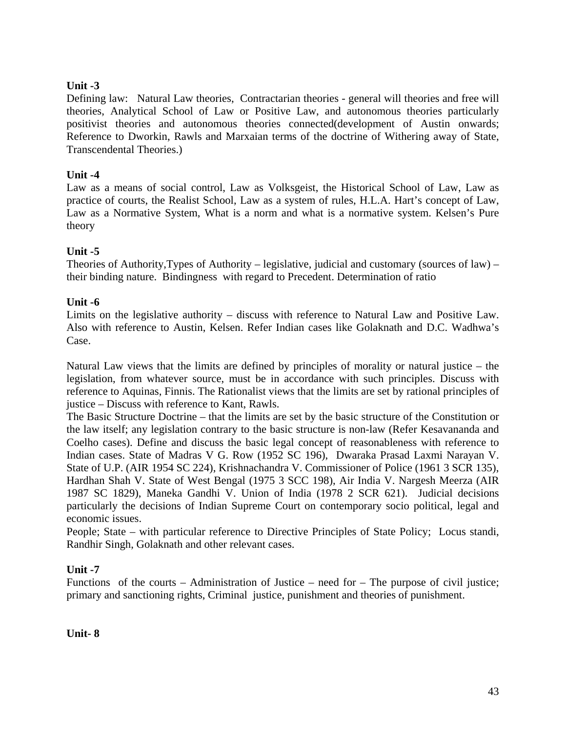### **Unit -3**

Defining law: Natural Law theories, Contractarian theories - general will theories and free will theories, Analytical School of Law or Positive Law, and autonomous theories particularly positivist theories and autonomous theories connected(development of Austin onwards; Reference to Dworkin, Rawls and Marxaian terms of the doctrine of Withering away of State, Transcendental Theories.)

### **Unit -4**

Law as a means of social control, Law as Volksgeist, the Historical School of Law, Law as practice of courts, the Realist School, Law as a system of rules, H.L.A. Hart's concept of Law, Law as a Normative System, What is a norm and what is a normative system. Kelsen's Pure theory

### **Unit -5**

Theories of Authority,Types of Authority – legislative, judicial and customary (sources of law) – their binding nature. Bindingness with regard to Precedent. Determination of ratio

### **Unit -6**

Limits on the legislative authority – discuss with reference to Natural Law and Positive Law. Also with reference to Austin, Kelsen. Refer Indian cases like Golaknath and D.C. Wadhwa's Case.

Natural Law views that the limits are defined by principles of morality or natural justice – the legislation, from whatever source, must be in accordance with such principles. Discuss with reference to Aquinas, Finnis. The Rationalist views that the limits are set by rational principles of justice – Discuss with reference to Kant, Rawls.

The Basic Structure Doctrine – that the limits are set by the basic structure of the Constitution or the law itself; any legislation contrary to the basic structure is non-law (Refer Kesavananda and Coelho cases). Define and discuss the basic legal concept of reasonableness with reference to Indian cases. State of Madras V G. Row (1952 SC 196), Dwaraka Prasad Laxmi Narayan V. State of U.P. (AIR 1954 SC 224), Krishnachandra V. Commissioner of Police (1961 3 SCR 135), Hardhan Shah V. State of West Bengal (1975 3 SCC 198), Air India V. Nargesh Meerza (AIR 1987 SC 1829), Maneka Gandhi V. Union of India (1978 2 SCR 621). Judicial decisions particularly the decisions of Indian Supreme Court on contemporary socio political, legal and economic issues.

People; State – with particular reference to Directive Principles of State Policy; Locus standi, Randhir Singh, Golaknath and other relevant cases.

### **Unit -7**

Functions of the courts – Administration of Justice – need for – The purpose of civil justice; primary and sanctioning rights, Criminal justice, punishment and theories of punishment.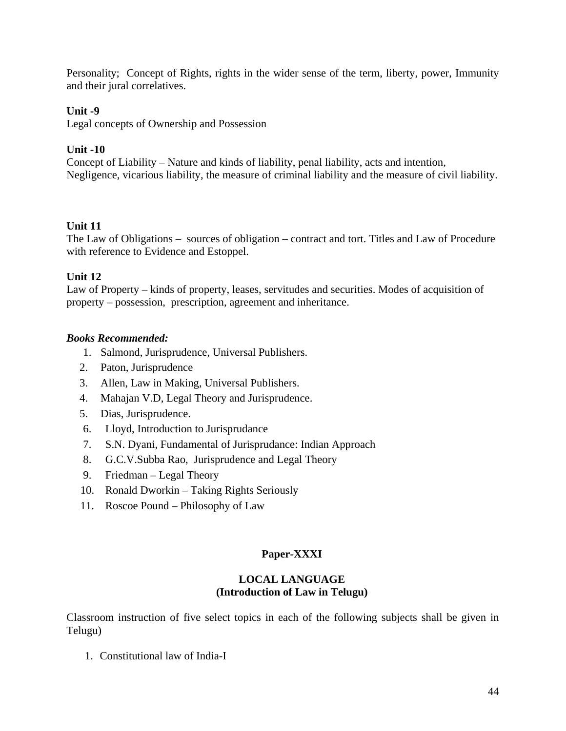Personality; Concept of Rights, rights in the wider sense of the term, liberty, power, Immunity and their jural correlatives.

### **Unit -9**

Legal concepts of Ownership and Possession

### **Unit -10**

Concept of Liability – Nature and kinds of liability, penal liability, acts and intention, Negligence, vicarious liability, the measure of criminal liability and the measure of civil liability.

### **Unit 11**

The Law of Obligations – sources of obligation – contract and tort. Titles and Law of Procedure with reference to Evidence and Estoppel.

### **Unit 12**

Law of Property – kinds of property, leases, servitudes and securities. Modes of acquisition of property – possession, prescription, agreement and inheritance.

### *Books Recommended:*

- 1. Salmond, Jurisprudence, Universal Publishers.
- 2. Paton, Jurisprudence
- 3. Allen, Law in Making, Universal Publishers.
- 4. Mahajan V.D, Legal Theory and Jurisprudence.
- 5. Dias, Jurisprudence.
- 6. Lloyd, Introduction to Jurisprudance
- 7. S.N. Dyani, Fundamental of Jurisprudance: Indian Approach
- 8. G.C.V.Subba Rao, Jurisprudence and Legal Theory
- 9. Friedman Legal Theory
- 10. Ronald Dworkin Taking Rights Seriously
- 11. Roscoe Pound Philosophy of Law

### **Paper-XXXI**

#### **LOCAL LANGUAGE (Introduction of Law in Telugu)**

Classroom instruction of five select topics in each of the following subjects shall be given in Telugu)

1. Constitutional law of India-I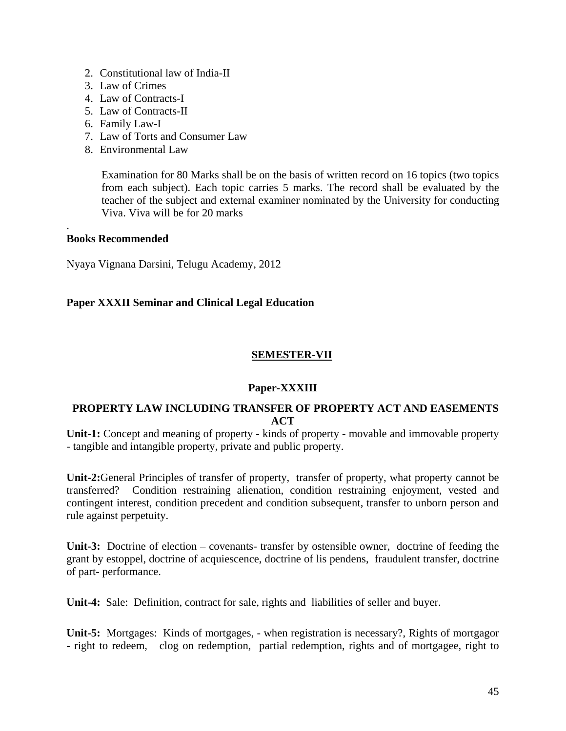- 2. Constitutional law of India-II
- 3. Law of Crimes
- 4. Law of Contracts-I
- 5. Law of Contracts-II
- 6. Family Law-I
- 7. Law of Torts and Consumer Law
- 8. Environmental Law

Examination for 80 Marks shall be on the basis of written record on 16 topics (two topics from each subject). Each topic carries 5 marks. The record shall be evaluated by the teacher of the subject and external examiner nominated by the University for conducting Viva. Viva will be for 20 marks

#### **Books Recommended**

.

Nyaya Vignana Darsini, Telugu Academy, 2012

### **Paper XXXII Seminar and Clinical Legal Education**

### **SEMESTER-VII**

### **Paper-XXXIII**

### **PROPERTY LAW INCLUDING TRANSFER OF PROPERTY ACT AND EASEMENTS ACT**

**Unit-1:** Concept and meaning of property - kinds of property - movable and immovable property - tangible and intangible property, private and public property.

**Unit-2:**General Principles of transfer of property, transfer of property, what property cannot be transferred? Condition restraining alienation, condition restraining enjoyment, vested and contingent interest, condition precedent and condition subsequent, transfer to unborn person and rule against perpetuity.

**Unit-3:** Doctrine of election – covenants- transfer by ostensible owner, doctrine of feeding the grant by estoppel, doctrine of acquiescence, doctrine of lis pendens, fraudulent transfer, doctrine of part- performance.

**Unit-4:** Sale: Definition, contract for sale, rights and liabilities of seller and buyer.

**Unit-5:** Mortgages: Kinds of mortgages, - when registration is necessary?, Rights of mortgagor - right to redeem, clog on redemption, partial redemption, rights and of mortgagee, right to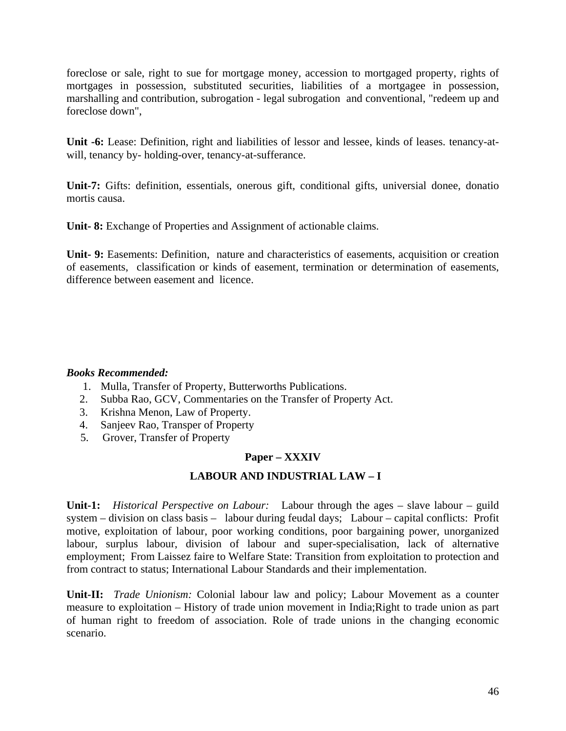foreclose or sale, right to sue for mortgage money, accession to mortgaged property, rights of mortgages in possession, substituted securities, liabilities of a mortgagee in possession, marshalling and contribution, subrogation - legal subrogation and conventional, "redeem up and foreclose down",

**Unit -6:** Lease: Definition, right and liabilities of lessor and lessee, kinds of leases. tenancy-atwill, tenancy by- holding-over, tenancy-at-sufferance.

**Unit-7:** Gifts: definition, essentials, onerous gift, conditional gifts, universial donee, donatio mortis causa.

Unit- 8: Exchange of Properties and Assignment of actionable claims.

**Unit- 9:** Easements: Definition, nature and characteristics of easements, acquisition or creation of easements, classification or kinds of easement, termination or determination of easements, difference between easement and licence.

#### *Books Recommended:*

- 1. Mulla, Transfer of Property, Butterworths Publications.
- 2. Subba Rao, GCV, Commentaries on the Transfer of Property Act.
- 3. Krishna Menon, Law of Property.
- 4. Sanjeev Rao, Transper of Property
- 5. Grover, Transfer of Property

### **Paper – XXXIV**

### **LABOUR AND INDUSTRIAL LAW – I**

**Unit-1:** *Historical Perspective on Labour:* Labour through the ages – slave labour – guild system – division on class basis – labour during feudal days; Labour – capital conflicts: Profit motive, exploitation of labour, poor working conditions, poor bargaining power, unorganized labour, surplus labour, division of labour and super-specialisation, lack of alternative employment; From Laissez faire to Welfare State: Transition from exploitation to protection and from contract to status; International Labour Standards and their implementation.

**Unit-II:** *Trade Unionism:* Colonial labour law and policy; Labour Movement as a counter measure to exploitation – History of trade union movement in India;Right to trade union as part of human right to freedom of association. Role of trade unions in the changing economic scenario.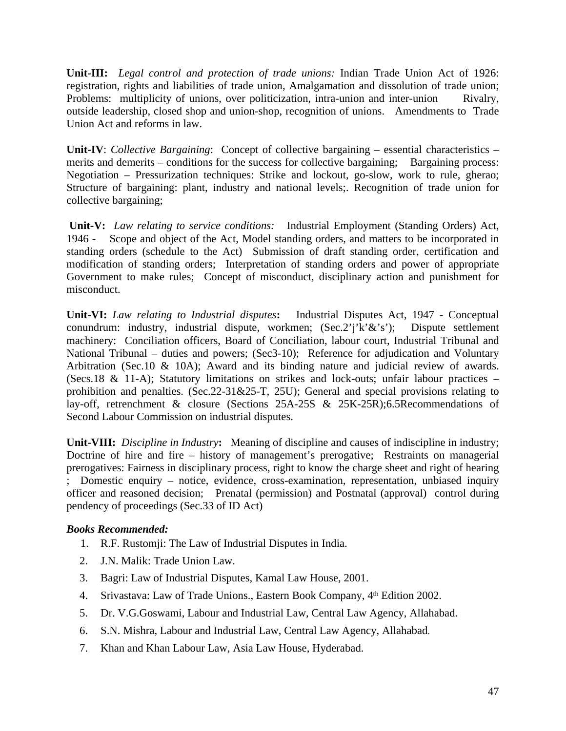**Unit-III:** *Legal control and protection of trade unions:* Indian Trade Union Act of 1926: registration, rights and liabilities of trade union, Amalgamation and dissolution of trade union; Problems: multiplicity of unions, over politicization, intra-union and inter-union Rivalry, outside leadership, closed shop and union-shop, recognition of unions. Amendments to Trade Union Act and reforms in law.

**Unit-IV**: *Collective Bargaining*: Concept of collective bargaining – essential characteristics – merits and demerits – conditions for the success for collective bargaining; Bargaining process: Negotiation – Pressurization techniques: Strike and lockout, go-slow, work to rule, gherao; Structure of bargaining: plant, industry and national levels;. Recognition of trade union for collective bargaining;

 **Unit-V:** *Law relating to service conditions:* Industrial Employment (Standing Orders) Act, 1946 - Scope and object of the Act, Model standing orders, and matters to be incorporated in standing orders (schedule to the Act) Submission of draft standing order, certification and modification of standing orders; Interpretation of standing orders and power of appropriate Government to make rules; Concept of misconduct, disciplinary action and punishment for misconduct.

**Unit-VI:** *Law relating to Industrial disputes***:** Industrial Disputes Act, 1947 - Conceptual conundrum: industry, industrial dispute, workmen; (Sec.2'j'k'&'s'); Dispute settlement machinery: Conciliation officers, Board of Conciliation, labour court, Industrial Tribunal and National Tribunal – duties and powers; (Sec3-10); Reference for adjudication and Voluntary Arbitration (Sec.10 & 10A); Award and its binding nature and judicial review of awards. (Secs.18 & 11-A); Statutory limitations on strikes and lock-outs; unfair labour practices – prohibition and penalties. (Sec.22-31&25-T, 25U); General and special provisions relating to lay-off, retrenchment & closure (Sections 25A-25S & 25K-25R);6.5Recommendations of Second Labour Commission on industrial disputes.

**Unit-VIII:** *Discipline in Industry***:** Meaning of discipline and causes of indiscipline in industry; Doctrine of hire and fire – history of management's prerogative; Restraints on managerial prerogatives: Fairness in disciplinary process, right to know the charge sheet and right of hearing ; Domestic enquiry – notice, evidence, cross-examination, representation, unbiased inquiry officer and reasoned decision; Prenatal (permission) and Postnatal (approval) control during pendency of proceedings (Sec.33 of ID Act)

### *Books Recommended:*

- 1. R.F. Rustomji: The Law of Industrial Disputes in India.
- 2. J.N. Malik: Trade Union Law.
- 3. Bagri: Law of Industrial Disputes, Kamal Law House, 2001.
- 4. Srivastava: Law of Trade Unions., Eastern Book Company, 4th Edition 2002.
- 5. Dr. V.G.Goswami, Labour and Industrial Law, Central Law Agency, Allahabad.
- 6. S.N. Mishra, Labour and Industrial Law, Central Law Agency, Allahabad.
- 7. Khan and Khan Labour Law, Asia Law House, Hyderabad.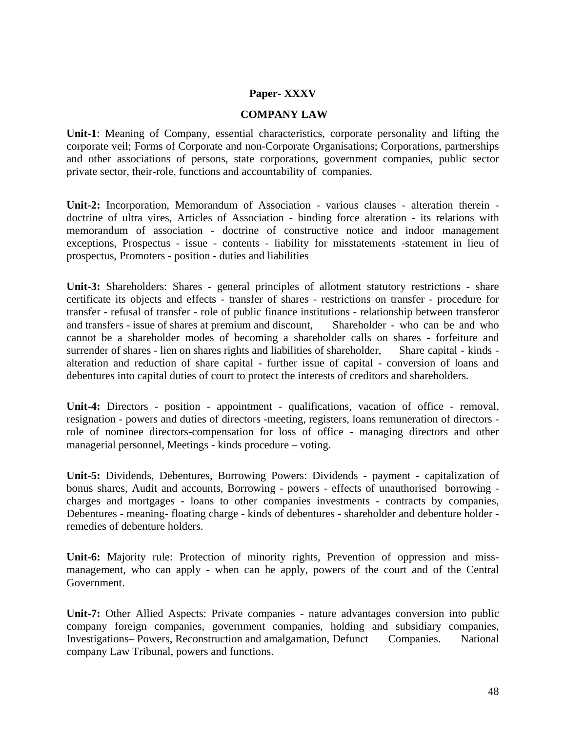#### **Paper- XXXV**

#### **COMPANY LAW**

**Unit-1**: Meaning of Company, essential characteristics, corporate personality and lifting the corporate veil; Forms of Corporate and non-Corporate Organisations; Corporations, partnerships and other associations of persons, state corporations, government companies, public sector private sector, their-role, functions and accountability of companies.

**Unit-2:** Incorporation, Memorandum of Association - various clauses - alteration therein doctrine of ultra vires, Articles of Association - binding force alteration - its relations with memorandum of association - doctrine of constructive notice and indoor management exceptions, Prospectus - issue - contents - liability for misstatements -statement in lieu of prospectus, Promoters - position - duties and liabilities

**Unit-3:** Shareholders: Shares - general principles of allotment statutory restrictions - share certificate its objects and effects - transfer of shares - restrictions on transfer - procedure for transfer - refusal of transfer - role of public finance institutions - relationship between transferor and transfers - issue of shares at premium and discount, Shareholder - who can be and who cannot be a shareholder modes of becoming a shareholder calls on shares - forfeiture and surrender of shares - lien on shares rights and liabilities of shareholder, Share capital - kinds alteration and reduction of share capital - further issue of capital - conversion of loans and debentures into capital duties of court to protect the interests of creditors and shareholders.

**Unit-4:** Directors - position - appointment - qualifications, vacation of office - removal, resignation - powers and duties of directors -meeting, registers, loans remuneration of directors role of nominee directors-compensation for loss of office - managing directors and other managerial personnel, Meetings - kinds procedure – voting.

**Unit-5:** Dividends, Debentures, Borrowing Powers: Dividends - payment - capitalization of bonus shares, Audit and accounts, Borrowing - powers - effects of unauthorised borrowing charges and mortgages - loans to other companies investments - contracts by companies, Debentures - meaning- floating charge - kinds of debentures - shareholder and debenture holder remedies of debenture holders.

**Unit-6:** Majority rule: Protection of minority rights, Prevention of oppression and missmanagement, who can apply - when can he apply, powers of the court and of the Central Government.

**Unit-7:** Other Allied Aspects: Private companies - nature advantages conversion into public company foreign companies, government companies, holding and subsidiary companies, Investigations– Powers, Reconstruction and amalgamation, Defunct Companies. National company Law Tribunal, powers and functions.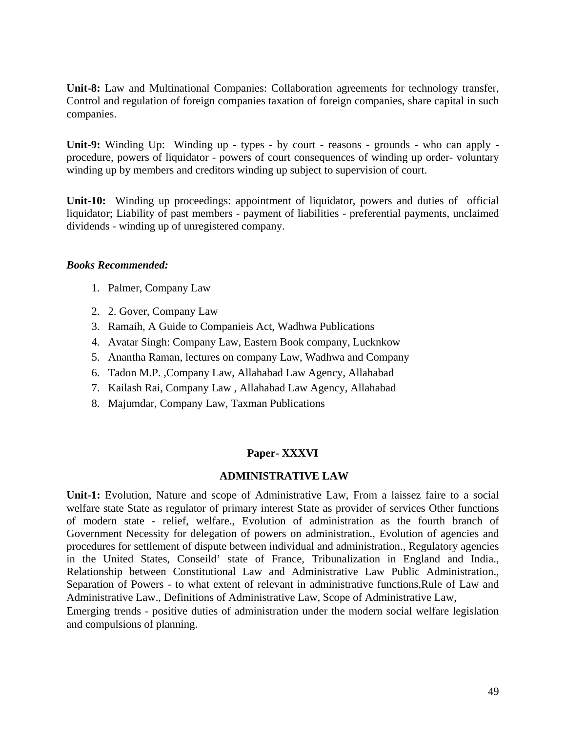**Unit-8:** Law and Multinational Companies: Collaboration agreements for technology transfer, Control and regulation of foreign companies taxation of foreign companies, share capital in such companies.

**Unit-9:** Winding Up: Winding up - types - by court - reasons - grounds - who can apply procedure, powers of liquidator - powers of court consequences of winding up order- voluntary winding up by members and creditors winding up subject to supervision of court.

**Unit-10:** Winding up proceedings: appointment of liquidator, powers and duties of official liquidator; Liability of past members - payment of liabilities - preferential payments, unclaimed dividends - winding up of unregistered company.

#### *Books Recommended:*

- 1. Palmer, Company Law
- 2. 2. Gover, Company Law
- 3. Ramaih, A Guide to Companieis Act, Wadhwa Publications
- 4. Avatar Singh: Company Law, Eastern Book company, Lucknkow
- 5. Anantha Raman, lectures on company Law, Wadhwa and Company
- 6. Tadon M.P. ,Company Law, Allahabad Law Agency, Allahabad
- 7. Kailash Rai, Company Law , Allahabad Law Agency, Allahabad
- 8. Majumdar, Company Law, Taxman Publications

### **Paper- XXXVI**

#### **ADMINISTRATIVE LAW**

**Unit-1:** Evolution, Nature and scope of Administrative Law, From a laissez faire to a social welfare state State as regulator of primary interest State as provider of services Other functions of modern state - relief, welfare., Evolution of administration as the fourth branch of Government Necessity for delegation of powers on administration., Evolution of agencies and procedures for settlement of dispute between individual and administration., Regulatory agencies in the United States, Conseild' state of France, Tribunalization in England and India., Relationship between Constitutional Law and Administrative Law Public Administration., Separation of Powers - to what extent of relevant in administrative functions,Rule of Law and Administrative Law., Definitions of Administrative Law, Scope of Administrative Law,

Emerging trends - positive duties of administration under the modern social welfare legislation and compulsions of planning.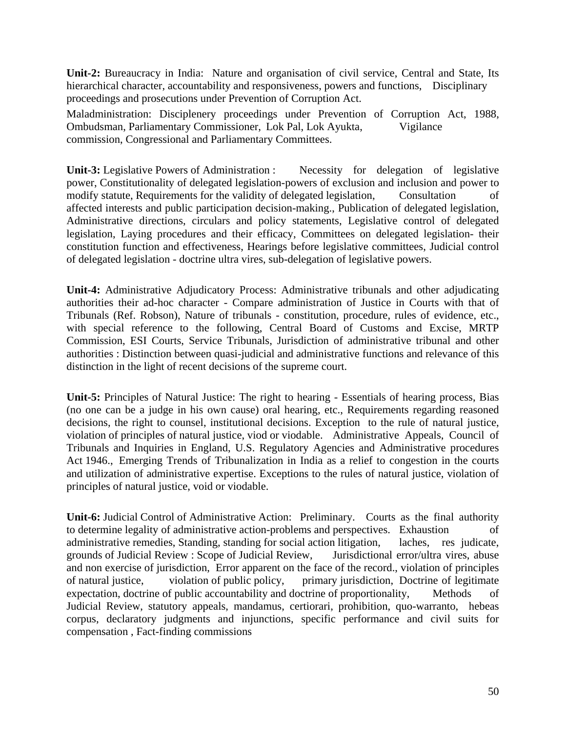**Unit-2:** Bureaucracy in India: Nature and organisation of civil service, Central and State, Its hierarchical character, accountability and responsiveness, powers and functions, Disciplinary proceedings and prosecutions under Prevention of Corruption Act.

Maladministration: Disciplenery proceedings under Prevention of Corruption Act, 1988, Ombudsman, Parliamentary Commissioner, Lok Pal, Lok Ayukta, Vigilance commission, Congressional and Parliamentary Committees.

**Unit-3:** Legislative Powers of Administration : Necessity for delegation of legislative power, Constitutionality of delegated legislation-powers of exclusion and inclusion and power to modify statute, Requirements for the validity of delegated legislation, Consultation of affected interests and public participation decision-making., Publication of delegated legislation, Administrative directions, circulars and policy statements, Legislative control of delegated legislation, Laying procedures and their efficacy, Committees on delegated legislation- their constitution function and effectiveness, Hearings before legislative committees, Judicial control of delegated legislation - doctrine ultra vires, sub-delegation of legislative powers.

**Unit-4:** Administrative Adjudicatory Process: Administrative tribunals and other adjudicating authorities their ad-hoc character - Compare administration of Justice in Courts with that of Tribunals (Ref. Robson), Nature of tribunals - constitution, procedure, rules of evidence, etc., with special reference to the following, Central Board of Customs and Excise, MRTP Commission, ESI Courts, Service Tribunals, Jurisdiction of administrative tribunal and other authorities : Distinction between quasi-judicial and administrative functions and relevance of this distinction in the light of recent decisions of the supreme court.

**Unit-5:** Principles of Natural Justice: The right to hearing - Essentials of hearing process, Bias (no one can be a judge in his own cause) oral hearing, etc., Requirements regarding reasoned decisions, the right to counsel, institutional decisions. Exception to the rule of natural justice, violation of principles of natural justice, viod or viodable. Administrative Appeals, Council of Tribunals and Inquiries in England, U.S. Regulatory Agencies and Administrative procedures Act 1946., Emerging Trends of Tribunalization in India as a relief to congestion in the courts and utilization of administrative expertise. Exceptions to the rules of natural justice, violation of principles of natural justice, void or viodable.

**Unit-6:** Judicial Control of Administrative Action: Preliminary. Courts as the final authority to determine legality of administrative action-problems and perspectives. Exhaustion of administrative remedies, Standing, standing for social action litigation, laches, res judicate, grounds of Judicial Review : Scope of Judicial Review, Jurisdictional error/ultra vires, abuse and non exercise of jurisdiction, Error apparent on the face of the record., violation of principles of natural justice, violation of public policy, primary jurisdiction, Doctrine of legitimate expectation, doctrine of public accountability and doctrine of proportionality, Methods of Judicial Review, statutory appeals, mandamus, certiorari, prohibition, quo-warranto, hebeas corpus, declaratory judgments and injunctions, specific performance and civil suits for compensation , Fact-finding commissions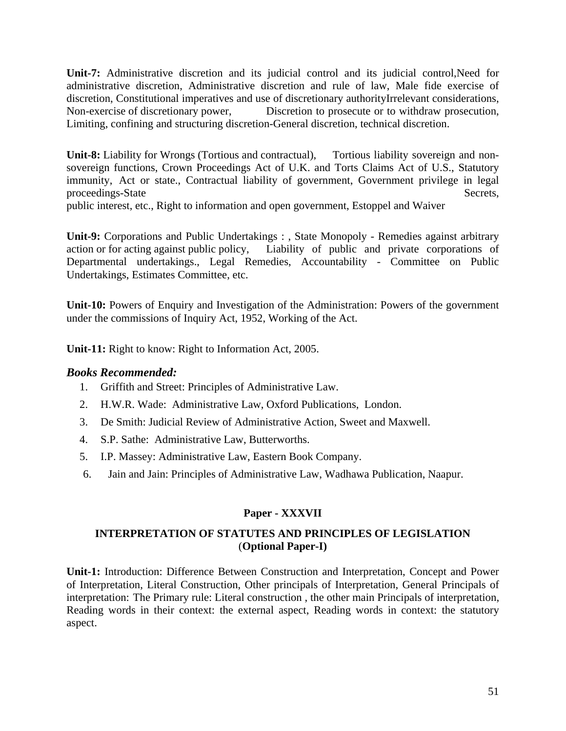**Unit-7:** Administrative discretion and its judicial control and its judicial control,Need for administrative discretion, Administrative discretion and rule of law, Male fide exercise of discretion, Constitutional imperatives and use of discretionary authorityIrrelevant considerations, Non-exercise of discretionary power, Discretion to prosecute or to withdraw prosecution, Limiting, confining and structuring discretion-General discretion, technical discretion.

**Unit-8:** Liability for Wrongs (Tortious and contractual), Tortious liability sovereign and nonsovereign functions, Crown Proceedings Act of U.K. and Torts Claims Act of U.S., Statutory immunity, Act or state., Contractual liability of government, Government privilege in legal proceedings-State Secrets, public interest, etc., Right to information and open government, Estoppel and Waiver

**Unit-9:** Corporations and Public Undertakings : , State Monopoly - Remedies against arbitrary action or for acting against public policy, Liability of public and private corporations of Departmental undertakings., Legal Remedies, Accountability - Committee on Public Undertakings, Estimates Committee, etc.

**Unit-10:** Powers of Enquiry and Investigation of the Administration: Powers of the government under the commissions of Inquiry Act, 1952, Working of the Act.

**Unit-11:** Right to know: Right to Information Act, 2005.

### *Books Recommended:*

- 1. Griffith and Street: Principles of Administrative Law.
- 2. H.W.R. Wade: Administrative Law, Oxford Publications, London.
- 3. De Smith: Judicial Review of Administrative Action, Sweet and Maxwell.
- 4. S.P. Sathe: Administrative Law, Butterworths.
- 5. I.P. Massey: Administrative Law, Eastern Book Company.
- 6. Jain and Jain: Principles of Administrative Law, Wadhawa Publication, Naapur.

### **Paper - XXXVII**

### **INTERPRETATION OF STATUTES AND PRINCIPLES OF LEGISLATION** (**Optional Paper-I)**

**Unit-1:** Introduction: Difference Between Construction and Interpretation, Concept and Power of Interpretation, Literal Construction, Other principals of Interpretation, General Principals of interpretation: The Primary rule: Literal construction , the other main Principals of interpretation, Reading words in their context: the external aspect, Reading words in context: the statutory aspect.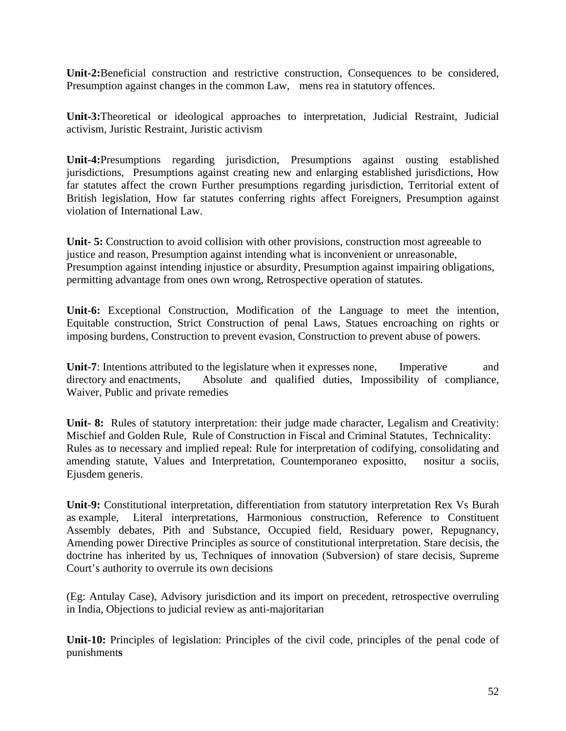**Unit-2:**Beneficial construction and restrictive construction, Consequences to be considered, Presumption against changes in the common Law, mens rea in statutory offences.

**Unit-3:**Theoretical or ideological approaches to interpretation, Judicial Restraint, Judicial activism, Juristic Restraint, Juristic activism

**Unit-4:**Presumptions regarding jurisdiction, Presumptions against ousting established jurisdictions, Presumptions against creating new and enlarging established jurisdictions, How far statutes affect the crown Further presumptions regarding jurisdiction, Territorial extent of British legislation, How far statutes conferring rights affect Foreigners, Presumption against violation of International Law.

**Unit- 5:** Construction to avoid collision with other provisions, construction most agreeable to justice and reason, Presumption against intending what is inconvenient or unreasonable, Presumption against intending injustice or absurdity, Presumption against impairing obligations, permitting advantage from ones own wrong, Retrospective operation of statutes.

**Unit-6:** Exceptional Construction, Modification of the Language to meet the intention, Equitable construction, Strict Construction of penal Laws, Statues encroaching on rights or imposing burdens, Construction to prevent evasion, Construction to prevent abuse of powers.

**Unit-7**: Intentions attributed to the legislature when it expresses none, Imperative and directory and enactments, Absolute and qualified duties, Impossibility of compliance, Waiver, Public and private remedies

**Unit- 8:** Rules of statutory interpretation: their judge made character, Legalism and Creativity: Mischief and Golden Rule, Rule of Construction in Fiscal and Criminal Statutes, Technicality: Rules as to necessary and implied repeal: Rule for interpretation of codifying, consolidating and amending statute, Values and Interpretation, Countemporaneo expositto, nositur a sociis, Ejusdem generis.

**Unit-9:** Constitutional interpretation, differentiation from statutory interpretation Rex Vs Burah as example, Literal interpretations, Harmonious construction, Reference to Constituent Assembly debates, Pith and Substance, Occupied field, Residuary power, Repugnancy, Amending power Directive Principles as source of constitutional interpretation. Stare decisis, the doctrine has inherited by us, Techniques of innovation (Subversion) of stare decisis, Supreme Court's authority to overrule its own decisions

(Eg: Antulay Case), Advisory jurisdiction and its import on precedent, retrospective overruling in India, Objections to judicial review as anti-majoritarian

**Unit-10:** Principles of legislation: Principles of the civil code, principles of the penal code of punishment**s**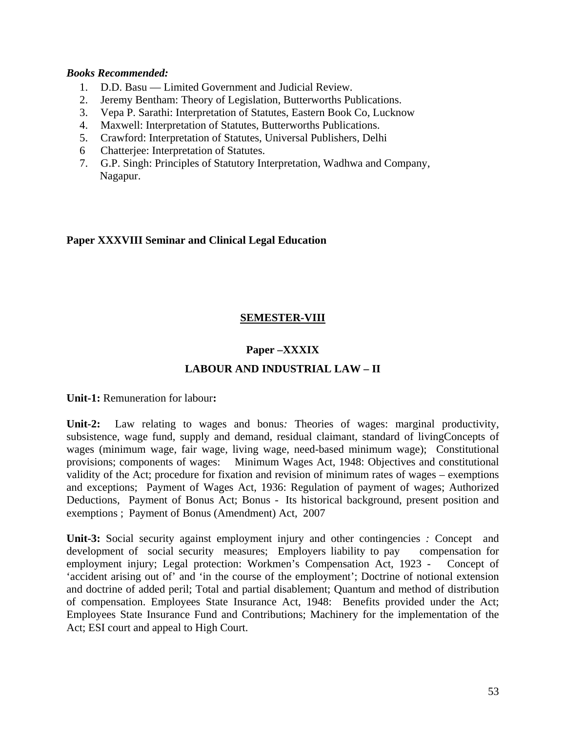#### *Books Recommended:*

- 1. D.D. Basu Limited Government and Judicial Review.
- 2. Jeremy Bentham: Theory of Legislation, Butterworths Publications.
- 3. Vepa P. Sarathi: Interpretation of Statutes, Eastern Book Co, Lucknow
- 4. Maxwell: Interpretation of Statutes, Butterworths Publications.
- 5. Crawford: Interpretation of Statutes, Universal Publishers, Delhi
- 6 Chatterjee: Interpretation of Statutes.
- 7. G.P. Singh: Principles of Statutory Interpretation, Wadhwa and Company, Nagapur.

### **Paper XXXVIII Seminar and Clinical Legal Education**

### **SEMESTER-VIII**

### **Paper –XXXIX**

### **LABOUR AND INDUSTRIAL LAW – II**

**Unit-1:** Remuneration for labour**:** 

**Unit-2:** Law relating to wages and bonus*:* Theories of wages: marginal productivity, subsistence, wage fund, supply and demand, residual claimant, standard of livingConcepts of wages (minimum wage, fair wage, living wage, need-based minimum wage); Constitutional provisions; components of wages: Minimum Wages Act, 1948: Objectives and constitutional validity of the Act; procedure for fixation and revision of minimum rates of wages – exemptions and exceptions; Payment of Wages Act, 1936: Regulation of payment of wages; Authorized Deductions, Payment of Bonus Act; Bonus - Its historical background, present position and exemptions ; Payment of Bonus (Amendment) Act, 2007

**Unit-3:** Social security against employment injury and other contingencies *:* Concept and development of social security measures; Employers liability to pay compensation for employment injury; Legal protection: Workmen's Compensation Act, 1923 - Concept of 'accident arising out of' and 'in the course of the employment'; Doctrine of notional extension and doctrine of added peril; Total and partial disablement; Quantum and method of distribution of compensation. Employees State Insurance Act, 1948: Benefits provided under the Act; Employees State Insurance Fund and Contributions; Machinery for the implementation of the Act; ESI court and appeal to High Court.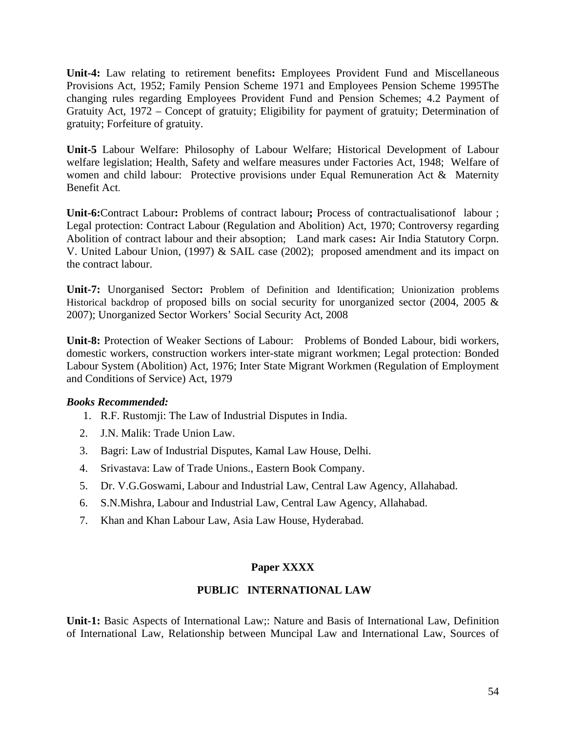**Unit-4:** Law relating to retirement benefits**:** Employees Provident Fund and Miscellaneous Provisions Act, 1952; Family Pension Scheme 1971 and Employees Pension Scheme 1995The changing rules regarding Employees Provident Fund and Pension Schemes; 4.2 Payment of Gratuity Act, 1972 – Concept of gratuity; Eligibility for payment of gratuity; Determination of gratuity; Forfeiture of gratuity.

**Unit-5** Labour Welfare: Philosophy of Labour Welfare; Historical Development of Labour welfare legislation; Health, Safety and welfare measures under Factories Act, 1948; Welfare of women and child labour: Protective provisions under Equal Remuneration Act & Maternity Benefit Act.

**Unit-6:**Contract Labour**:** Problems of contract labour**;** Process of contractualisationof labour ; Legal protection: Contract Labour (Regulation and Abolition) Act, 1970; Controversy regarding Abolition of contract labour and their absoption; Land mark cases**:** Air India Statutory Corpn. V. United Labour Union, (1997) & SAIL case (2002); proposed amendment and its impact on the contract labour.

**Unit-7:** Unorganised Sector**:** Problem of Definition and Identification; Unionization problems Historical backdrop of proposed bills on social security for unorganized sector (2004, 2005 & 2007); Unorganized Sector Workers' Social Security Act, 2008

**Unit-8:** Protection of Weaker Sections of Labour:Problems of Bonded Labour, bidi workers, domestic workers, construction workers inter-state migrant workmen; Legal protection: Bonded Labour System (Abolition) Act, 1976; Inter State Migrant Workmen (Regulation of Employment and Conditions of Service) Act, 1979

#### *Books Recommended:*

- 1. R.F. Rustomji: The Law of Industrial Disputes in India.
- 2. J.N. Malik: Trade Union Law.
- 3. Bagri: Law of Industrial Disputes, Kamal Law House, Delhi.
- 4. Srivastava: Law of Trade Unions., Eastern Book Company.
- 5. Dr. V.G.Goswami, Labour and Industrial Law, Central Law Agency, Allahabad.
- 6. S.N.Mishra, Labour and Industrial Law, Central Law Agency, Allahabad.
- 7. Khan and Khan Labour Law, Asia Law House, Hyderabad.

### **Paper XXXX**

#### **PUBLIC INTERNATIONAL LAW**

**Unit-1:** Basic Aspects of International Law;: Nature and Basis of International Law, Definition of International Law, Relationship between Muncipal Law and International Law, Sources of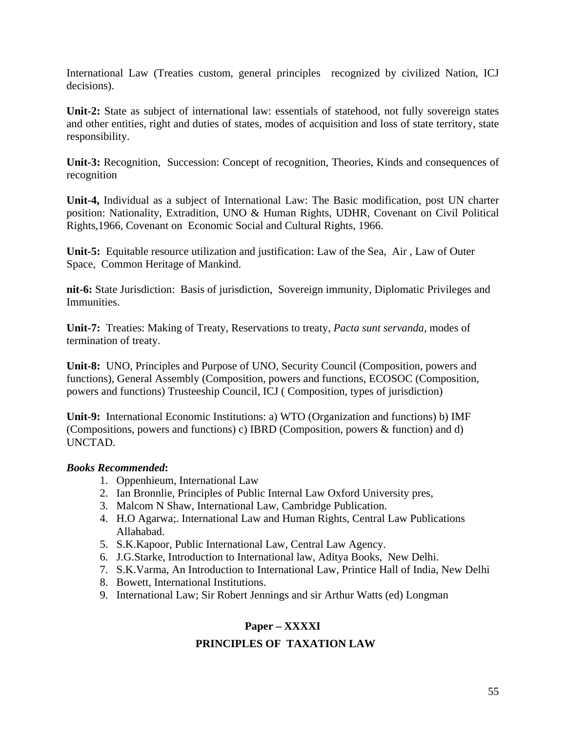International Law (Treaties custom, general principles recognized by civilized Nation, ICJ decisions).

**Unit-2:** State as subject of international law: essentials of statehood, not fully sovereign states and other entities, right and duties of states, modes of acquisition and loss of state territory, state responsibility.

**Unit-3:** Recognition, Succession: Concept of recognition, Theories, Kinds and consequences of recognition

**Unit-4,** Individual as a subject of International Law: The Basic modification, post UN charter position: Nationality, Extradition, UNO & Human Rights, UDHR, Covenant on Civil Political Rights,1966, Covenant on Economic Social and Cultural Rights, 1966.

**Unit-5:** Equitable resource utilization and justification: Law of the Sea, Air , Law of Outer Space, Common Heritage of Mankind.

**nit-6:** State Jurisdiction:Basis of jurisdiction, Sovereign immunity, Diplomatic Privileges and Immunities.

**Unit-7:** Treaties: Making of Treaty, Reservations to treaty, *Pacta sunt servanda*, modes of termination of treaty.

**Unit-8:** UNO, Principles and Purpose of UNO, Security Council (Composition, powers and functions), General Assembly (Composition, powers and functions, ECOSOC (Composition, powers and functions) Trusteeship Council, ICJ ( Composition, types of jurisdiction)

**Unit-9:** International Economic Institutions: a) WTO (Organization and functions) b) IMF (Compositions, powers and functions) c) IBRD (Composition, powers & function) and d) UNCTAD.

### *Books Recommended***:**

- 1. Oppenhieum, International Law
- 2. Ian Bronnlie, Principles of Public Internal Law Oxford University pres,
- 3. Malcom N Shaw, International Law, Cambridge Publication.
- 4. H.O Agarwa;. International Law and Human Rights, Central Law Publications Allahabad.
- 5. S.K.Kapoor, Public International Law, Central Law Agency.
- 6. J.G.Starke, Introduction to International law, Aditya Books, New Delhi.
- 7. S.K.Varma, An Introduction to International Law, Printice Hall of India, New Delhi
- 8. Bowett, International Institutions.
- 9. International Law; Sir Robert Jennings and sir Arthur Watts (ed) Longman

### **Paper – XXXXI**

### **PRINCIPLES OF TAXATION LAW**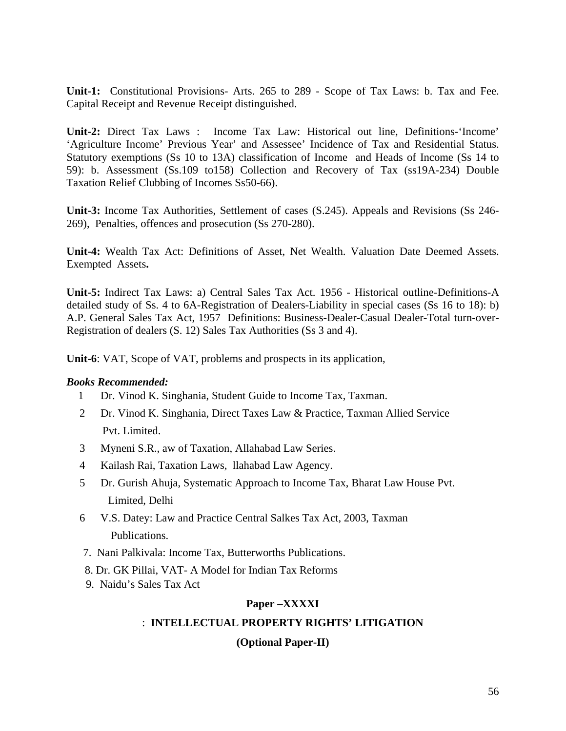**Unit-1:** Constitutional Provisions- Arts. 265 to 289 - Scope of Tax Laws: b. Tax and Fee. Capital Receipt and Revenue Receipt distinguished.

**Unit-2:** Direct Tax Laws : Income Tax Law: Historical out line, Definitions-'Income' 'Agriculture Income' Previous Year' and Assessee' Incidence of Tax and Residential Status. Statutory exemptions (Ss 10 to 13A) classification of Income and Heads of Income (Ss 14 to 59): b. Assessment (Ss.109 to158) Collection and Recovery of Tax (ss19A-234) Double Taxation Relief Clubbing of Incomes Ss50-66).

**Unit-3:** Income Tax Authorities, Settlement of cases (S.245). Appeals and Revisions (Ss 246- 269), Penalties, offences and prosecution (Ss 270-280).

**Unit-4:** Wealth Tax Act: Definitions of Asset, Net Wealth. Valuation Date Deemed Assets. Exempted Assets**.** 

**Unit-5:** Indirect Tax Laws: a) Central Sales Tax Act. 1956 - Historical outline-Definitions-A detailed study of Ss. 4 to 6A-Registration of Dealers-Liability in special cases (Ss 16 to 18): b) A.P. General Sales Tax Act, 1957 Definitions: Business-Dealer-Casual Dealer-Total turn-over-Registration of dealers (S. 12) Sales Tax Authorities (Ss 3 and 4).

**Unit-6**: VAT, Scope of VAT, problems and prospects in its application,

#### *Books Recommended:*

- 1 Dr. Vinod K. Singhania, Student Guide to Income Tax, Taxman.
- 2 Dr. Vinod K. Singhania, Direct Taxes Law & Practice, Taxman Allied Service Pvt. Limited.
- 3 Myneni S.R., aw of Taxation, Allahabad Law Series.
- 4 Kailash Rai, Taxation Laws, llahabad Law Agency.
- 5 Dr. Gurish Ahuja, Systematic Approach to Income Tax, Bharat Law House Pvt. Limited, Delhi
- 6 V.S. Datey: Law and Practice Central Salkes Tax Act, 2003, Taxman Publications.
- 7. Nani Palkivala: Income Tax, Butterworths Publications.
- 8. Dr. GK Pillai, VAT- A Model for Indian Tax Reforms
- 9. Naidu's Sales Tax Act

#### **Paper –XXXXI**

#### : **INTELLECTUAL PROPERTY RIGHTS' LITIGATION**

#### **(Optional Paper-II)**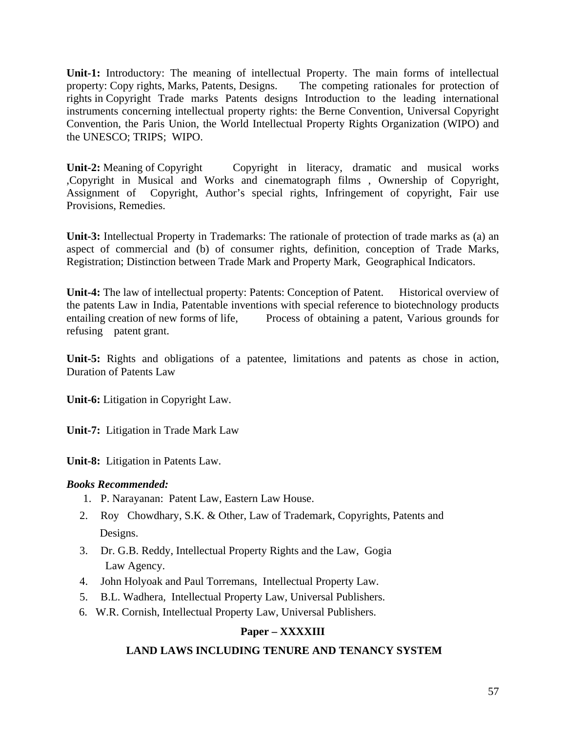**Unit-1:** Introductory: The meaning of intellectual Property. The main forms of intellectual property: Copy rights, Marks, Patents, Designs. The competing rationales for protection of rights in Copyright Trade marks Patents designs Introduction to the leading international instruments concerning intellectual property rights: the Berne Convention, Universal Copyright Convention, the Paris Union, the World Intellectual Property Rights Organization (WIPO) and the UNESCO; TRIPS; WIPO.

**Unit-2:** Meaning of Copyright Copyright in literacy, dramatic and musical works ,Copyright in Musical and Works and cinematograph films , Ownership of Copyright, Assignment of Copyright, Author's special rights, Infringement of copyright, Fair use Provisions, Remedies.

**Unit-3:** Intellectual Property in Trademarks: The rationale of protection of trade marks as (a) an aspect of commercial and (b) of consumer rights, definition, conception of Trade Marks, Registration; Distinction between Trade Mark and Property Mark, Geographical Indicators.

**Unit-4:** The law of intellectual property: Patents: Conception of Patent. Historical overview of the patents Law in India, Patentable inventions with special reference to biotechnology products entailing creation of new forms of life, Process of obtaining a patent, Various grounds for refusing patent grant.

**Unit-5:** Rights and obligations of a patentee, limitations and patents as chose in action, Duration of Patents Law

**Unit-6:** Litigation in Copyright Law.

**Unit-7:** Litigation in Trade Mark Law

**Unit-8:** Litigation in Patents Law.

### *Books Recommended:*

- 1. P. Narayanan: Patent Law, Eastern Law House.
- 2. Roy Chowdhary, S.K. & Other, Law of Trademark, Copyrights, Patents and Designs.
- 3. Dr. G.B. Reddy, Intellectual Property Rights and the Law, Gogia Law Agency.
- 4. John Holyoak and Paul Torremans, Intellectual Property Law.
- 5. B.L. Wadhera, Intellectual Property Law, Universal Publishers.
- 6. W.R. Cornish, Intellectual Property Law, Universal Publishers.

# **Paper – XXXXIII**

### **LAND LAWS INCLUDING TENURE AND TENANCY SYSTEM**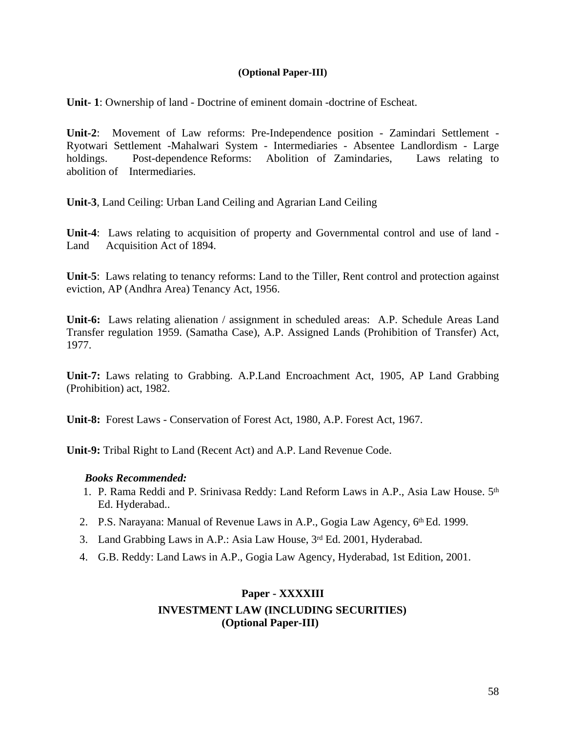#### **(Optional Paper-III)**

**Unit- 1**: Ownership of land - Doctrine of eminent domain -doctrine of Escheat.

**Unit-2**: Movement of Law reforms: Pre-Independence position - Zamindari Settlement - Ryotwari Settlement -Mahalwari System - Intermediaries - Absentee Landlordism - Large holdings. Post-dependence Reforms: Abolition of Zamindaries, Laws relating to abolition of Intermediaries.

**Unit-3**, Land Ceiling: Urban Land Ceiling and Agrarian Land Ceiling

**Unit-4**: Laws relating to acquisition of property and Governmental control and use of land - Land Acquisition Act of 1894.

**Unit-5**: Laws relating to tenancy reforms: Land to the Tiller, Rent control and protection against eviction, AP (Andhra Area) Tenancy Act, 1956.

**Unit-6:** Laws relating alienation / assignment in scheduled areas: A.P. Schedule Areas Land Transfer regulation 1959. (Samatha Case), A.P. Assigned Lands (Prohibition of Transfer) Act, 1977.

**Unit-7:** Laws relating to Grabbing. A.P.Land Encroachment Act, 1905, AP Land Grabbing (Prohibition) act, 1982.

**Unit-8:** Forest Laws - Conservation of Forest Act, 1980, A.P. Forest Act, 1967.

**Unit-9:** Tribal Right to Land (Recent Act) and A.P. Land Revenue Code.

#### *Books Recommended:*

- 1. P. Rama Reddi and P. Srinivasa Reddy: Land Reform Laws in A.P., Asia Law House. 5th Ed. Hyderabad..
- 2. P.S. Narayana: Manual of Revenue Laws in A.P., Gogia Law Agency,  $6<sup>th</sup> Ed.$  1999.
- 3. Land Grabbing Laws in A.P.: Asia Law House, 3rd Ed. 2001, Hyderabad.
- 4. G.B. Reddy: Land Laws in A.P., Gogia Law Agency, Hyderabad, 1st Edition, 2001.

### **Paper - XXXXIII INVESTMENT LAW (INCLUDING SECURITIES) (Optional Paper-III)**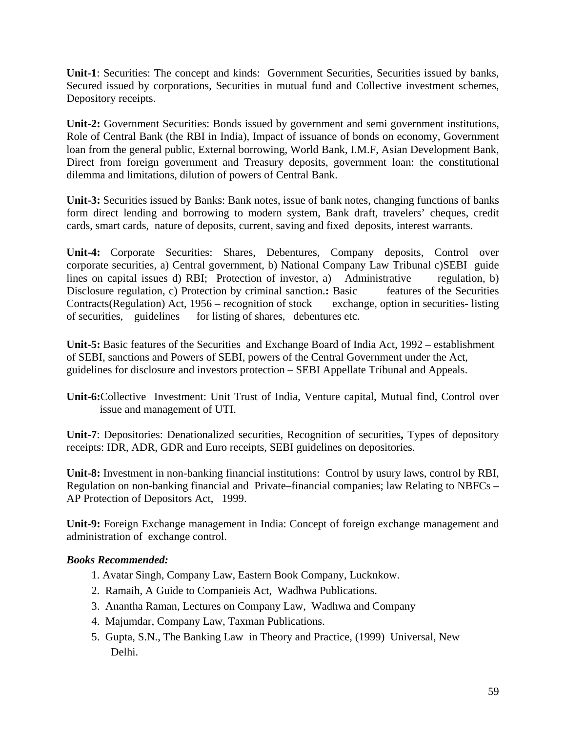**Unit-1**: Securities: The concept and kinds: Government Securities, Securities issued by banks, Secured issued by corporations, Securities in mutual fund and Collective investment schemes, Depository receipts.

**Unit-2:** Government Securities: Bonds issued by government and semi government institutions, Role of Central Bank (the RBI in India), Impact of issuance of bonds on economy, Government loan from the general public, External borrowing, World Bank, I.M.F, Asian Development Bank, Direct from foreign government and Treasury deposits, government loan: the constitutional dilemma and limitations, dilution of powers of Central Bank.

**Unit-3:** Securities issued by Banks: Bank notes, issue of bank notes, changing functions of banks form direct lending and borrowing to modern system, Bank draft, travelers' cheques, credit cards, smart cards, nature of deposits, current, saving and fixed deposits, interest warrants.

**Unit-4:** Corporate Securities: Shares, Debentures, Company deposits, Control over corporate securities, a) Central government, b) National Company Law Tribunal c)SEBI guide lines on capital issues d) RBI; Protection of investor, a) Administrative regulation, b) Disclosure regulation, c) Protection by criminal sanction.**:** Basic features of the Securities Contracts(Regulation) Act, 1956 – recognition of stock exchange, option in securities- listing of securities, guidelines for listing of shares, debentures etc.

**Unit-5:** Basic features of the Securities and Exchange Board of India Act, 1992 – establishment of SEBI, sanctions and Powers of SEBI, powers of the Central Government under the Act, guidelines for disclosure and investors protection – SEBI Appellate Tribunal and Appeals.

**Unit-6:**Collective Investment: Unit Trust of India, Venture capital, Mutual find, Control over issue and management of UTI.

**Unit-7**: Depositories: Denationalized securities, Recognition of securities**,** Types of depository receipts: IDR, ADR, GDR and Euro receipts, SEBI guidelines on depositories.

**Unit-8:** Investment in non-banking financial institutions: Control by usury laws, control by RBI, Regulation on non-banking financial and Private–financial companies; law Relating to NBFCs – AP Protection of Depositors Act, 1999.

**Unit-9:** Foreign Exchange management in India: Concept of foreign exchange management and administration of exchange control.

### *Books Recommended:*

- 1. Avatar Singh, Company Law, Eastern Book Company, Lucknkow.
- 2. Ramaih, A Guide to Companieis Act, Wadhwa Publications.
- 3. Anantha Raman, Lectures on Company Law, Wadhwa and Company
- 4. Majumdar, Company Law, Taxman Publications.
- 5. Gupta, S.N., The Banking Law in Theory and Practice, (1999) Universal, New Delhi.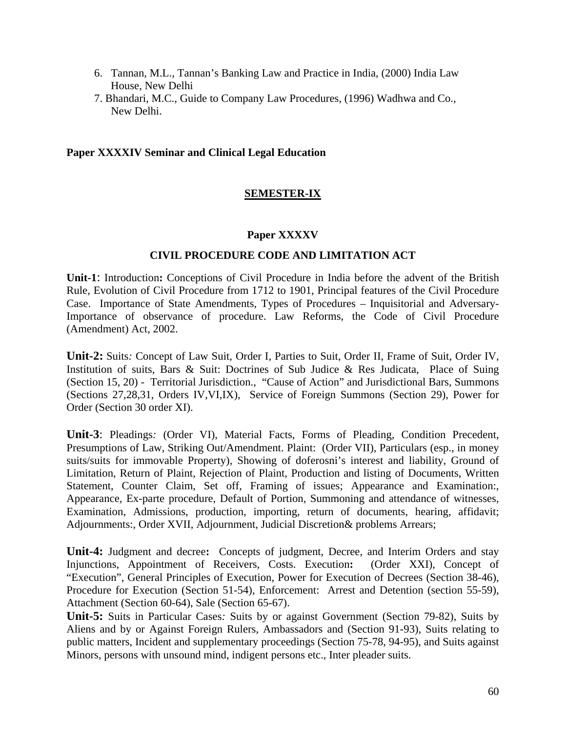- 6. Tannan, M.L., Tannan's Banking Law and Practice in India, (2000) India Law House, New Delhi
- 7. Bhandari, M.C., Guide to Company Law Procedures, (1996) Wadhwa and Co., New Delhi.

#### **Paper XXXXIV Seminar and Clinical Legal Education**

### **SEMESTER-IX**

#### **Paper XXXXV**

### **CIVIL PROCEDURE CODE AND LIMITATION ACT**

**Unit-1**: Introduction**:** Conceptions of Civil Procedure in India before the advent of the British Rule, Evolution of Civil Procedure from 1712 to 1901, Principal features of the Civil Procedure Case. Importance of State Amendments, Types of Procedures – Inquisitorial and Adversary-Importance of observance of procedure. Law Reforms, the Code of Civil Procedure (Amendment) Act, 2002.

**Unit-2:** Suits*:* Concept of Law Suit, Order I, Parties to Suit, Order II, Frame of Suit, Order IV, Institution of suits, Bars & Suit: Doctrines of Sub Judice & Res Judicata, Place of Suing (Section 15, 20) - Territorial Jurisdiction., "Cause of Action" and Jurisdictional Bars, Summons (Sections 27,28,31, Orders IV,VI,IX), Service of Foreign Summons (Section 29), Power for Order (Section 30 order XI).

**Unit-3**: Pleadings*:* (Order VI), Material Facts, Forms of Pleading, Condition Precedent, Presumptions of Law, Striking Out/Amendment. Plaint: (Order VII), Particulars (esp., in money suits/suits for immovable Property), Showing of doferosni's interest and liability, Ground of Limitation, Return of Plaint, Rejection of Plaint, Production and listing of Documents, Written Statement, Counter Claim, Set off, Framing of issues; Appearance and Examination:, Appearance, Ex-parte procedure, Default of Portion, Summoning and attendance of witnesses, Examination, Admissions, production, importing, return of documents, hearing, affidavit; Adjournments:, Order XVII, Adjournment, Judicial Discretion& problems Arrears;

**Unit-4:** Judgment and decree**:** Concepts of judgment, Decree, and Interim Orders and stay Injunctions, Appointment of Receivers, Costs. Execution**:** (Order XXI), Concept of "Execution", General Principles of Execution, Power for Execution of Decrees (Section 38-46), Procedure for Execution (Section 51-54), Enforcement: Arrest and Detention (section 55-59), Attachment (Section 60-64), Sale (Section 65-67).

**Unit-5:** Suits in Particular Cases*:* Suits by or against Government (Section 79-82), Suits by Aliens and by or Against Foreign Rulers, Ambassadors and (Section 91-93), Suits relating to public matters, Incident and supplementary proceedings (Section 75-78, 94-95), and Suits against Minors, persons with unsound mind, indigent persons etc., Inter pleader suits.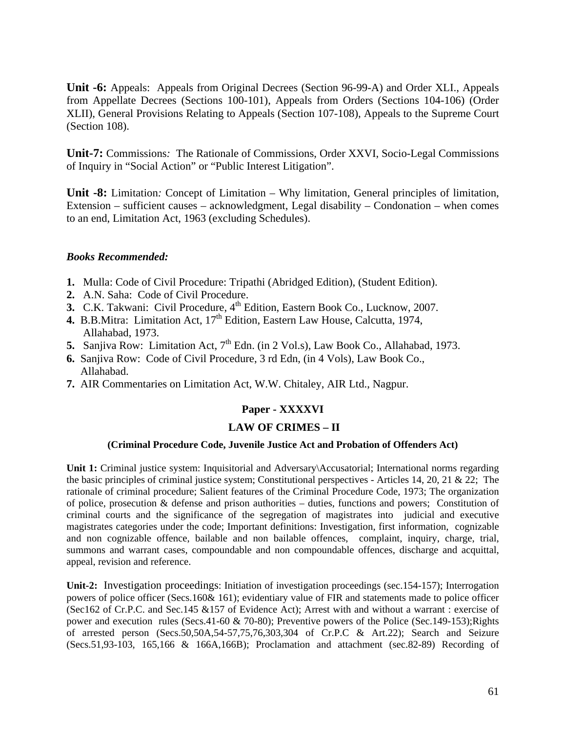**Unit -6:** Appeals: Appeals from Original Decrees (Section 96-99-A) and Order XLI., Appeals from Appellate Decrees (Sections 100-101), Appeals from Orders (Sections 104-106) (Order XLII), General Provisions Relating to Appeals (Section 107-108), Appeals to the Supreme Court (Section 108).

**Unit-7:** Commissions*:* The Rationale of Commissions, Order XXVI, Socio-Legal Commissions of Inquiry in "Social Action" or "Public Interest Litigation".

**Unit -8:** Limitation*:* Concept of Limitation – Why limitation, General principles of limitation, Extension – sufficient causes – acknowledgment, Legal disability – Condonation – when comes to an end, Limitation Act, 1963 (excluding Schedules).

### *Books Recommended:*

- **1.** Mulla: Code of Civil Procedure: Tripathi (Abridged Edition), (Student Edition).
- **2.** A.N. Saha: Code of Civil Procedure.
- **3.** C.K. Takwani: Civil Procedure,  $4^{\text{th}}$  Edition, Eastern Book Co., Lucknow, 2007.
- **4.** B.B.Mitra: Limitation Act, 17<sup>th</sup> Edition, Eastern Law House, Calcutta, 1974, Allahabad, 1973.
- **5.** Sanjiva Row: Limitation Act, 7<sup>th</sup> Edn. (in 2 Vol.s), Law Book Co., Allahabad, 1973.
- **6.** Sanjiva Row: Code of Civil Procedure, 3 rd Edn, (in 4 Vols), Law Book Co., Allahabad.
- **7.** AIR Commentaries on Limitation Act, W.W. Chitaley, AIR Ltd., Nagpur.

### **Paper - XXXXVI**

### **LAW OF CRIMES – II**

#### **(Criminal Procedure Code, Juvenile Justice Act and Probation of Offenders Act)**

**Unit 1:** Criminal justice system: Inquisitorial and Adversary\Accusatorial; International norms regarding the basic principles of criminal justice system; Constitutional perspectives - Articles 14, 20, 21  $\&$  22; The rationale of criminal procedure; Salient features of the Criminal Procedure Code, 1973; The organization of police, prosecution & defense and prison authorities – duties, functions and powers; Constitution of criminal courts and the significance of the segregation of magistrates into judicial and executive magistrates categories under the code; Important definitions: Investigation, first information, cognizable and non cognizable offence, bailable and non bailable offences, complaint, inquiry, charge, trial, summons and warrant cases, compoundable and non compoundable offences, discharge and acquittal, appeal, revision and reference.

**Unit-2:** Investigation proceedings: Initiation of investigation proceedings (sec.154-157); Interrogation powers of police officer (Secs.160& 161); evidentiary value of FIR and statements made to police officer (Sec162 of Cr.P.C. and Sec.145 &157 of Evidence Act); Arrest with and without a warrant : exercise of power and execution rules (Secs.41-60 & 70-80); Preventive powers of the Police (Sec.149-153);Rights of arrested person (Secs.50,50A,54-57,75,76,303,304 of Cr.P.C & Art.22); Search and Seizure (Secs.51,93-103, 165,166 & 166A,166B); Proclamation and attachment (sec.82-89) Recording of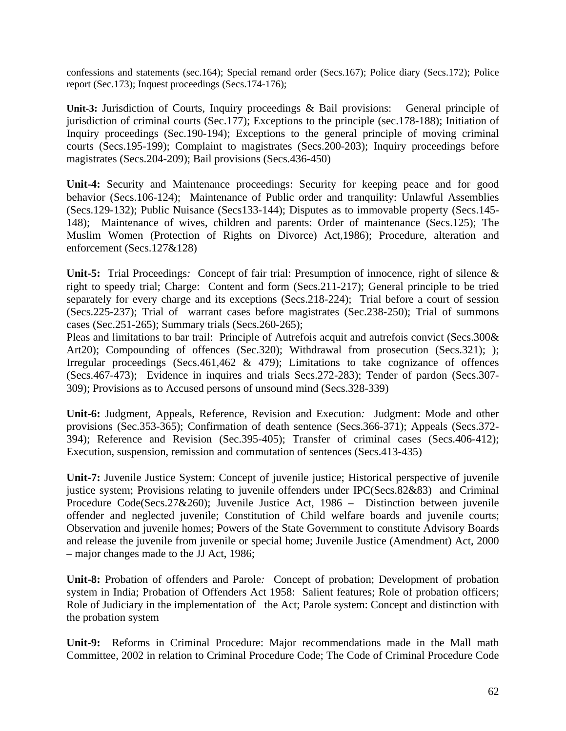confessions and statements (sec.164); Special remand order (Secs.167); Police diary (Secs.172); Police report (Sec.173); Inquest proceedings (Secs.174-176);

**Unit-3:** Jurisdiction of Courts, Inquiry proceedings & Bail provisions:General principle of jurisdiction of criminal courts (Sec.177); Exceptions to the principle (sec.178-188); Initiation of Inquiry proceedings (Sec.190-194); Exceptions to the general principle of moving criminal courts (Secs.195-199); Complaint to magistrates (Secs.200-203); Inquiry proceedings before magistrates (Secs.204-209); Bail provisions (Secs.436-450)

**Unit-4:** Security and Maintenance proceedings: Security for keeping peace and for good behavior (Secs.106-124); Maintenance of Public order and tranquility: Unlawful Assemblies (Secs.129-132); Public Nuisance (Secs133-144); Disputes as to immovable property (Secs.145- 148); Maintenance of wives, children and parents: Order of maintenance (Secs.125); The Muslim Women (Protection of Rights on Divorce) Act,1986); Procedure, alteration and enforcement (Secs.127&128)

Unit-5: Trial Proceedings: Concept of fair trial: Presumption of innocence, right of silence & right to speedy trial; Charge: Content and form (Secs.211-217); General principle to be tried separately for every charge and its exceptions (Secs.218-224); Trial before a court of session (Secs.225-237); Trial of warrant cases before magistrates (Sec.238-250); Trial of summons cases (Sec.251-265); Summary trials (Secs.260-265);

Pleas and limitations to bar trail: Principle of Autrefois acquit and autrefois convict (Secs.300& Art20); Compounding of offences (Sec.320); Withdrawal from prosecution (Secs.321); ); Irregular proceedings (Secs.461,462 & 479); Limitations to take cognizance of offences (Secs.467-473); Evidence in inquires and trials Secs.272-283); Tender of pardon (Secs.307- 309); Provisions as to Accused persons of unsound mind (Secs.328-339)

**Unit-6:** Judgment, Appeals, Reference, Revision and Execution*:*Judgment: Mode and other provisions (Sec.353-365); Confirmation of death sentence (Secs.366-371); Appeals (Secs.372- 394); Reference and Revision (Sec.395-405); Transfer of criminal cases (Secs.406-412); Execution, suspension, remission and commutation of sentences (Secs.413-435)

**Unit-7:** Juvenile Justice System: Concept of juvenile justice; Historical perspective of juvenile justice system; Provisions relating to juvenile offenders under IPC(Secs.82&83) and Criminal Procedure Code(Secs.27&260); Juvenile Justice Act, 1986 – Distinction between juvenile offender and neglected juvenile; Constitution of Child welfare boards and juvenile courts; Observation and juvenile homes; Powers of the State Government to constitute Advisory Boards and release the juvenile from juvenile or special home; Juvenile Justice (Amendment) Act, 2000 – major changes made to the JJ Act, 1986;

**Unit-8:** Probation of offenders and Parole*:*Concept of probation; Development of probation system in India; Probation of Offenders Act 1958: Salient features; Role of probation officers; Role of Judiciary in the implementation of the Act; Parole system: Concept and distinction with the probation system

**Unit-9:** Reforms in Criminal Procedure: Major recommendations made in the Mall math Committee, 2002 in relation to Criminal Procedure Code; The Code of Criminal Procedure Code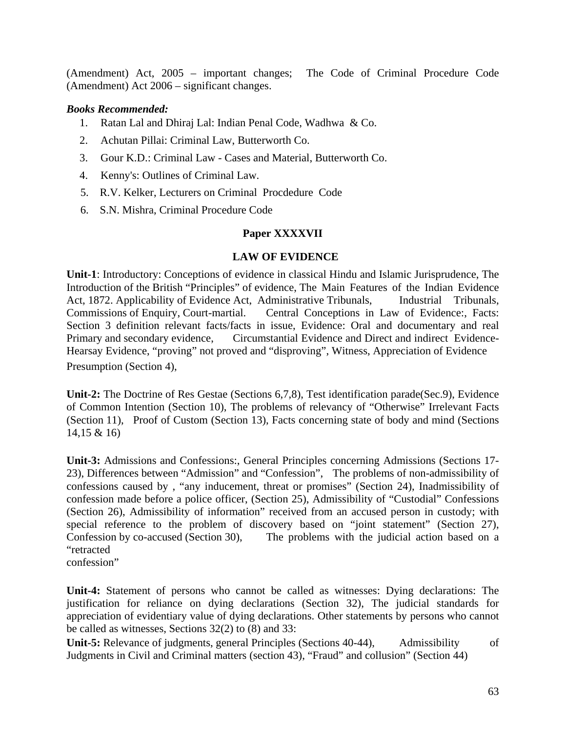(Amendment) Act, 2005 – important changes; The Code of Criminal Procedure Code (Amendment) Act 2006 – significant changes.

#### *Books Recommended:*

- 1. Ratan Lal and Dhiraj Lal: Indian Penal Code, Wadhwa & Co.
- 2. Achutan Pillai: Criminal Law, Butterworth Co.
- 3. Gour K.D.: Criminal Law Cases and Material, Butterworth Co.
- 4. Kenny's: Outlines of Criminal Law.
- 5. R.V. Kelker, Lecturers on Criminal Procdedure Code
- 6. S.N. Mishra, Criminal Procedure Code

### **Paper XXXXVII**

#### **LAW OF EVIDENCE**

**Unit-1**: Introductory: Conceptions of evidence in classical Hindu and Islamic Jurisprudence, The Introduction of the British "Principles" of evidence, The Main Features of the Indian Evidence Act, 1872. Applicability of Evidence Act, Administrative Tribunals, Industrial Tribunals, Commissions of Enquiry, Court-martial. Central Conceptions in Law of Evidence:, Facts: Section 3 definition relevant facts/facts in issue, Evidence: Oral and documentary and real Primary and secondary evidence, Circumstantial Evidence and Direct and indirect Evidence-Hearsay Evidence, "proving" not proved and "disproving", Witness, Appreciation of Evidence Presumption (Section 4),

**Unit-2:** The Doctrine of Res Gestae (Sections 6,7,8), Test identification parade(Sec.9), Evidence of Common Intention (Section 10), The problems of relevancy of "Otherwise" Irrelevant Facts (Section 11), Proof of Custom (Section 13), Facts concerning state of body and mind (Sections 14,15 & 16)

**Unit-3:** Admissions and Confessions:, General Principles concerning Admissions (Sections 17- 23), Differences between "Admission" and "Confession", The problems of non-admissibility of confessions caused by , "any inducement, threat or promises" (Section 24), Inadmissibility of confession made before a police officer, (Section 25), Admissibility of "Custodial" Confessions (Section 26), Admissibility of information" received from an accused person in custody; with special reference to the problem of discovery based on "joint statement" (Section 27), Confession by co-accused (Section 30), The problems with the judicial action based on a "retracted

confession"

**Unit-4:** Statement of persons who cannot be called as witnesses: Dying declarations: The justification for reliance on dying declarations (Section 32), The judicial standards for appreciation of evidentiary value of dying declarations. Other statements by persons who cannot be called as witnesses, Sections 32(2) to (8) and 33:

**Unit-5:** Relevance of judgments, general Principles (Sections 40-44), Admissibility of Judgments in Civil and Criminal matters (section 43), "Fraud" and collusion" (Section 44)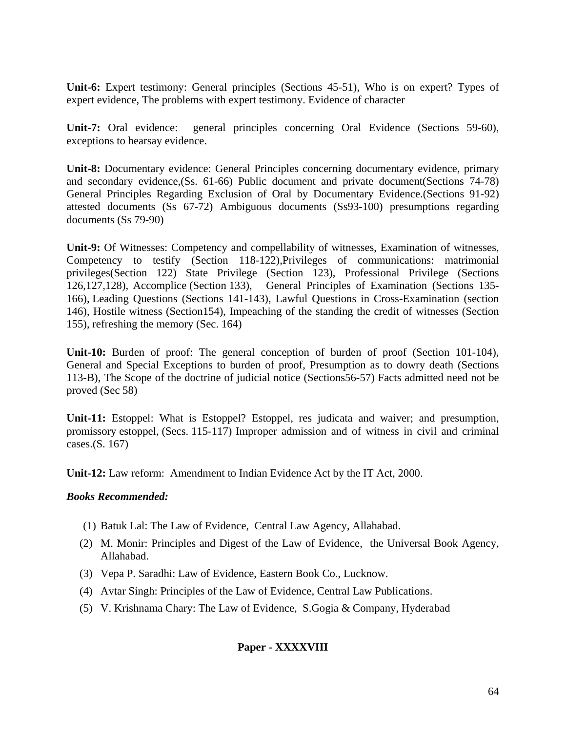**Unit-6:** Expert testimony: General principles (Sections 45-51), Who is on expert? Types of expert evidence, The problems with expert testimony. Evidence of character

**Unit-7:** Oral evidence: general principles concerning Oral Evidence (Sections 59-60), exceptions to hearsay evidence.

**Unit-8:** Documentary evidence: General Principles concerning documentary evidence, primary and secondary evidence,(Ss. 61-66) Public document and private document(Sections 74-78) General Principles Regarding Exclusion of Oral by Documentary Evidence.(Sections 91-92) attested documents (Ss 67-72) Ambiguous documents (Ss93-100) presumptions regarding documents (Ss 79-90)

**Unit-9:** Of Witnesses: Competency and compellability of witnesses, Examination of witnesses, Competency to testify (Section 118-122),Privileges of communications: matrimonial privileges(Section 122) State Privilege (Section 123), Professional Privilege (Sections 126,127,128), Accomplice (Section 133), General Principles of Examination (Sections 135- 166), Leading Questions (Sections 141-143), Lawful Questions in Cross-Examination (section 146), Hostile witness (Section154), Impeaching of the standing the credit of witnesses (Section 155), refreshing the memory (Sec. 164)

**Unit-10:** Burden of proof: The general conception of burden of proof (Section 101-104), General and Special Exceptions to burden of proof, Presumption as to dowry death (Sections 113-B), The Scope of the doctrine of judicial notice (Sections56-57) Facts admitted need not be proved (Sec 58)

**Unit-11:** Estoppel: What is Estoppel? Estoppel, res judicata and waiver; and presumption, promissory estoppel, (Secs. 115-117) Improper admission and of witness in civil and criminal cases.(S. 167)

**Unit-12:** Law reform: Amendment to Indian Evidence Act by the IT Act, 2000.

#### *Books Recommended:*

- (1) Batuk Lal: The Law of Evidence, Central Law Agency, Allahabad.
- (2) M. Monir: Principles and Digest of the Law of Evidence, the Universal Book Agency, Allahabad.
- (3) Vepa P. Saradhi: Law of Evidence, Eastern Book Co., Lucknow.
- (4) Avtar Singh: Principles of the Law of Evidence, Central Law Publications.
- (5) V. Krishnama Chary: The Law of Evidence, S.Gogia & Company, Hyderabad

### **Paper - XXXXVIII**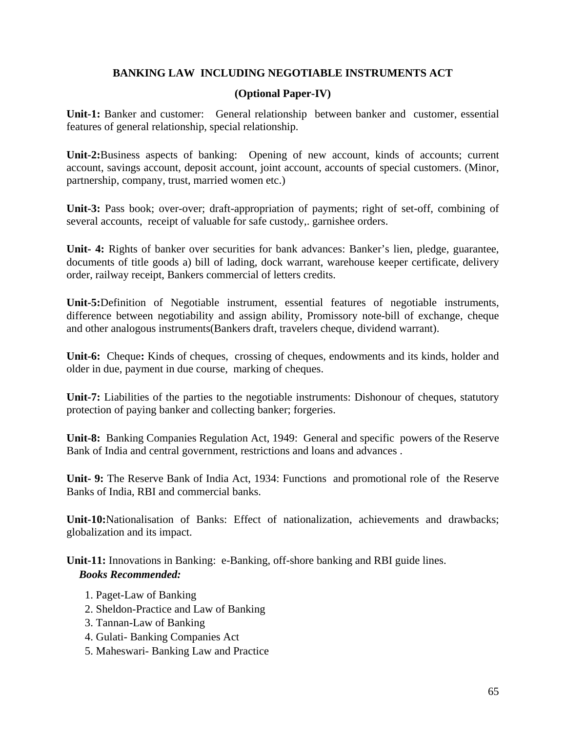### **BANKING LAW INCLUDING NEGOTIABLE INSTRUMENTS ACT**

### **(Optional Paper-IV)**

**Unit-1:** Banker and customer: General relationship between banker and customer, essential features of general relationship, special relationship.

**Unit-2:**Business aspects of banking: Opening of new account, kinds of accounts; current account, savings account, deposit account, joint account, accounts of special customers. (Minor, partnership, company, trust, married women etc.)

**Unit-3:** Pass book; over-over; draft-appropriation of payments; right of set-off, combining of several accounts, receipt of valuable for safe custody,. garnishee orders.

**Unit- 4:** Rights of banker over securities for bank advances: Banker's lien, pledge, guarantee, documents of title goods a) bill of lading, dock warrant, warehouse keeper certificate, delivery order, railway receipt, Bankers commercial of letters credits.

**Unit-5:**Definition of Negotiable instrument, essential features of negotiable instruments, difference between negotiability and assign ability, Promissory note-bill of exchange, cheque and other analogous instruments(Bankers draft, travelers cheque, dividend warrant).

**Unit-6:** Cheque**:** Kinds of cheques, crossing of cheques, endowments and its kinds, holder and older in due, payment in due course, marking of cheques.

**Unit-7:** Liabilities of the parties to the negotiable instruments: Dishonour of cheques, statutory protection of paying banker and collecting banker; forgeries.

**Unit-8:** Banking Companies Regulation Act, 1949: General and specific powers of the Reserve Bank of India and central government, restrictions and loans and advances .

**Unit- 9:** The Reserve Bank of India Act, 1934: Functions and promotional role of the Reserve Banks of India, RBI and commercial banks.

**Unit-10:**Nationalisation of Banks: Effect of nationalization, achievements and drawbacks; globalization and its impact.

**Unit-11:** Innovations in Banking: e-Banking, off-shore banking and RBI guide lines. *Books Recommended:* 

- 1. Paget-Law of Banking
- 2. Sheldon-Practice and Law of Banking
- 3. Tannan-Law of Banking
- 4. Gulati- Banking Companies Act
- 5. Maheswari- Banking Law and Practice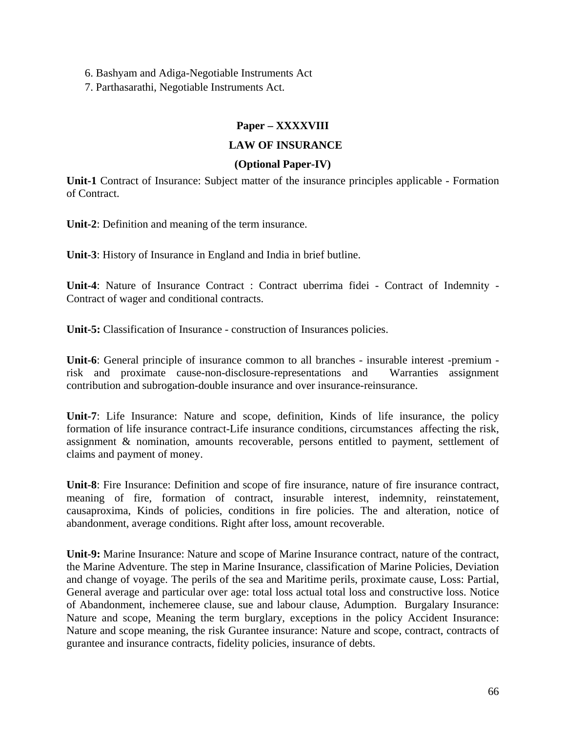6. Bashyam and Adiga-Negotiable Instruments Act

7. Parthasarathi, Negotiable Instruments Act.

## **Paper – XXXXVIII**

### **LAW OF INSURANCE**

### **(Optional Paper-IV)**

**Unit-1** Contract of Insurance: Subject matter of the insurance principles applicable - Formation of Contract.

**Unit-2**: Definition and meaning of the term insurance.

**Unit-3**: History of Insurance in England and India in brief butline.

**Unit-4**: Nature of Insurance Contract : Contract uberrima fidei - Contract of Indemnity - Contract of wager and conditional contracts.

**Unit-5:** Classification of Insurance - construction of Insurances policies.

**Unit-6**: General principle of insurance common to all branches - insurable interest -premium risk and proximate cause-non-disclosure-representations and Warranties assignment contribution and subrogation-double insurance and over insurance-reinsurance.

**Unit-7**: Life Insurance: Nature and scope, definition, Kinds of life insurance, the policy formation of life insurance contract-Life insurance conditions, circumstances affecting the risk, assignment & nomination, amounts recoverable, persons entitled to payment, settlement of claims and payment of money.

**Unit-8**: Fire Insurance: Definition and scope of fire insurance, nature of fire insurance contract, meaning of fire, formation of contract, insurable interest, indemnity, reinstatement, causaproxima, Kinds of policies, conditions in fire policies. The and alteration, notice of abandonment, average conditions. Right after loss, amount recoverable.

**Unit-9:** Marine Insurance: Nature and scope of Marine Insurance contract, nature of the contract, the Marine Adventure. The step in Marine Insurance, classification of Marine Policies, Deviation and change of voyage. The perils of the sea and Maritime perils, proximate cause, Loss: Partial, General average and particular over age: total loss actual total loss and constructive loss. Notice of Abandonment, inchemeree clause, sue and labour clause, Adumption. Burgalary Insurance: Nature and scope, Meaning the term burglary, exceptions in the policy Accident Insurance: Nature and scope meaning, the risk Gurantee insurance: Nature and scope, contract, contracts of gurantee and insurance contracts, fidelity policies, insurance of debts.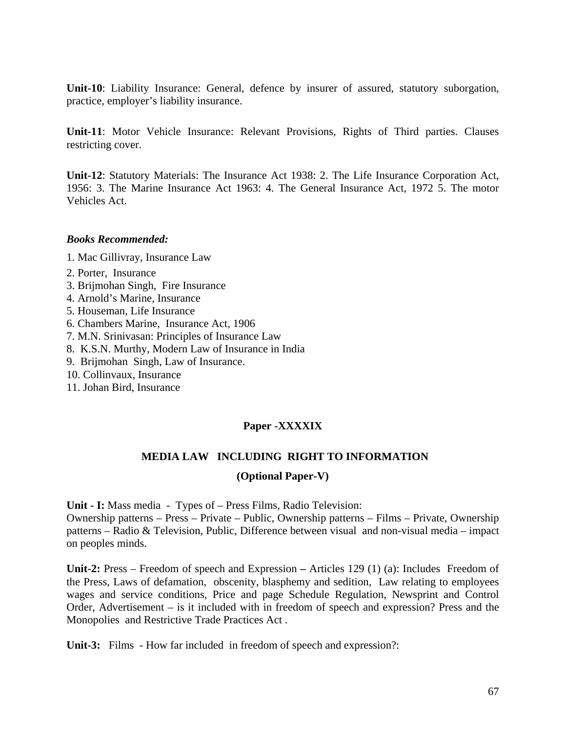**Unit-10**: Liability Insurance: General, defence by insurer of assured, statutory suborgation, practice, employer's liability insurance.

**Unit-11**: Motor Vehicle Insurance: Relevant Provisions, Rights of Third parties. Clauses restricting cover.

**Unit-12**: Statutory Materials: The Insurance Act 1938: 2. The Life Insurance Corporation Act, 1956: 3. The Marine Insurance Act 1963: 4. The General Insurance Act, 1972 5. The motor Vehicles Act.

#### *Books Recommended:*

- 1. Mac Gillivray, Insurance Law
- 2. Porter, Insurance
- 3. Brijmohan Singh, Fire Insurance
- 4. Arnold's Marine, Insurance
- 5. Houseman, Life Insurance
- 6. Chambers Marine, Insurance Act, 1906
- 7. M.N. Srinivasan: Principles of Insurance Law
- 8. K.S.N. Murthy, Modern Law of Insurance in India
- 9. Brijmohan Singh, Law of Insurance.
- 10. Collinvaux, Insurance
- 11. Johan Bird, Insurance

### **Paper -XXXXIX**

#### **MEDIA LAW INCLUDING RIGHT TO INFORMATION**

#### **(Optional Paper-V)**

**Unit - I:** Mass media - Types of – Press Films, Radio Television:

Ownership patterns – Press – Private – Public, Ownership patterns – Films – Private, Ownership patterns – Radio & Television, Public, Difference between visual and non-visual media – impact on peoples minds.

**Unit-2:** Press – Freedom of speech and Expression **–** Articles 129 (1) (a): Includes Freedom of the Press, Laws of defamation, obscenity, blasphemy and sedition, Law relating to employees wages and service conditions, Price and page Schedule Regulation, Newsprint and Control Order, Advertisement – is it included with in freedom of speech and expression? Press and the Monopolies and Restrictive Trade Practices Act .

**Unit-3:** Films - How far included in freedom of speech and expression?: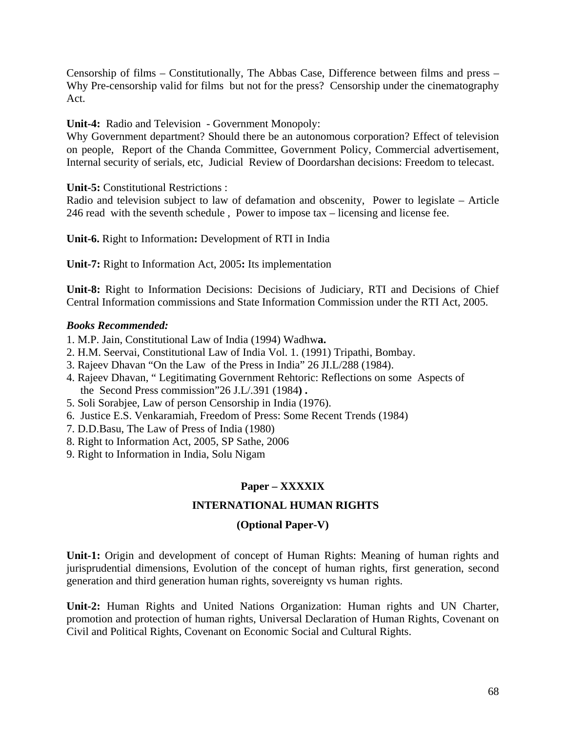Censorship of films – Constitutionally, The Abbas Case, Difference between films and press – Why Pre-censorship valid for films but not for the press? Censorship under the cinematography Act.

**Unit-4:** Radio and Television - Government Monopoly:

Why Government department? Should there be an autonomous corporation? Effect of television on people, Report of the Chanda Committee, Government Policy, Commercial advertisement, Internal security of serials, etc, Judicial Review of Doordarshan decisions: Freedom to telecast.

**Unit-5:** Constitutional Restrictions :

Radio and television subject to law of defamation and obscenity, Power to legislate – Article 246 read with the seventh schedule , Power to impose tax – licensing and license fee.

**Unit-6.** Right to Information**:** Development of RTI in India

**Unit-7:** Right to Information Act, 2005**:** Its implementation

**Unit-8:** Right to Information Decisions: Decisions of Judiciary, RTI and Decisions of Chief Central Information commissions and State Information Commission under the RTI Act, 2005.

### *Books Recommended:*

1. M.P. Jain, Constitutional Law of India (1994) Wadhw**a.** 

- 2. H.M. Seervai, Constitutional Law of India Vol. 1. (1991) Tripathi, Bombay.
- 3. Rajeev Dhavan "On the Law of the Press in India" 26 JI.L/288 (1984).
- 4. Rajeev Dhavan, " Legitimating Government Rehtoric: Reflections on some Aspects of the Second Press commission"26 J.L/.391 (1984**) .**
- 5. Soli Sorabjee, Law of person Censorship in India (1976).
- 6. Justice E.S. Venkaramiah, Freedom of Press: Some Recent Trends (1984)
- 7. D.D.Basu, The Law of Press of India (1980)
- 8. Right to Information Act, 2005, SP Sathe, 2006
- 9. Right to Information in India, Solu Nigam

### **Paper – XXXXIX**

### **INTERNATIONAL HUMAN RIGHTS**

### **(Optional Paper-V)**

**Unit-1:** Origin and development of concept of Human Rights: Meaning of human rights and jurisprudential dimensions, Evolution of the concept of human rights, first generation, second generation and third generation human rights, sovereignty vs human rights.

**Unit-2:** Human Rights and United Nations Organization: Human rights and UN Charter, promotion and protection of human rights, Universal Declaration of Human Rights, Covenant on Civil and Political Rights, Covenant on Economic Social and Cultural Rights.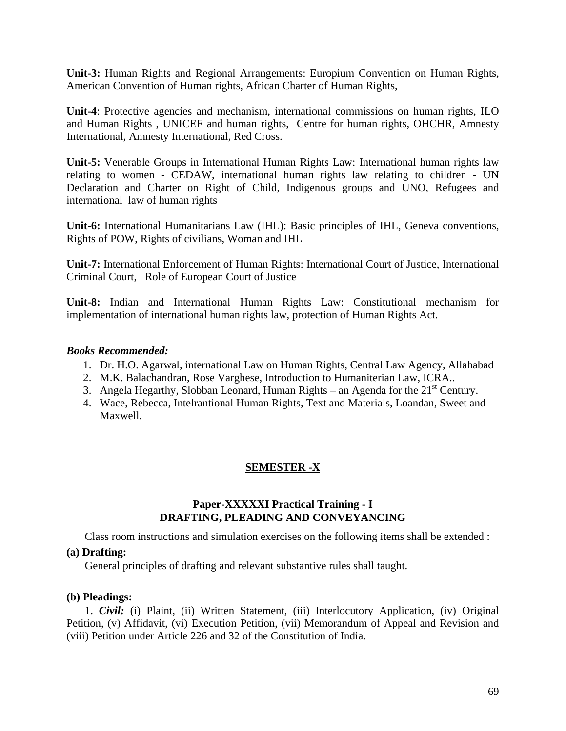**Unit-3:** Human Rights and Regional Arrangements: Europium Convention on Human Rights, American Convention of Human rights, African Charter of Human Rights,

**Unit-4**: Protective agencies and mechanism, international commissions on human rights, ILO and Human Rights , UNICEF and human rights, Centre for human rights, OHCHR, Amnesty International, Amnesty International, Red Cross.

**Unit-5:** Venerable Groups in International Human Rights Law: International human rights law relating to women - CEDAW, international human rights law relating to children - UN Declaration and Charter on Right of Child, Indigenous groups and UNO, Refugees and international law of human rights

**Unit-6:** International Humanitarians Law (IHL): Basic principles of IHL, Geneva conventions, Rights of POW, Rights of civilians, Woman and IHL

**Unit-7:** International Enforcement of Human Rights: International Court of Justice, International Criminal Court, Role of European Court of Justice

**Unit-8:** Indian and International Human Rights Law: Constitutional mechanism for implementation of international human rights law, protection of Human Rights Act.

#### *Books Recommended:*

- 1. Dr. H.O. Agarwal, international Law on Human Rights, Central Law Agency, Allahabad
- 2. M.K. Balachandran, Rose Varghese, Introduction to Humaniterian Law, ICRA..
- 3. Angela Hegarthy, Slobban Leonard, Human Rights an Agenda for the  $21<sup>st</sup>$  Century.
- 4. Wace, Rebecca, Intelrantional Human Rights, Text and Materials, Loandan, Sweet and Maxwell.

### **SEMESTER -X**

#### **Paper-XXXXXI Practical Training - I DRAFTING, PLEADING AND CONVEYANCING**

Class room instructions and simulation exercises on the following items shall be extended :

#### **(a) Drafting:**

General principles of drafting and relevant substantive rules shall taught.

#### **(b) Pleadings:**

1. *Civil:* (i) Plaint, (ii) Written Statement, (iii) Interlocutory Application, (iv) Original Petition, (v) Affidavit, (vi) Execution Petition, (vii) Memorandum of Appeal and Revision and (viii) Petition under Article 226 and 32 of the Constitution of India.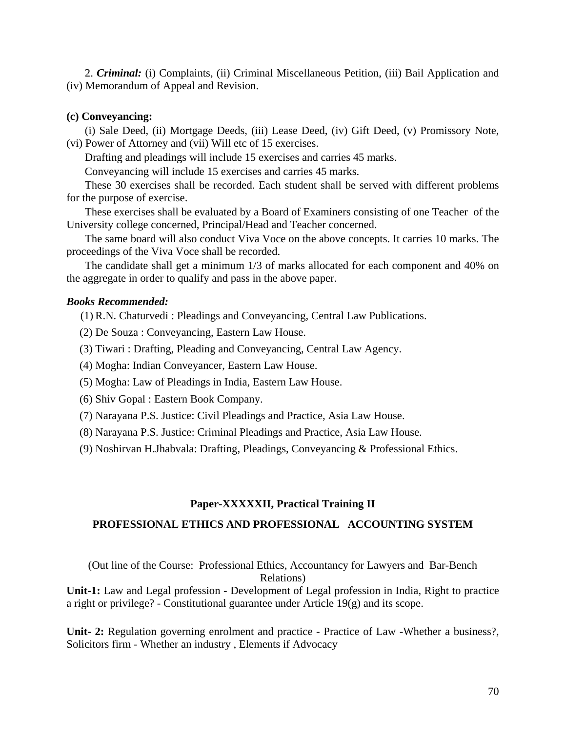2. *Criminal:* (i) Complaints, (ii) Criminal Miscellaneous Petition, (iii) Bail Application and (iv) Memorandum of Appeal and Revision.

#### **(c) Conveyancing:**

(i) Sale Deed, (ii) Mortgage Deeds, (iii) Lease Deed, (iv) Gift Deed, (v) Promissory Note, (vi) Power of Attorney and (vii) Will etc of 15 exercises.

Drafting and pleadings will include 15 exercises and carries 45 marks.

Conveyancing will include 15 exercises and carries 45 marks.

These 30 exercises shall be recorded. Each student shall be served with different problems for the purpose of exercise.

These exercises shall be evaluated by a Board of Examiners consisting of one Teacher of the University college concerned, Principal/Head and Teacher concerned.

The same board will also conduct Viva Voce on the above concepts. It carries 10 marks. The proceedings of the Viva Voce shall be recorded.

The candidate shall get a minimum 1/3 of marks allocated for each component and 40% on the aggregate in order to qualify and pass in the above paper.

### *Books Recommended:*

(1) R.N. Chaturvedi : Pleadings and Conveyancing, Central Law Publications.

- (2) De Souza : Conveyancing, Eastern Law House.
- (3) Tiwari : Drafting, Pleading and Conveyancing, Central Law Agency.
- (4) Mogha: Indian Conveyancer, Eastern Law House.
- (5) Mogha: Law of Pleadings in India, Eastern Law House.
- (6) Shiv Gopal : Eastern Book Company.
- (7) Narayana P.S. Justice: Civil Pleadings and Practice, Asia Law House.
- (8) Narayana P.S. Justice: Criminal Pleadings and Practice, Asia Law House.
- (9) Noshirvan H.Jhabvala: Drafting, Pleadings, Conveyancing & Professional Ethics.

#### **Paper-XXXXXII, Practical Training II**

#### **PROFESSIONAL ETHICS AND PROFESSIONAL ACCOUNTING SYSTEM**

(Out line of the Course: Professional Ethics, Accountancy for Lawyers and Bar-Bench Relations)

**Unit-1:** Law and Legal profession - Development of Legal profession in India, Right to practice a right or privilege? - Constitutional guarantee under Article 19(g) and its scope.

**Unit- 2:** Regulation governing enrolment and practice - Practice of Law -Whether a business?, Solicitors firm - Whether an industry , Elements if Advocacy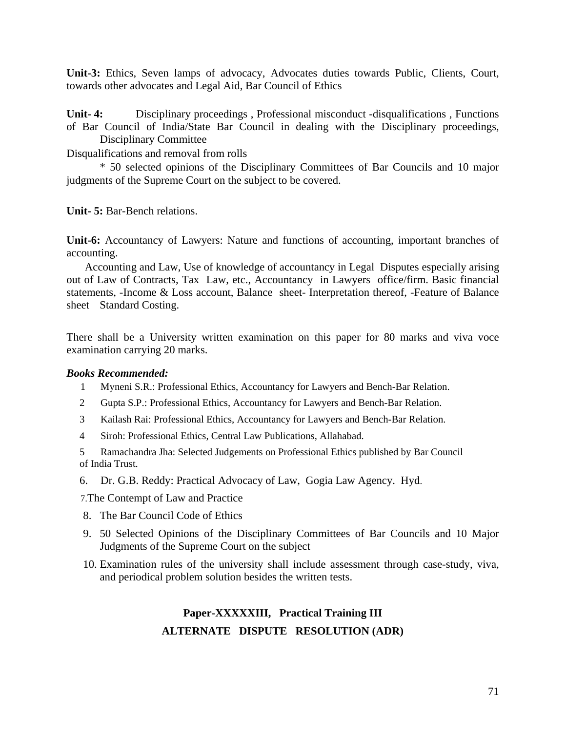**Unit-3:** Ethics, Seven lamps of advocacy, Advocates duties towards Public, Clients, Court, towards other advocates and Legal Aid, Bar Council of Ethics

**Unit- 4:** Disciplinary proceedings , Professional misconduct -disqualifications , Functions of Bar Council of India/State Bar Council in dealing with the Disciplinary proceedings, Disciplinary Committee

Disqualifications and removal from rolls

 \* 50 selected opinions of the Disciplinary Committees of Bar Councils and 10 major judgments of the Supreme Court on the subject to be covered.

**Unit- 5:** Bar-Bench relations.

**Unit-6:** Accountancy of Lawyers: Nature and functions of accounting, important branches of accounting.

Accounting and Law, Use of knowledge of accountancy in Legal Disputes especially arising out of Law of Contracts, Tax Law, etc., Accountancy in Lawyers office/firm. Basic financial statements, -Income & Loss account, Balance sheet- Interpretation thereof, -Feature of Balance sheet Standard Costing.

There shall be a University written examination on this paper for 80 marks and viva voce examination carrying 20 marks.

#### *Books Recommended:*

- 1 Myneni S.R.: Professional Ethics, Accountancy for Lawyers and Bench-Bar Relation.
- 2 Gupta S.P.: Professional Ethics, Accountancy for Lawyers and Bench-Bar Relation.
- 3 Kailash Rai: Professional Ethics, Accountancy for Lawyers and Bench-Bar Relation.
- 4 Siroh: Professional Ethics, Central Law Publications, Allahabad.

 5 Ramachandra Jha: Selected Judgements on Professional Ethics published by Bar Council of India Trust.

6. Dr. G.B. Reddy: Practical Advocacy of Law, Gogia Law Agency. Hyd.

7.The Contempt of Law and Practice

- 8. The Bar Council Code of Ethics
- 9. 50 Selected Opinions of the Disciplinary Committees of Bar Councils and 10 Major Judgments of the Supreme Court on the subject
- 10. Examination rules of the university shall include assessment through case-study, viva, and periodical problem solution besides the written tests.

# **Paper-XXXXXIII, Practical Training III ALTERNATE DISPUTE RESOLUTION (ADR)**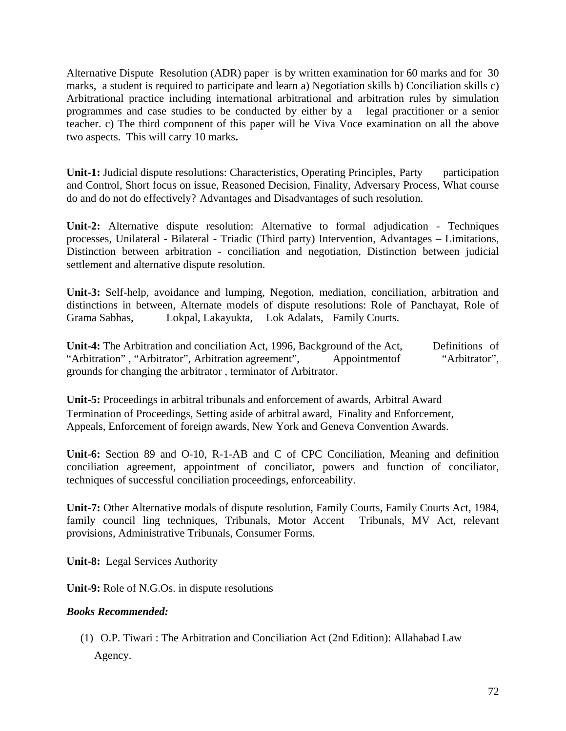Alternative Dispute Resolution (ADR) paper is by written examination for 60 marks and for 30 marks, a student is required to participate and learn a) Negotiation skills b) Conciliation skills c) Arbitrational practice including international arbitrational and arbitration rules by simulation programmes and case studies to be conducted by either by a legal practitioner or a senior teacher. c) The third component of this paper will be Viva Voce examination on all the above two aspects. This will carry 10 marks**.**

**Unit-1:** Judicial dispute resolutions: Characteristics, Operating Principles, Party participation and Control, Short focus on issue, Reasoned Decision, Finality, Adversary Process, What course do and do not do effectively? Advantages and Disadvantages of such resolution.

**Unit-2:** Alternative dispute resolution: Alternative to formal adjudication - Techniques processes, Unilateral - Bilateral - Triadic (Third party) Intervention, Advantages – Limitations, Distinction between arbitration - conciliation and negotiation, Distinction between judicial settlement and alternative dispute resolution.

**Unit-3:** Self-help, avoidance and lumping, Negotion, mediation, conciliation, arbitration and distinctions in between, Alternate models of dispute resolutions: Role of Panchayat, Role of Grama Sabhas, Lokpal, Lakayukta, Lok Adalats, Family Courts.

**Unit-4:** The Arbitration and conciliation Act, 1996, Background of the Act, Definitions of "Arbitration", "Arbitrator", Arbitration agreement", Appointmentof "Arbitrator", grounds for changing the arbitrator , terminator of Arbitrator.

**Unit-5:** Proceedings in arbitral tribunals and enforcement of awards, Arbitral Award Termination of Proceedings, Setting aside of arbitral award, Finality and Enforcement, Appeals, Enforcement of foreign awards, New York and Geneva Convention Awards.

**Unit-6:** Section 89 and O-10, R-1-AB and C of CPC Conciliation, Meaning and definition conciliation agreement, appointment of conciliator, powers and function of conciliator, techniques of successful conciliation proceedings, enforceability.

**Unit-7:** Other Alternative modals of dispute resolution, Family Courts, Family Courts Act, 1984, family council ling techniques, Tribunals, Motor Accent Tribunals, MV Act, relevant provisions, Administrative Tribunals, Consumer Forms.

**Unit-8:** Legal Services Authority

**Unit-9:** Role of N.G.Os. in dispute resolutions

### *Books Recommended:*

 (1) O.P. Tiwari : The Arbitration and Conciliation Act (2nd Edition): Allahabad Law Agency.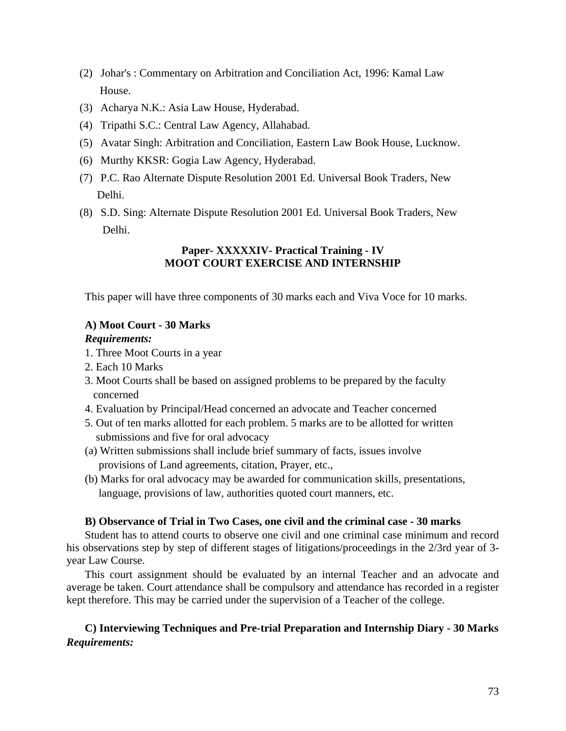- (2) Johar's : Commentary on Arbitration and Conciliation Act, 1996: Kamal Law House.
- (3) Acharya N.K.: Asia Law House, Hyderabad.
- (4) Tripathi S.C.: Central Law Agency, Allahabad.
- (5) Avatar Singh: Arbitration and Conciliation, Eastern Law Book House, Lucknow.
- (6) Murthy KKSR: Gogia Law Agency, Hyderabad.
- (7) P.C. Rao Alternate Dispute Resolution 2001 Ed. Universal Book Traders, New Delhi.
- (8) S.D. Sing: Alternate Dispute Resolution 2001 Ed. Universal Book Traders, New Delhi.

## **Paper- XXXXXIV- Practical Training - IV MOOT COURT EXERCISE AND INTERNSHIP**

This paper will have three components of 30 marks each and Viva Voce for 10 marks.

## **A) Moot Court - 30 Marks**

#### *Requirements:*

- 1. Three Moot Courts in a year
- 2. Each 10 Marks
- 3. Moot Courts shall be based on assigned problems to be prepared by the faculty concerned
- 4. Evaluation by Principal/Head concerned an advocate and Teacher concerned
- 5. Out of ten marks allotted for each problem. 5 marks are to be allotted for written submissions and five for oral advocacy
- (a) Written submissions shall include brief summary of facts, issues involve provisions of Land agreements, citation, Prayer, etc.,
- (b) Marks for oral advocacy may be awarded for communication skills, presentations, language, provisions of law, authorities quoted court manners, etc.

### **B) Observance of Trial in Two Cases, one civil and the criminal case - 30 marks**

Student has to attend courts to observe one civil and one criminal case minimum and record his observations step by step of different stages of litigations/proceedings in the 2/3rd year of 3 year Law Course.

This court assignment should be evaluated by an internal Teacher and an advocate and average be taken. Court attendance shall be compulsory and attendance has recorded in a register kept therefore. This may be carried under the supervision of a Teacher of the college.

## **C) Interviewing Techniques and Pre-trial Preparation and Internship Diary - 30 Marks**  *Requirements:*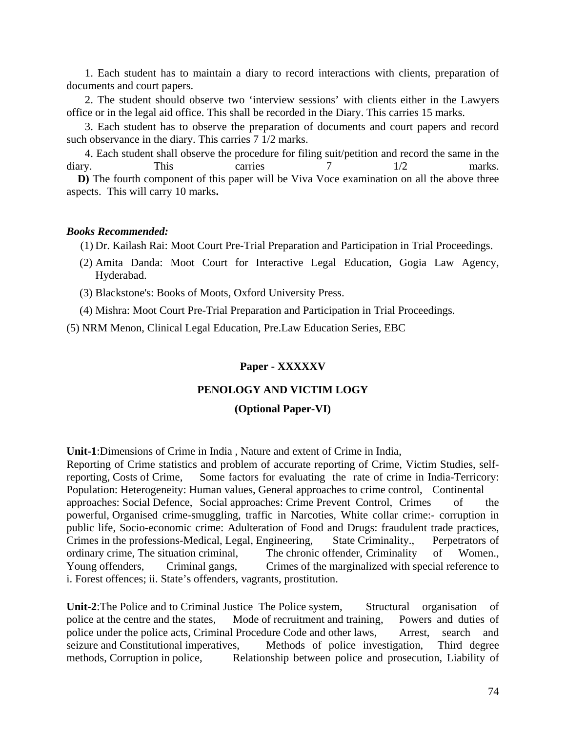1. Each student has to maintain a diary to record interactions with clients, preparation of documents and court papers.

2. The student should observe two 'interview sessions' with clients either in the Lawyers office or in the legal aid office. This shall be recorded in the Diary. This carries 15 marks.

3. Each student has to observe the preparation of documents and court papers and record such observance in the diary. This carries 7 1/2 marks.

4. Each student shall observe the procedure for filing suit/petition and record the same in the diary. This carries 7 1/2 marks.

 **D)** The fourth component of this paper will be Viva Voce examination on all the above three aspects. This will carry 10 marks**.**

#### *Books Recommended:*

(1) Dr. Kailash Rai: Moot Court Pre-Trial Preparation and Participation in Trial Proceedings.

- (2) Amita Danda: Moot Court for Interactive Legal Education, Gogia Law Agency, Hyderabad.
- (3) Blackstone's: Books of Moots, Oxford University Press.

(4) Mishra: Moot Court Pre-Trial Preparation and Participation in Trial Proceedings.

(5) NRM Menon, Clinical Legal Education, Pre.Law Education Series, EBC

#### **Paper - XXXXXV**

#### **PENOLOGY AND VICTIM LOGY**

#### **(Optional Paper-VI)**

**Unit-1**:Dimensions of Crime in India , Nature and extent of Crime in India,

Reporting of Crime statistics and problem of accurate reporting of Crime, Victim Studies, selfreporting, Costs of Crime, Some factors for evaluating the rate of crime in India-Terricory: Population: Heterogeneity: Human values, General approaches to crime control, Continental approaches: Social Defence, Social approaches: Crime Prevent Control, Crimes of the powerful, Organised crime-smuggling, traffic in Narcoties, White collar crime:- corruption in public life, Socio-economic crime: Adulteration of Food and Drugs: fraudulent trade practices, Crimes in the professions-Medical, Legal, Engineering, State Criminality., Perpetrators of ordinary crime, The situation criminal, The chronic offender, Criminality of Women., Young offenders, Criminal gangs, Crimes of the marginalized with special reference to i. Forest offences; ii. State's offenders, vagrants, prostitution.

Unit-2:The Police and to Criminal Justice The Police system, Structural organisation of police at the centre and the states, Mode of recruitment and training, Powers and duties of police under the police acts, Criminal Procedure Code and other laws, Arrest, search and seizure and Constitutional imperatives, Methods of police investigation, Third degree methods, Corruption in police, Relationship between police and prosecution, Liability of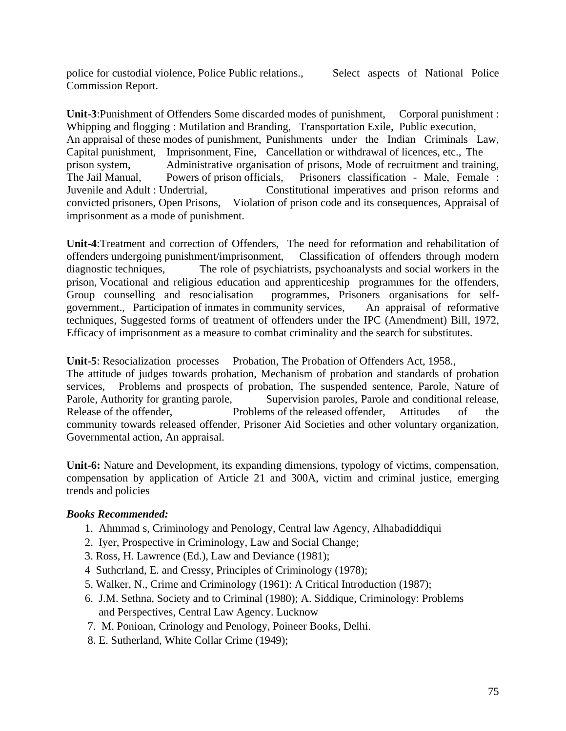police for custodial violence, Police Public relations., Select aspects of National Police Commission Report.

**Unit-3**:Punishment of Offenders Some discarded modes of punishment, Corporal punishment : Whipping and flogging : Mutilation and Branding, Transportation Exile, Public execution, An appraisal of these modes of punishment, Punishments under the Indian Criminals Law, Capital punishment, Imprisonment, Fine, Cancellation or withdrawal of licences, etc., The prison system, Administrative organisation of prisons, Mode of recruitment and training, The Jail Manual, Powers of prison officials, Prisoners classification - Male, Female : Juvenile and Adult : Undertrial, Constitutional imperatives and prison reforms and convicted prisoners, Open Prisons, Violation of prison code and its consequences, Appraisal of imprisonment as a mode of punishment.

**Unit-4**:Treatment and correction of Offenders, The need for reformation and rehabilitation of offenders undergoing punishment/imprisonment, Classification of offenders through modern diagnostic techniques, The role of psychiatrists, psychoanalysts and social workers in the prison, Vocational and religious education and apprenticeship programmes for the offenders, Group counselling and resocialisation programmes, Prisoners organisations for selfgovernment., Participation of inmates in community services, An appraisal of reformative techniques, Suggested forms of treatment of offenders under the IPC (Amendment) Bill, 1972, Efficacy of imprisonment as a measure to combat criminality and the search for substitutes.

**Unit-5**: Resocialization processes Probation, The Probation of Offenders Act, 1958.,

The attitude of judges towards probation, Mechanism of probation and standards of probation services, Problems and prospects of probation, The suspended sentence, Parole, Nature of Parole, Authority for granting parole, Supervision paroles, Parole and conditional release, Release of the offender, Problems of the released offender, Attitudes of the community towards released offender, Prisoner Aid Societies and other voluntary organization, Governmental action, An appraisal.

**Unit-6:** Nature and Development, its expanding dimensions, typology of victims, compensation, compensation by application of Article 21 and 300A, victim and criminal justice, emerging trends and policies

## *Books Recommended:*

- 1. Ahmmad s, Criminology and Penology, Central law Agency, Alhabadiddiqui
- 2. Iyer, Prospective in Criminology, Law and Social Change;
- 3. Ross, H. Lawrence (Ed.), Law and Deviance (1981);
- 4 Suthcrland, E. and Cressy, Principles of Criminology (1978);
- 5. Walker, N., Crime and Criminology (1961): A Critical Introduction (1987);
- 6. J.M. Sethna, Society and to Criminal (1980); A. Siddique, Criminology: Problems and Perspectives, Central Law Agency. Lucknow
- 7. M. Ponioan, Crinology and Penology, Poineer Books, Delhi.
- 8. E. Sutherland, White Collar Crime (1949);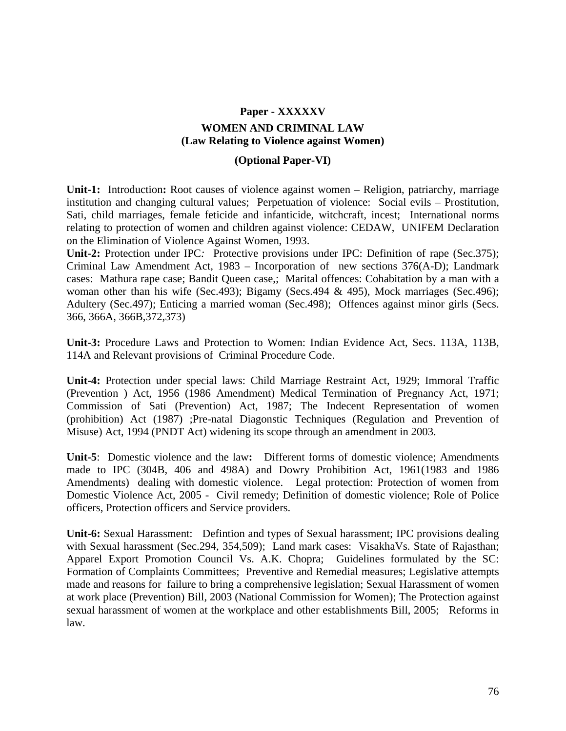# **Paper - XXXXXV WOMEN AND CRIMINAL LAW (Law Relating to Violence against Women)**

## **(Optional Paper-VI)**

**Unit-1:** Introduction**:** Root causes of violence against women – Religion, patriarchy, marriage institution and changing cultural values; Perpetuation of violence: Social evils – Prostitution, Sati, child marriages, female feticide and infanticide, witchcraft, incest; International norms relating to protection of women and children against violence: CEDAW, UNIFEM Declaration on the Elimination of Violence Against Women, 1993.

Unit-2: Protection under IPC: Protective provisions under IPC: Definition of rape (Sec.375); Criminal Law Amendment Act, 1983 – Incorporation of new sections 376(A-D); Landmark cases: Mathura rape case; Bandit Queen case,; Marital offences: Cohabitation by a man with a woman other than his wife (Sec.493); Bigamy (Secs.494 & 495), Mock marriages (Sec.496); Adultery (Sec.497); Enticing a married woman (Sec.498); Offences against minor girls (Secs. 366, 366A, 366B,372,373)

**Unit-3:** Procedure Laws and Protection to Women: Indian Evidence Act, Secs. 113A, 113B, 114A and Relevant provisions of Criminal Procedure Code.

**Unit-4:** Protection under special laws: Child Marriage Restraint Act, 1929; Immoral Traffic (Prevention ) Act, 1956 (1986 Amendment) Medical Termination of Pregnancy Act, 1971; Commission of Sati (Prevention) Act, 1987; The Indecent Representation of women (prohibition) Act (1987) ;Pre-natal Diagonstic Techniques (Regulation and Prevention of Misuse) Act, 1994 (PNDT Act) widening its scope through an amendment in 2003.

**Unit-5**: Domestic violence and the law**:** Different forms of domestic violence; Amendments made to IPC (304B, 406 and 498A) and Dowry Prohibition Act, 1961(1983 and 1986 Amendments) dealing with domestic violence. Legal protection: Protection of women from Domestic Violence Act, 2005 - Civil remedy; Definition of domestic violence; Role of Police officers, Protection officers and Service providers.

**Unit-6:** Sexual Harassment: Defintion and types of Sexual harassment; IPC provisions dealing with Sexual harassment (Sec.294, 354,509); Land mark cases: VisakhaVs. State of Rajasthan; Apparel Export Promotion Council Vs. A.K. Chopra; Guidelines formulated by the SC: Formation of Complaints Committees; Preventive and Remedial measures; Legislative attempts made and reasons for failure to bring a comprehensive legislation; Sexual Harassment of women at work place (Prevention) Bill, 2003 (National Commission for Women); The Protection against sexual harassment of women at the workplace and other establishments Bill, 2005; Reforms in law.